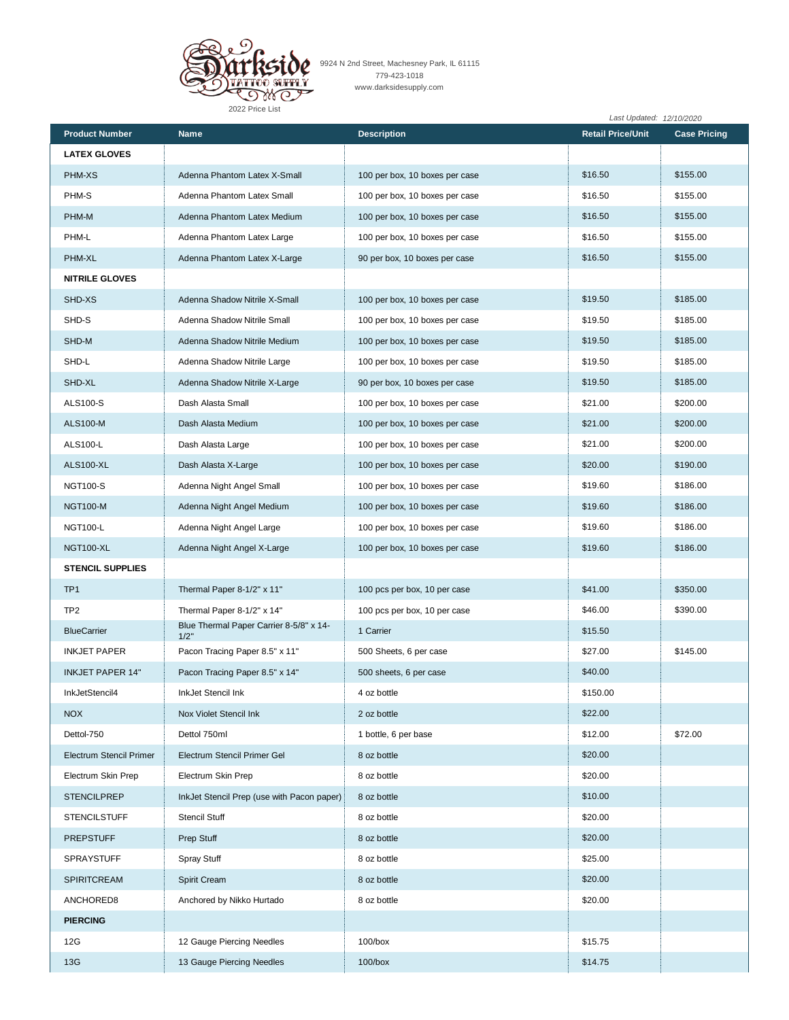

9924 N 2nd Street, Machesney Park, IL 61115 779-423-1018 www.darksidesupply.com

|                                |                                                 |                                | Last Updated: 12/10/2020 |                     |
|--------------------------------|-------------------------------------------------|--------------------------------|--------------------------|---------------------|
| <b>Product Number</b>          | <b>Name</b>                                     | <b>Description</b>             | <b>Retail Price/Unit</b> | <b>Case Pricing</b> |
| <b>LATEX GLOVES</b>            |                                                 |                                |                          |                     |
| PHM-XS                         | Adenna Phantom Latex X-Small                    | 100 per box, 10 boxes per case | \$16.50                  | \$155.00            |
| PHM-S                          | Adenna Phantom Latex Small                      | 100 per box, 10 boxes per case | \$16.50                  | \$155.00            |
| PHM-M                          | Adenna Phantom Latex Medium                     | 100 per box, 10 boxes per case | \$16.50                  | \$155.00            |
| PHM-L                          | Adenna Phantom Latex Large                      | 100 per box, 10 boxes per case | \$16.50                  | \$155.00            |
| PHM-XL                         | Adenna Phantom Latex X-Large                    | 90 per box, 10 boxes per case  | \$16.50                  | \$155.00            |
| <b>NITRILE GLOVES</b>          |                                                 |                                |                          |                     |
| SHD-XS                         | Adenna Shadow Nitrile X-Small                   | 100 per box, 10 boxes per case | \$19.50                  | \$185.00            |
| SHD-S                          | Adenna Shadow Nitrile Small                     | 100 per box, 10 boxes per case | \$19.50                  | \$185.00            |
| SHD-M                          | Adenna Shadow Nitrile Medium                    | 100 per box, 10 boxes per case | \$19.50                  | \$185.00            |
| SHD-L                          | Adenna Shadow Nitrile Large                     | 100 per box, 10 boxes per case | \$19.50                  | \$185.00            |
| SHD-XL                         | Adenna Shadow Nitrile X-Large                   | 90 per box, 10 boxes per case  | \$19.50                  | \$185.00            |
| <b>ALS100-S</b>                | Dash Alasta Small                               | 100 per box, 10 boxes per case | \$21.00                  | \$200.00            |
| <b>ALS100-M</b>                | Dash Alasta Medium                              | 100 per box, 10 boxes per case | \$21.00                  | \$200.00            |
| ALS100-L                       | Dash Alasta Large                               | 100 per box, 10 boxes per case | \$21.00                  | \$200.00            |
| <b>ALS100-XL</b>               | Dash Alasta X-Large                             | 100 per box, 10 boxes per case | \$20.00                  | \$190.00            |
| <b>NGT100-S</b>                | Adenna Night Angel Small                        | 100 per box, 10 boxes per case | \$19.60                  | \$186.00            |
| <b>NGT100-M</b>                | Adenna Night Angel Medium                       | 100 per box, 10 boxes per case | \$19.60                  | \$186.00            |
| <b>NGT100-L</b>                | Adenna Night Angel Large                        | 100 per box, 10 boxes per case | \$19.60                  | \$186.00            |
| NGT100-XL                      | Adenna Night Angel X-Large                      | 100 per box, 10 boxes per case | \$19.60                  | \$186.00            |
| <b>STENCIL SUPPLIES</b>        |                                                 |                                |                          |                     |
| TP <sub>1</sub>                | Thermal Paper 8-1/2" x 11"                      | 100 pcs per box, 10 per case   | \$41.00                  | \$350.00            |
| TP <sub>2</sub>                | Thermal Paper 8-1/2" x 14"                      | 100 pcs per box, 10 per case   | \$46.00                  | \$390.00            |
| <b>BlueCarrier</b>             | Blue Thermal Paper Carrier 8-5/8" x 14-<br>1/2" | 1 Carrier                      | \$15.50                  |                     |
| <b>INKJET PAPER</b>            | Pacon Tracing Paper 8.5" x 11"                  | 500 Sheets, 6 per case         | \$27.00                  | \$145.00            |
| <b>INKJET PAPER 14"</b>        | Pacon Tracing Paper 8.5" x 14"                  | 500 sheets, 6 per case         | \$40.00                  |                     |
| InkJetStencil4                 | InkJet Stencil Ink                              | 4 oz bottle                    | \$150.00                 |                     |
| <b>NOX</b>                     | Nox Violet Stencil Ink                          | 2 oz bottle                    | \$22.00                  |                     |
| Dettol-750                     | Dettol 750ml                                    | 1 bottle, 6 per base           | \$12.00                  | \$72.00             |
| <b>Electrum Stencil Primer</b> | Electrum Stencil Primer Gel                     | 8 oz bottle                    | \$20.00                  |                     |
| Electrum Skin Prep             | Electrum Skin Prep                              | 8 oz bottle                    | \$20.00                  |                     |
| <b>STENCILPREP</b>             | InkJet Stencil Prep (use with Pacon paper)      | 8 oz bottle                    | \$10.00                  |                     |
| <b>STENCILSTUFF</b>            | <b>Stencil Stuff</b>                            | 8 oz bottle                    | \$20.00                  |                     |
| <b>PREPSTUFF</b>               | Prep Stuff                                      | 8 oz bottle                    | \$20.00                  |                     |
| <b>SPRAYSTUFF</b>              | Spray Stuff                                     | 8 oz bottle                    | \$25.00                  |                     |
| SPIRITCREAM                    | Spirit Cream                                    | 8 oz bottle                    | \$20.00                  |                     |
| ANCHORED8                      | Anchored by Nikko Hurtado                       | 8 oz bottle                    | \$20.00                  |                     |
| <b>PIERCING</b>                |                                                 |                                |                          |                     |
| 12G                            | 12 Gauge Piercing Needles                       | $100/b$ ox                     | \$15.75                  |                     |
| 13G                            | 13 Gauge Piercing Needles                       | $100/b$ ox                     | \$14.75                  |                     |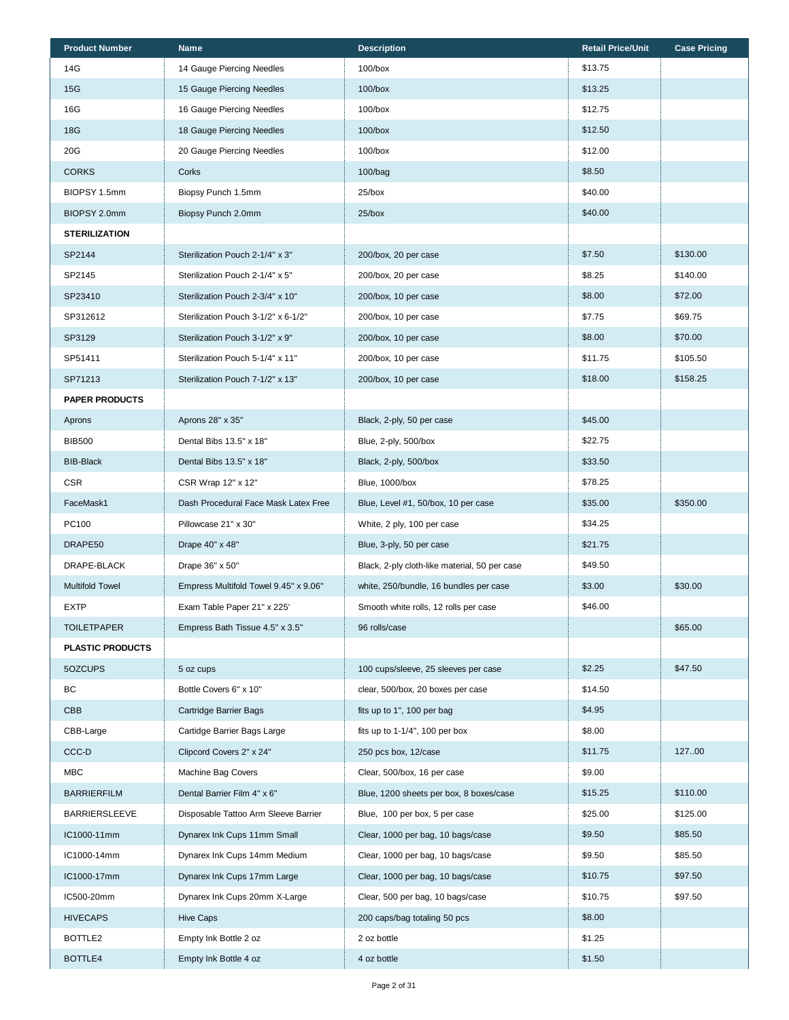| <b>Product Number</b>   | Name                                  | <b>Description</b>                            | <b>Retail Price/Unit</b> | <b>Case Pricing</b> |
|-------------------------|---------------------------------------|-----------------------------------------------|--------------------------|---------------------|
| 14G                     | 14 Gauge Piercing Needles             | $100/b$ ox                                    | \$13.75                  |                     |
| 15G                     | 15 Gauge Piercing Needles             | $100/b$ ox                                    | \$13.25                  |                     |
| 16G                     | 16 Gauge Piercing Needles             | $100/b$ ox                                    | \$12.75                  |                     |
| <b>18G</b>              | 18 Gauge Piercing Needles             | $100/b$ ox                                    | \$12.50                  |                     |
| 20G                     | 20 Gauge Piercing Needles             | $100/b$ ox                                    | \$12.00                  |                     |
| <b>CORKS</b>            | Corks                                 | 100/bag                                       | \$8.50                   |                     |
| BIOPSY 1.5mm            | Biopsy Punch 1.5mm                    | $25/b$ ox                                     | \$40.00                  |                     |
| BIOPSY 2.0mm            | Biopsy Punch 2.0mm                    | $25/b$ ox                                     | \$40.00                  |                     |
| <b>STERILIZATION</b>    |                                       |                                               |                          |                     |
| SP2144                  | Sterilization Pouch 2-1/4" x 3"       | 200/box, 20 per case                          | \$7.50                   | \$130.00            |
| SP2145                  | Sterilization Pouch 2-1/4" x 5"       | 200/box, 20 per case                          | \$8.25                   | \$140.00            |
| SP23410                 | Sterilization Pouch 2-3/4" x 10"      | 200/box, 10 per case                          | \$8.00                   | \$72.00             |
| SP312612                | Sterilization Pouch 3-1/2" x 6-1/2"   | 200/box, 10 per case                          | \$7.75                   | \$69.75             |
| SP3129                  | Sterilization Pouch 3-1/2" x 9"       | 200/box, 10 per case                          | \$8.00                   | \$70.00             |
| SP51411                 | Sterilization Pouch 5-1/4" x 11"      | 200/box, 10 per case                          | \$11.75                  | \$105.50            |
| SP71213                 | Sterilization Pouch 7-1/2" x 13"      | 200/box, 10 per case                          | \$18.00                  | \$158.25            |
| <b>PAPER PRODUCTS</b>   |                                       |                                               |                          |                     |
| Aprons                  | Aprons 28" x 35"                      | Black, 2-ply, 50 per case                     | \$45.00                  |                     |
| <b>BIB500</b>           | Dental Bibs 13.5" x 18"               | Blue, 2-ply, 500/box                          | \$22.75                  |                     |
| <b>BIB-Black</b>        | Dental Bibs 13.5" x 18"               | Black, 2-ply, 500/box                         | \$33.50                  |                     |
| <b>CSR</b>              | CSR Wrap 12" x 12"                    | Blue, 1000/box                                | \$78.25                  |                     |
| FaceMask1               | Dash Procedural Face Mask Latex Free  | Blue, Level #1, 50/box, 10 per case           | \$35.00                  | \$350.00            |
| PC100                   | Pillowcase 21" x 30"                  | White, 2 ply, 100 per case                    | \$34.25                  |                     |
| DRAPE50                 | Drape 40" x 48"                       | Blue, 3-ply, 50 per case                      | \$21.75                  |                     |
| DRAPE-BLACK             | Drape 36" x 50"                       | Black, 2-ply cloth-like material, 50 per case | \$49.50                  |                     |
| <b>Multifold Towel</b>  | Empress Multifold Towel 9.45" x 9.06" | white, 250/bundle, 16 bundles per case        | \$3.00                   | \$30.00             |
| EXTP                    | Exam Table Paper 21" x 225'           | Smooth white rolls, 12 rolls per case         | \$46.00                  |                     |
| <b>TOILETPAPER</b>      | Empress Bath Tissue 4.5" x 3.5"       | 96 rolls/case                                 |                          | \$65.00             |
| <b>PLASTIC PRODUCTS</b> |                                       |                                               |                          |                     |
| 5OZCUPS                 | 5 oz cups                             | 100 cups/sleeve, 25 sleeves per case          | \$2.25                   | \$47.50             |
| BC                      | Bottle Covers 6" x 10"                | clear, 500/box, 20 boxes per case             | \$14.50                  |                     |
| <b>CBB</b>              | <b>Cartridge Barrier Bags</b>         | fits up to 1", 100 per bag                    | \$4.95                   |                     |
| CBB-Large               | Cartidge Barrier Bags Large           | fits up to $1-1/4$ ", 100 per box             | \$8.00                   |                     |
| CCC-D                   | Clipcord Covers 2" x 24"              | 250 pcs box, 12/case                          | \$11.75                  | 12700               |
| <b>MBC</b>              | Machine Bag Covers                    | Clear, 500/box, 16 per case                   | \$9.00                   |                     |
| <b>BARRIERFILM</b>      | Dental Barrier Film 4" x 6"           | Blue, 1200 sheets per box, 8 boxes/case       | \$15.25                  | \$110.00            |
| <b>BARRIERSLEEVE</b>    | Disposable Tattoo Arm Sleeve Barrier  | Blue, 100 per box, 5 per case                 | \$25.00                  | \$125.00            |
| IC1000-11mm             | Dynarex Ink Cups 11mm Small           | Clear, 1000 per bag, 10 bags/case             | \$9.50                   | \$85.50             |
| IC1000-14mm             | Dynarex Ink Cups 14mm Medium          | Clear, 1000 per bag, 10 bags/case             | \$9.50                   | \$85.50             |
| IC1000-17mm             | Dynarex Ink Cups 17mm Large           | Clear, 1000 per bag, 10 bags/case             | \$10.75                  | \$97.50             |
| IC500-20mm              | Dynarex Ink Cups 20mm X-Large         | Clear, 500 per bag, 10 bags/case              | \$10.75                  | \$97.50             |
| <b>HIVECAPS</b>         | Hive Caps                             | 200 caps/bag totaling 50 pcs                  | \$8.00                   |                     |
| BOTTLE2                 | Empty Ink Bottle 2 oz                 | 2 oz bottle                                   | \$1.25                   |                     |
| BOTTLE4                 | Empty Ink Bottle 4 oz                 | 4 oz bottle                                   | \$1.50                   |                     |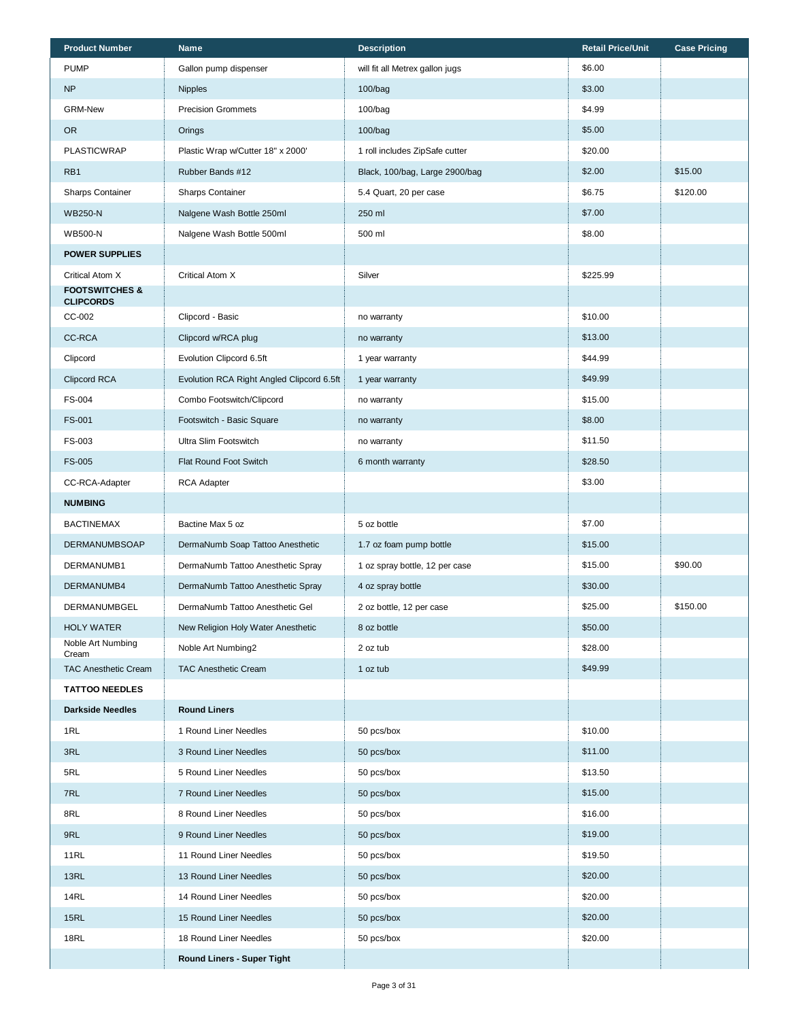| <b>Product Number</b>                         | <b>Name</b>                               | <b>Description</b>              | <b>Retail Price/Unit</b> | <b>Case Pricing</b> |
|-----------------------------------------------|-------------------------------------------|---------------------------------|--------------------------|---------------------|
| <b>PUMP</b>                                   | Gallon pump dispenser                     | will fit all Metrex gallon jugs | \$6.00                   |                     |
| <b>NP</b>                                     | <b>Nipples</b>                            | 100/bag                         | \$3.00                   |                     |
| <b>GRM-New</b>                                | <b>Precision Grommets</b>                 | 100/bag                         | \$4.99                   |                     |
| OR.                                           | Orings                                    | 100/bag                         | \$5.00                   |                     |
| <b>PLASTICWRAP</b>                            | Plastic Wrap w/Cutter 18" x 2000'         | 1 roll includes ZipSafe cutter  | \$20.00                  |                     |
| RB1                                           | Rubber Bands #12                          | Black, 100/bag, Large 2900/bag  | \$2.00                   | \$15.00             |
| <b>Sharps Container</b>                       | <b>Sharps Container</b>                   | 5.4 Quart, 20 per case          | \$6.75                   | \$120.00            |
| <b>WB250-N</b>                                | Nalgene Wash Bottle 250ml                 | 250 ml                          | \$7.00                   |                     |
| <b>WB500-N</b>                                | Nalgene Wash Bottle 500ml                 | 500 ml                          | \$8.00                   |                     |
| <b>POWER SUPPLIES</b>                         |                                           |                                 |                          |                     |
| Critical Atom X                               | Critical Atom X                           | Silver                          | \$225.99                 |                     |
| <b>FOOTSWITCHES &amp;</b><br><b>CLIPCORDS</b> |                                           |                                 |                          |                     |
| CC-002                                        | Clipcord - Basic                          | no warranty                     | \$10.00                  |                     |
| <b>CC-RCA</b>                                 | Clipcord w/RCA plug                       | no warranty                     | \$13.00                  |                     |
| Clipcord                                      | Evolution Clipcord 6.5ft                  | 1 year warranty                 | \$44.99                  |                     |
| Clipcord RCA                                  | Evolution RCA Right Angled Clipcord 6.5ft | 1 year warranty                 | \$49.99                  |                     |
| FS-004                                        | Combo Footswitch/Clipcord                 | no warranty                     | \$15.00                  |                     |
| FS-001                                        | Footswitch - Basic Square                 | no warranty                     | \$8.00                   |                     |
| FS-003                                        | Ultra Slim Footswitch                     | no warranty                     | \$11.50                  |                     |
| <b>FS-005</b>                                 | Flat Round Foot Switch                    | 6 month warranty                | \$28.50                  |                     |
| CC-RCA-Adapter                                | <b>RCA Adapter</b>                        |                                 | \$3.00                   |                     |
| <b>NUMBING</b>                                |                                           |                                 |                          |                     |
| <b>BACTINEMAX</b>                             | Bactine Max 5 oz                          | 5 oz bottle                     | \$7.00                   |                     |
| <b>DERMANUMBSOAP</b>                          | DermaNumb Soap Tattoo Anesthetic          | 1.7 oz foam pump bottle         | \$15.00                  |                     |
| DERMANUMB1                                    | DermaNumb Tattoo Anesthetic Spray         | 1 oz spray bottle, 12 per case  | \$15.00                  | \$90.00             |
| DERMANUMB4                                    | DermaNumb Tattoo Anesthetic Spray         | 4 oz spray bottle               | \$30.00                  |                     |
| DERMANUMBGEL                                  | DermaNumb Tattoo Anesthetic Gel           | 2 oz bottle, 12 per case        | \$25.00                  | \$150.00            |
| <b>HOLY WATER</b>                             | New Religion Holy Water Anesthetic        | 8 oz bottle                     | \$50.00                  |                     |
| Noble Art Numbing<br>Cream                    | Noble Art Numbing2                        | 2 oz tub                        | \$28.00                  |                     |
| <b>TAC Anesthetic Cream</b>                   | <b>TAC Anesthetic Cream</b>               | 1 oz tub                        | \$49.99                  |                     |
| <b>TATTOO NEEDLES</b>                         |                                           |                                 |                          |                     |
| <b>Darkside Needles</b>                       | <b>Round Liners</b>                       |                                 |                          |                     |
| 1RL                                           | 1 Round Liner Needles                     | 50 pcs/box                      | \$10.00                  |                     |
| 3RL                                           | 3 Round Liner Needles                     | 50 pcs/box                      | \$11.00                  |                     |
| 5RL                                           | 5 Round Liner Needles                     | 50 pcs/box                      | \$13.50                  |                     |
| 7RL                                           | 7 Round Liner Needles                     | 50 pcs/box                      | \$15.00                  |                     |
| 8RL                                           | 8 Round Liner Needles                     | 50 pcs/box                      | \$16.00                  |                     |
| 9RL                                           | 9 Round Liner Needles                     | 50 pcs/box                      | \$19.00                  |                     |
| 11RL                                          | 11 Round Liner Needles                    | 50 pcs/box                      | \$19.50                  |                     |
| 13RL                                          | 13 Round Liner Needles                    | 50 pcs/box                      | \$20.00                  |                     |
| 14RL                                          | 14 Round Liner Needles                    | 50 pcs/box                      | \$20.00                  |                     |
| 15RL                                          | 15 Round Liner Needles                    | 50 pcs/box                      | \$20.00                  |                     |
| <b>18RL</b>                                   | 18 Round Liner Needles                    | 50 pcs/box                      | \$20.00                  |                     |
|                                               | <b>Round Liners - Super Tight</b>         |                                 |                          |                     |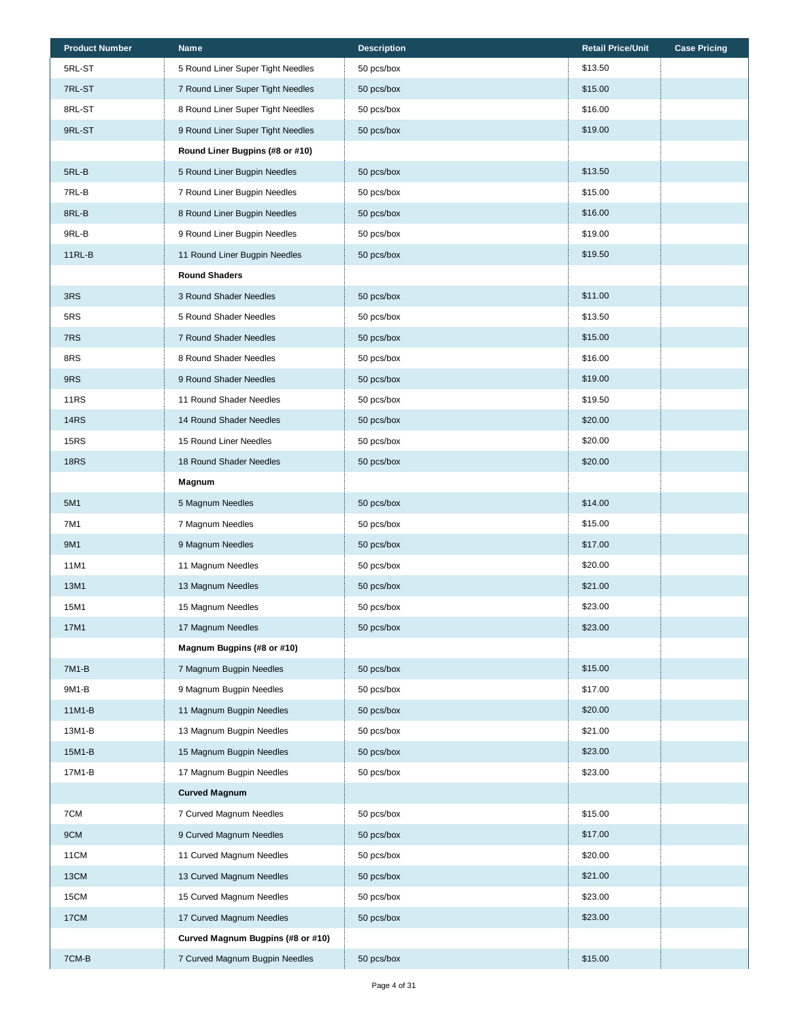| <b>Product Number</b> | <b>Name</b>                       | <b>Description</b> | <b>Retail Price/Unit</b> | <b>Case Pricing</b> |
|-----------------------|-----------------------------------|--------------------|--------------------------|---------------------|
| 5RL-ST                | 5 Round Liner Super Tight Needles | 50 pcs/box         | \$13.50                  |                     |
| 7RL-ST                | 7 Round Liner Super Tight Needles | 50 pcs/box         | \$15.00                  |                     |
| 8RL-ST                | 8 Round Liner Super Tight Needles | 50 pcs/box         | \$16.00                  |                     |
| 9RL-ST                | 9 Round Liner Super Tight Needles | 50 pcs/box         | \$19.00                  |                     |
|                       | Round Liner Bugpins (#8 or #10)   |                    |                          |                     |
| 5RL-B                 | 5 Round Liner Bugpin Needles      | 50 pcs/box         | \$13.50                  |                     |
| 7RL-B                 | 7 Round Liner Bugpin Needles      | 50 pcs/box         | \$15.00                  |                     |
| 8RL-B                 | 8 Round Liner Bugpin Needles      | 50 pcs/box         | \$16.00                  |                     |
| 9RL-B                 | 9 Round Liner Bugpin Needles      | 50 pcs/box         | \$19.00                  |                     |
| $11RL-B$              | 11 Round Liner Bugpin Needles     | 50 pcs/box         | \$19.50                  |                     |
|                       | <b>Round Shaders</b>              |                    |                          |                     |
| 3RS                   | 3 Round Shader Needles            | 50 pcs/box         | \$11.00                  |                     |
| 5RS                   | 5 Round Shader Needles            | 50 pcs/box         | \$13.50                  |                     |
| 7RS                   | 7 Round Shader Needles            | 50 pcs/box         | \$15.00                  |                     |
| 8RS                   | 8 Round Shader Needles            | 50 pcs/box         | \$16.00                  |                     |
| 9RS                   | 9 Round Shader Needles            | 50 pcs/box         | \$19.00                  |                     |
| <b>11RS</b>           | 11 Round Shader Needles           | 50 pcs/box         | \$19.50                  |                     |
| <b>14RS</b>           | 14 Round Shader Needles           | 50 pcs/box         | \$20.00                  |                     |
| <b>15RS</b>           | 15 Round Liner Needles            | 50 pcs/box         | \$20.00                  |                     |
| <b>18RS</b>           | 18 Round Shader Needles           | 50 pcs/box         | \$20.00                  |                     |
|                       | Magnum                            |                    |                          |                     |
| 5M1                   | 5 Magnum Needles                  | 50 pcs/box         | \$14.00                  |                     |
| 7M1                   | 7 Magnum Needles                  | 50 pcs/box         | \$15.00                  |                     |
| 9M1                   | 9 Magnum Needles                  | 50 pcs/box         | \$17.00                  |                     |
| 11M1                  | 11 Magnum Needles                 | 50 pcs/box         | \$20.00                  |                     |
| 13M1                  | 13 Magnum Needles                 | 50 pcs/box         | \$21.00                  |                     |
| 15M1                  | 15 Magnum Needles                 | 50 pcs/box         | \$23.00                  |                     |
| 17M1                  | 17 Magnum Needles                 | 50 pcs/box         | \$23.00                  |                     |
|                       | Magnum Bugpins (#8 or #10)        |                    |                          |                     |
| 7M1-B                 | 7 Magnum Bugpin Needles           | 50 pcs/box         | \$15.00                  |                     |
| 9M1-B                 | 9 Magnum Bugpin Needles           | 50 pcs/box         | \$17.00                  |                     |
| 11M1-B                | 11 Magnum Bugpin Needles          | 50 pcs/box         | \$20.00                  |                     |
| 13M1-B                | 13 Magnum Bugpin Needles          | 50 pcs/box         | \$21.00                  |                     |
| 15M1-B                | 15 Magnum Bugpin Needles          | 50 pcs/box         | \$23.00                  |                     |
| 17M1-B                | 17 Magnum Bugpin Needles          | 50 pcs/box         | \$23.00                  |                     |
|                       | <b>Curved Magnum</b>              |                    |                          |                     |
| 7CM                   | 7 Curved Magnum Needles           | 50 pcs/box         | \$15.00                  |                     |
| 9CM                   | 9 Curved Magnum Needles           | 50 pcs/box         | \$17.00                  |                     |
| 11CM                  | 11 Curved Magnum Needles          | 50 pcs/box         | \$20.00                  |                     |
| 13CM                  | 13 Curved Magnum Needles          | 50 pcs/box         | \$21.00                  |                     |
| 15CM                  | 15 Curved Magnum Needles          | 50 pcs/box         | \$23.00                  |                     |
| 17CM                  | 17 Curved Magnum Needles          | 50 pcs/box         | \$23.00                  |                     |
|                       | Curved Magnum Bugpins (#8 or #10) |                    |                          |                     |
| 7CM-B                 | 7 Curved Magnum Bugpin Needles    | 50 pcs/box         | \$15.00                  |                     |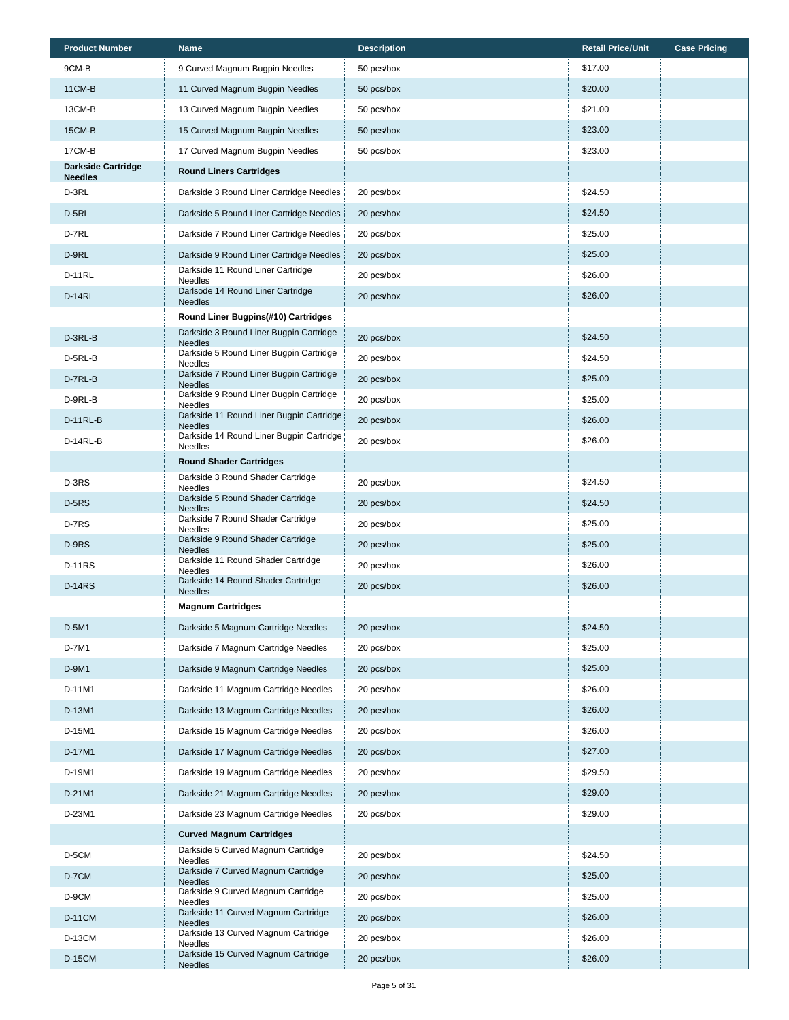| <b>Product Number</b>                       | <b>Name</b>                                                | <b>Description</b> | <b>Retail Price/Unit</b> | <b>Case Pricing</b> |
|---------------------------------------------|------------------------------------------------------------|--------------------|--------------------------|---------------------|
| 9CM-B                                       | 9 Curved Magnum Bugpin Needles                             | 50 pcs/box         | \$17.00                  |                     |
| <b>11CM-B</b>                               | 11 Curved Magnum Bugpin Needles                            | 50 pcs/box         | \$20.00                  |                     |
| 13CM-B                                      | 13 Curved Magnum Bugpin Needles                            | 50 pcs/box         | \$21.00                  |                     |
| <b>15CM-B</b>                               | 15 Curved Magnum Bugpin Needles                            | 50 pcs/box         | \$23.00                  |                     |
| 17CM-B                                      | 17 Curved Magnum Bugpin Needles                            | 50 pcs/box         | \$23.00                  |                     |
| <b>Darkside Cartridge</b><br><b>Needles</b> | <b>Round Liners Cartridges</b>                             |                    |                          |                     |
| D-3RL                                       | Darkside 3 Round Liner Cartridge Needles                   | 20 pcs/box         | \$24.50                  |                     |
| D-5RL                                       | Darkside 5 Round Liner Cartridge Needles                   | 20 pcs/box         | \$24.50                  |                     |
| D-7RL                                       | Darkside 7 Round Liner Cartridge Needles                   | 20 pcs/box         | \$25.00                  |                     |
| D-9RL                                       | Darkside 9 Round Liner Cartridge Needles                   | 20 pcs/box         | \$25.00                  |                     |
| <b>D-11RL</b>                               | Darkside 11 Round Liner Cartridge<br>Needles               | 20 pcs/box         | \$26.00                  |                     |
| <b>D-14RL</b>                               | Darlsode 14 Round Liner Cartridge<br><b>Needles</b>        | 20 pcs/box         | \$26.00                  |                     |
|                                             | Round Liner Bugpins(#10) Cartridges                        |                    |                          |                     |
| D-3RL-B                                     | Darkside 3 Round Liner Bugpin Cartridge<br><b>Needles</b>  | 20 pcs/box         | \$24.50                  |                     |
| D-5RL-B                                     | Darkside 5 Round Liner Bugpin Cartridge<br>Needles         | 20 pcs/box         | \$24.50                  |                     |
| D-7RL-B                                     | Darkside 7 Round Liner Bugpin Cartridge<br><b>Needles</b>  | 20 pcs/box         | \$25.00                  |                     |
| D-9RL-B                                     | Darkside 9 Round Liner Bugpin Cartridge<br>Needles         | 20 pcs/box         | \$25.00                  |                     |
| D-11RL-B                                    | Darkside 11 Round Liner Bugpin Cartridge<br><b>Needles</b> | 20 pcs/box         | \$26.00                  |                     |
| D-14RL-B                                    | Darkside 14 Round Liner Bugpin Cartridge<br><b>Needles</b> | 20 pcs/box         | \$26.00                  |                     |
|                                             | <b>Round Shader Cartridges</b>                             |                    |                          |                     |
| D-3RS                                       | Darkside 3 Round Shader Cartridge<br>Needles               | 20 pcs/box         | \$24.50                  |                     |
| $D-5RS$                                     | Darkside 5 Round Shader Cartridge<br><b>Needles</b>        | 20 pcs/box         | \$24.50                  |                     |
| D-7RS                                       | Darkside 7 Round Shader Cartridge<br>Needles               | 20 pcs/box         | \$25.00                  |                     |
| D-9RS                                       | Darkside 9 Round Shader Cartridge<br><b>Needles</b>        | 20 pcs/box         | \$25.00                  |                     |
| <b>D-11RS</b>                               | Darkside 11 Round Shader Cartridge<br>Needles              | 20 pcs/box         | \$26.00                  |                     |
| <b>D-14RS</b>                               | Darkside 14 Round Shader Cartridge<br><b>Needles</b>       | 20 pcs/box         | \$26.00                  |                     |
|                                             | <b>Magnum Cartridges</b>                                   |                    |                          |                     |
| D-5M1                                       | Darkside 5 Magnum Cartridge Needles                        | 20 pcs/box         | \$24.50                  |                     |
| D-7M1                                       | Darkside 7 Magnum Cartridge Needles                        | 20 pcs/box         | \$25.00                  |                     |
| D-9M1                                       | Darkside 9 Magnum Cartridge Needles                        | 20 pcs/box         | \$25.00                  |                     |
| D-11M1                                      | Darkside 11 Magnum Cartridge Needles                       | 20 pcs/box         | \$26.00                  |                     |
| D-13M1                                      | Darkside 13 Magnum Cartridge Needles                       | 20 pcs/box         | \$26.00                  |                     |
| D-15M1                                      | Darkside 15 Magnum Cartridge Needles                       | 20 pcs/box         | \$26.00                  |                     |
| D-17M1                                      | Darkside 17 Magnum Cartridge Needles                       | 20 pcs/box         | \$27.00                  |                     |
| D-19M1                                      | Darkside 19 Magnum Cartridge Needles                       | 20 pcs/box         | \$29.50                  |                     |
| D-21M1                                      | Darkside 21 Magnum Cartridge Needles                       | 20 pcs/box         | \$29.00                  |                     |
| D-23M1                                      | Darkside 23 Magnum Cartridge Needles                       | 20 pcs/box         | \$29.00                  |                     |
|                                             | <b>Curved Magnum Cartridges</b>                            |                    |                          |                     |
| D-5CM                                       | Darkside 5 Curved Magnum Cartridge<br><b>Needles</b>       | 20 pcs/box         | \$24.50                  |                     |
| D-7CM                                       | Darkside 7 Curved Magnum Cartridge<br><b>Needles</b>       | 20 pcs/box         | \$25.00                  |                     |
| D-9CM                                       | Darkside 9 Curved Magnum Cartridge<br><b>Needles</b>       | 20 pcs/box         | \$25.00                  |                     |
| <b>D-11CM</b>                               | Darkside 11 Curved Magnum Cartridge<br><b>Needles</b>      | 20 pcs/box         | \$26.00                  |                     |
| <b>D-13CM</b>                               | Darkside 13 Curved Magnum Cartridge<br><b>Needles</b>      | 20 pcs/box         | \$26.00                  |                     |
| <b>D-15CM</b>                               | Darkside 15 Curved Magnum Cartridge<br><b>Needles</b>      | 20 pcs/box         | \$26.00                  |                     |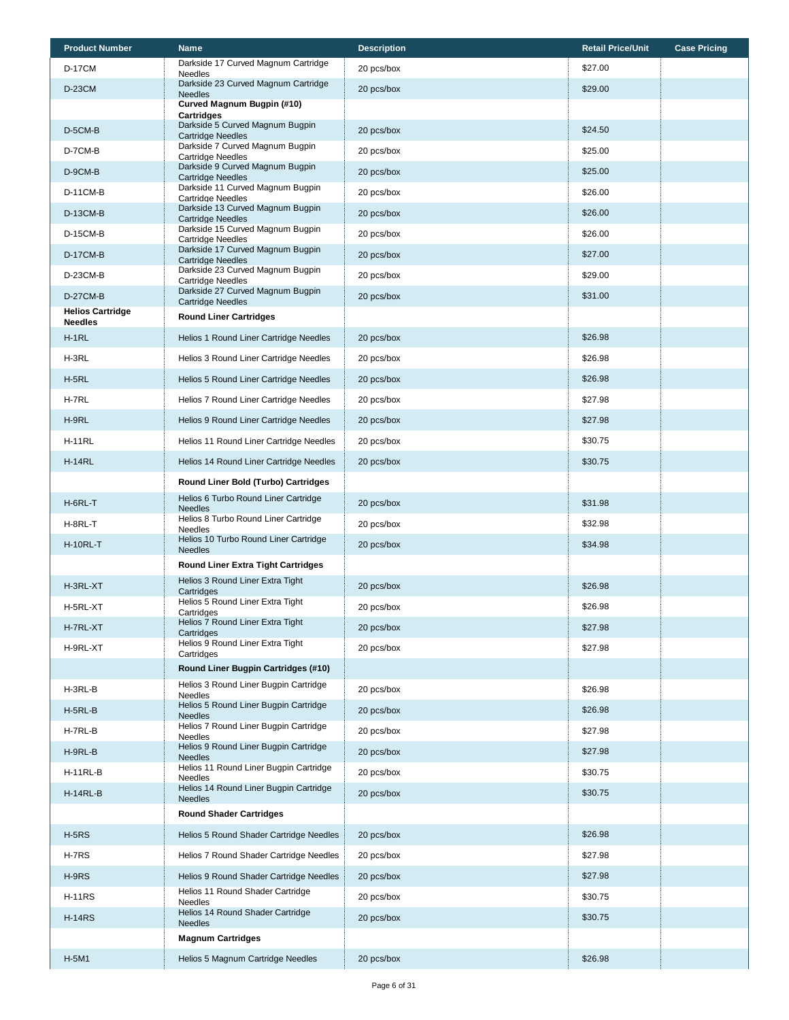| Darkside 17 Curved Magnum Cartridge<br>\$27.00<br><b>D-17CM</b><br>20 pcs/box<br><b>Needles</b><br>Darkside 23 Curved Magnum Cartridge<br>\$29.00<br><b>D-23CM</b><br>20 pcs/box<br><b>Needles</b><br>Curved Magnum Bugpin (#10)<br><b>Cartridges</b><br>Darkside 5 Curved Magnum Bugpin<br>\$24.50<br>D-5CM-B<br>20 pcs/box<br><b>Cartridge Needles</b><br>Darkside 7 Curved Magnum Bugpin<br>D-7CM-B<br>\$25.00<br>20 pcs/box<br>Cartridge Needles<br>Darkside 9 Curved Magnum Bugpin<br>20 pcs/box<br>D-9CM-B<br>\$25.00<br><b>Cartridge Needles</b><br>Darkside 11 Curved Magnum Bugpin<br>\$26.00<br><b>D-11CM-B</b><br>20 pcs/box<br><b>Cartridge Needles</b><br>Darkside 13 Curved Magnum Bugpin<br>\$26.00<br><b>D-13CM-B</b><br>20 pcs/box<br><b>Cartridge Needles</b><br>Darkside 15 Curved Magnum Bugpin<br>\$26.00<br><b>D-15CM-B</b><br>20 pcs/box<br><b>Cartridge Needles</b><br>Darkside 17 Curved Magnum Bugpin<br><b>D-17CM-B</b><br>20 pcs/box<br>\$27.00<br><b>Cartridge Needles</b><br>Darkside 23 Curved Magnum Bugpin<br>\$29.00<br>D-23CM-B<br>20 pcs/box<br><b>Cartridge Needles</b><br>Darkside 27 Curved Magnum Bugpin<br>\$31.00<br><b>D-27CM-B</b><br>20 pcs/box<br><b>Cartridge Needles</b><br><b>Helios Cartridge</b><br><b>Round Liner Cartridges</b><br><b>Needles</b><br>$H-1RL$<br>Helios 1 Round Liner Cartridge Needles<br>20 pcs/box<br>\$26.98<br>H-3RL<br>\$26.98<br>Helios 3 Round Liner Cartridge Needles<br>20 pcs/box<br>$H-5RL$<br>Helios 5 Round Liner Cartridge Needles<br>\$26.98<br>20 pcs/box<br>H-7RL<br>\$27.98<br>Helios 7 Round Liner Cartridge Needles<br>20 pcs/box<br>H-9RL<br>\$27.98<br>Helios 9 Round Liner Cartridge Needles<br>20 pcs/box<br>\$30.75<br><b>H-11RL</b><br>Helios 11 Round Liner Cartridge Needles<br>20 pcs/box<br>\$30.75<br><b>H-14RL</b><br>Helios 14 Round Liner Cartridge Needles<br>20 pcs/box<br>Round Liner Bold (Turbo) Cartridges<br>Helios 6 Turbo Round Liner Cartridge<br>\$31.98<br>20 pcs/box<br>H-6RL-T<br><b>Needles</b><br>Helios 8 Turbo Round Liner Cartridge<br>\$32.98<br>H-8RL-T<br>20 pcs/box<br>Needles<br>Helios 10 Turbo Round Liner Cartridge<br><b>H-10RL-T</b><br>20 pcs/box<br>\$34.98<br><b>Needles</b><br><b>Round Liner Extra Tight Cartridges</b><br>Helios 3 Round Liner Extra Tight<br>H-3RL-XT<br>\$26.98<br>20 pcs/box<br>Cartridges<br>Helios 5 Round Liner Extra Tight<br>\$26.98<br>H-5RL-XT<br>20 pcs/box<br>Cartridges<br>Helios 7 Round Liner Extra Tight<br>\$27.98<br>20 pcs/box<br>H-7RL-XT<br>Cartridges<br>Helios 9 Round Liner Extra Tight<br>\$27.98<br>H-9RL-XT<br>20 pcs/box<br>Cartridges<br>Round Liner Bugpin Cartridges (#10)<br>Helios 3 Round Liner Bugpin Cartridge<br>\$26.98<br>H-3RL-B<br>20 pcs/box<br>Needles<br>Helios 5 Round Liner Bugpin Cartridge<br>\$26.98<br>$H-5RL-B$<br>20 pcs/box<br><b>Needles</b><br>Helios 7 Round Liner Bugpin Cartridge<br>H-7RL-B<br>20 pcs/box<br>\$27.98<br>Needles<br>Helios 9 Round Liner Bugpin Cartridge<br>H-9RL-B<br>20 pcs/box<br>\$27.98<br><b>Needles</b><br>Helios 11 Round Liner Bugpin Cartridge<br>H-11RL-B<br>20 pcs/box<br>\$30.75<br><b>Needles</b><br>Helios 14 Round Liner Bugpin Cartridge<br>\$30.75<br>$H-14RL-B$<br>20 pcs/box<br><b>Needles</b><br><b>Round Shader Cartridges</b><br>\$26.98<br>$H-5RS$<br>Helios 5 Round Shader Cartridge Needles<br>20 pcs/box<br>\$27.98<br>H-7RS<br>Helios 7 Round Shader Cartridge Needles<br>20 pcs/box | <b>Product Number</b> | <b>Name</b> | <b>Description</b> | <b>Retail Price/Unit</b> | <b>Case Pricing</b> |
|-------------------------------------------------------------------------------------------------------------------------------------------------------------------------------------------------------------------------------------------------------------------------------------------------------------------------------------------------------------------------------------------------------------------------------------------------------------------------------------------------------------------------------------------------------------------------------------------------------------------------------------------------------------------------------------------------------------------------------------------------------------------------------------------------------------------------------------------------------------------------------------------------------------------------------------------------------------------------------------------------------------------------------------------------------------------------------------------------------------------------------------------------------------------------------------------------------------------------------------------------------------------------------------------------------------------------------------------------------------------------------------------------------------------------------------------------------------------------------------------------------------------------------------------------------------------------------------------------------------------------------------------------------------------------------------------------------------------------------------------------------------------------------------------------------------------------------------------------------------------------------------------------------------------------------------------------------------------------------------------------------------------------------------------------------------------------------------------------------------------------------------------------------------------------------------------------------------------------------------------------------------------------------------------------------------------------------------------------------------------------------------------------------------------------------------------------------------------------------------------------------------------------------------------------------------------------------------------------------------------------------------------------------------------------------------------------------------------------------------------------------------------------------------------------------------------------------------------------------------------------------------------------------------------------------------------------------------------------------------------------------------------------------------------------------------------------------------------------------------------------------------------------------------------------------------------------------------------------------------------------------------------------------------------------------------------------------------------------------------------------------------------------------------------------------------------------------|-----------------------|-------------|--------------------|--------------------------|---------------------|
|                                                                                                                                                                                                                                                                                                                                                                                                                                                                                                                                                                                                                                                                                                                                                                                                                                                                                                                                                                                                                                                                                                                                                                                                                                                                                                                                                                                                                                                                                                                                                                                                                                                                                                                                                                                                                                                                                                                                                                                                                                                                                                                                                                                                                                                                                                                                                                                                                                                                                                                                                                                                                                                                                                                                                                                                                                                                                                                                                                                                                                                                                                                                                                                                                                                                                                                                                                                                                                                       |                       |             |                    |                          |                     |
|                                                                                                                                                                                                                                                                                                                                                                                                                                                                                                                                                                                                                                                                                                                                                                                                                                                                                                                                                                                                                                                                                                                                                                                                                                                                                                                                                                                                                                                                                                                                                                                                                                                                                                                                                                                                                                                                                                                                                                                                                                                                                                                                                                                                                                                                                                                                                                                                                                                                                                                                                                                                                                                                                                                                                                                                                                                                                                                                                                                                                                                                                                                                                                                                                                                                                                                                                                                                                                                       |                       |             |                    |                          |                     |
|                                                                                                                                                                                                                                                                                                                                                                                                                                                                                                                                                                                                                                                                                                                                                                                                                                                                                                                                                                                                                                                                                                                                                                                                                                                                                                                                                                                                                                                                                                                                                                                                                                                                                                                                                                                                                                                                                                                                                                                                                                                                                                                                                                                                                                                                                                                                                                                                                                                                                                                                                                                                                                                                                                                                                                                                                                                                                                                                                                                                                                                                                                                                                                                                                                                                                                                                                                                                                                                       |                       |             |                    |                          |                     |
|                                                                                                                                                                                                                                                                                                                                                                                                                                                                                                                                                                                                                                                                                                                                                                                                                                                                                                                                                                                                                                                                                                                                                                                                                                                                                                                                                                                                                                                                                                                                                                                                                                                                                                                                                                                                                                                                                                                                                                                                                                                                                                                                                                                                                                                                                                                                                                                                                                                                                                                                                                                                                                                                                                                                                                                                                                                                                                                                                                                                                                                                                                                                                                                                                                                                                                                                                                                                                                                       |                       |             |                    |                          |                     |
|                                                                                                                                                                                                                                                                                                                                                                                                                                                                                                                                                                                                                                                                                                                                                                                                                                                                                                                                                                                                                                                                                                                                                                                                                                                                                                                                                                                                                                                                                                                                                                                                                                                                                                                                                                                                                                                                                                                                                                                                                                                                                                                                                                                                                                                                                                                                                                                                                                                                                                                                                                                                                                                                                                                                                                                                                                                                                                                                                                                                                                                                                                                                                                                                                                                                                                                                                                                                                                                       |                       |             |                    |                          |                     |
|                                                                                                                                                                                                                                                                                                                                                                                                                                                                                                                                                                                                                                                                                                                                                                                                                                                                                                                                                                                                                                                                                                                                                                                                                                                                                                                                                                                                                                                                                                                                                                                                                                                                                                                                                                                                                                                                                                                                                                                                                                                                                                                                                                                                                                                                                                                                                                                                                                                                                                                                                                                                                                                                                                                                                                                                                                                                                                                                                                                                                                                                                                                                                                                                                                                                                                                                                                                                                                                       |                       |             |                    |                          |                     |
|                                                                                                                                                                                                                                                                                                                                                                                                                                                                                                                                                                                                                                                                                                                                                                                                                                                                                                                                                                                                                                                                                                                                                                                                                                                                                                                                                                                                                                                                                                                                                                                                                                                                                                                                                                                                                                                                                                                                                                                                                                                                                                                                                                                                                                                                                                                                                                                                                                                                                                                                                                                                                                                                                                                                                                                                                                                                                                                                                                                                                                                                                                                                                                                                                                                                                                                                                                                                                                                       |                       |             |                    |                          |                     |
|                                                                                                                                                                                                                                                                                                                                                                                                                                                                                                                                                                                                                                                                                                                                                                                                                                                                                                                                                                                                                                                                                                                                                                                                                                                                                                                                                                                                                                                                                                                                                                                                                                                                                                                                                                                                                                                                                                                                                                                                                                                                                                                                                                                                                                                                                                                                                                                                                                                                                                                                                                                                                                                                                                                                                                                                                                                                                                                                                                                                                                                                                                                                                                                                                                                                                                                                                                                                                                                       |                       |             |                    |                          |                     |
|                                                                                                                                                                                                                                                                                                                                                                                                                                                                                                                                                                                                                                                                                                                                                                                                                                                                                                                                                                                                                                                                                                                                                                                                                                                                                                                                                                                                                                                                                                                                                                                                                                                                                                                                                                                                                                                                                                                                                                                                                                                                                                                                                                                                                                                                                                                                                                                                                                                                                                                                                                                                                                                                                                                                                                                                                                                                                                                                                                                                                                                                                                                                                                                                                                                                                                                                                                                                                                                       |                       |             |                    |                          |                     |
|                                                                                                                                                                                                                                                                                                                                                                                                                                                                                                                                                                                                                                                                                                                                                                                                                                                                                                                                                                                                                                                                                                                                                                                                                                                                                                                                                                                                                                                                                                                                                                                                                                                                                                                                                                                                                                                                                                                                                                                                                                                                                                                                                                                                                                                                                                                                                                                                                                                                                                                                                                                                                                                                                                                                                                                                                                                                                                                                                                                                                                                                                                                                                                                                                                                                                                                                                                                                                                                       |                       |             |                    |                          |                     |
|                                                                                                                                                                                                                                                                                                                                                                                                                                                                                                                                                                                                                                                                                                                                                                                                                                                                                                                                                                                                                                                                                                                                                                                                                                                                                                                                                                                                                                                                                                                                                                                                                                                                                                                                                                                                                                                                                                                                                                                                                                                                                                                                                                                                                                                                                                                                                                                                                                                                                                                                                                                                                                                                                                                                                                                                                                                                                                                                                                                                                                                                                                                                                                                                                                                                                                                                                                                                                                                       |                       |             |                    |                          |                     |
|                                                                                                                                                                                                                                                                                                                                                                                                                                                                                                                                                                                                                                                                                                                                                                                                                                                                                                                                                                                                                                                                                                                                                                                                                                                                                                                                                                                                                                                                                                                                                                                                                                                                                                                                                                                                                                                                                                                                                                                                                                                                                                                                                                                                                                                                                                                                                                                                                                                                                                                                                                                                                                                                                                                                                                                                                                                                                                                                                                                                                                                                                                                                                                                                                                                                                                                                                                                                                                                       |                       |             |                    |                          |                     |
|                                                                                                                                                                                                                                                                                                                                                                                                                                                                                                                                                                                                                                                                                                                                                                                                                                                                                                                                                                                                                                                                                                                                                                                                                                                                                                                                                                                                                                                                                                                                                                                                                                                                                                                                                                                                                                                                                                                                                                                                                                                                                                                                                                                                                                                                                                                                                                                                                                                                                                                                                                                                                                                                                                                                                                                                                                                                                                                                                                                                                                                                                                                                                                                                                                                                                                                                                                                                                                                       |                       |             |                    |                          |                     |
|                                                                                                                                                                                                                                                                                                                                                                                                                                                                                                                                                                                                                                                                                                                                                                                                                                                                                                                                                                                                                                                                                                                                                                                                                                                                                                                                                                                                                                                                                                                                                                                                                                                                                                                                                                                                                                                                                                                                                                                                                                                                                                                                                                                                                                                                                                                                                                                                                                                                                                                                                                                                                                                                                                                                                                                                                                                                                                                                                                                                                                                                                                                                                                                                                                                                                                                                                                                                                                                       |                       |             |                    |                          |                     |
|                                                                                                                                                                                                                                                                                                                                                                                                                                                                                                                                                                                                                                                                                                                                                                                                                                                                                                                                                                                                                                                                                                                                                                                                                                                                                                                                                                                                                                                                                                                                                                                                                                                                                                                                                                                                                                                                                                                                                                                                                                                                                                                                                                                                                                                                                                                                                                                                                                                                                                                                                                                                                                                                                                                                                                                                                                                                                                                                                                                                                                                                                                                                                                                                                                                                                                                                                                                                                                                       |                       |             |                    |                          |                     |
|                                                                                                                                                                                                                                                                                                                                                                                                                                                                                                                                                                                                                                                                                                                                                                                                                                                                                                                                                                                                                                                                                                                                                                                                                                                                                                                                                                                                                                                                                                                                                                                                                                                                                                                                                                                                                                                                                                                                                                                                                                                                                                                                                                                                                                                                                                                                                                                                                                                                                                                                                                                                                                                                                                                                                                                                                                                                                                                                                                                                                                                                                                                                                                                                                                                                                                                                                                                                                                                       |                       |             |                    |                          |                     |
|                                                                                                                                                                                                                                                                                                                                                                                                                                                                                                                                                                                                                                                                                                                                                                                                                                                                                                                                                                                                                                                                                                                                                                                                                                                                                                                                                                                                                                                                                                                                                                                                                                                                                                                                                                                                                                                                                                                                                                                                                                                                                                                                                                                                                                                                                                                                                                                                                                                                                                                                                                                                                                                                                                                                                                                                                                                                                                                                                                                                                                                                                                                                                                                                                                                                                                                                                                                                                                                       |                       |             |                    |                          |                     |
|                                                                                                                                                                                                                                                                                                                                                                                                                                                                                                                                                                                                                                                                                                                                                                                                                                                                                                                                                                                                                                                                                                                                                                                                                                                                                                                                                                                                                                                                                                                                                                                                                                                                                                                                                                                                                                                                                                                                                                                                                                                                                                                                                                                                                                                                                                                                                                                                                                                                                                                                                                                                                                                                                                                                                                                                                                                                                                                                                                                                                                                                                                                                                                                                                                                                                                                                                                                                                                                       |                       |             |                    |                          |                     |
|                                                                                                                                                                                                                                                                                                                                                                                                                                                                                                                                                                                                                                                                                                                                                                                                                                                                                                                                                                                                                                                                                                                                                                                                                                                                                                                                                                                                                                                                                                                                                                                                                                                                                                                                                                                                                                                                                                                                                                                                                                                                                                                                                                                                                                                                                                                                                                                                                                                                                                                                                                                                                                                                                                                                                                                                                                                                                                                                                                                                                                                                                                                                                                                                                                                                                                                                                                                                                                                       |                       |             |                    |                          |                     |
|                                                                                                                                                                                                                                                                                                                                                                                                                                                                                                                                                                                                                                                                                                                                                                                                                                                                                                                                                                                                                                                                                                                                                                                                                                                                                                                                                                                                                                                                                                                                                                                                                                                                                                                                                                                                                                                                                                                                                                                                                                                                                                                                                                                                                                                                                                                                                                                                                                                                                                                                                                                                                                                                                                                                                                                                                                                                                                                                                                                                                                                                                                                                                                                                                                                                                                                                                                                                                                                       |                       |             |                    |                          |                     |
|                                                                                                                                                                                                                                                                                                                                                                                                                                                                                                                                                                                                                                                                                                                                                                                                                                                                                                                                                                                                                                                                                                                                                                                                                                                                                                                                                                                                                                                                                                                                                                                                                                                                                                                                                                                                                                                                                                                                                                                                                                                                                                                                                                                                                                                                                                                                                                                                                                                                                                                                                                                                                                                                                                                                                                                                                                                                                                                                                                                                                                                                                                                                                                                                                                                                                                                                                                                                                                                       |                       |             |                    |                          |                     |
|                                                                                                                                                                                                                                                                                                                                                                                                                                                                                                                                                                                                                                                                                                                                                                                                                                                                                                                                                                                                                                                                                                                                                                                                                                                                                                                                                                                                                                                                                                                                                                                                                                                                                                                                                                                                                                                                                                                                                                                                                                                                                                                                                                                                                                                                                                                                                                                                                                                                                                                                                                                                                                                                                                                                                                                                                                                                                                                                                                                                                                                                                                                                                                                                                                                                                                                                                                                                                                                       |                       |             |                    |                          |                     |
|                                                                                                                                                                                                                                                                                                                                                                                                                                                                                                                                                                                                                                                                                                                                                                                                                                                                                                                                                                                                                                                                                                                                                                                                                                                                                                                                                                                                                                                                                                                                                                                                                                                                                                                                                                                                                                                                                                                                                                                                                                                                                                                                                                                                                                                                                                                                                                                                                                                                                                                                                                                                                                                                                                                                                                                                                                                                                                                                                                                                                                                                                                                                                                                                                                                                                                                                                                                                                                                       |                       |             |                    |                          |                     |
|                                                                                                                                                                                                                                                                                                                                                                                                                                                                                                                                                                                                                                                                                                                                                                                                                                                                                                                                                                                                                                                                                                                                                                                                                                                                                                                                                                                                                                                                                                                                                                                                                                                                                                                                                                                                                                                                                                                                                                                                                                                                                                                                                                                                                                                                                                                                                                                                                                                                                                                                                                                                                                                                                                                                                                                                                                                                                                                                                                                                                                                                                                                                                                                                                                                                                                                                                                                                                                                       |                       |             |                    |                          |                     |
|                                                                                                                                                                                                                                                                                                                                                                                                                                                                                                                                                                                                                                                                                                                                                                                                                                                                                                                                                                                                                                                                                                                                                                                                                                                                                                                                                                                                                                                                                                                                                                                                                                                                                                                                                                                                                                                                                                                                                                                                                                                                                                                                                                                                                                                                                                                                                                                                                                                                                                                                                                                                                                                                                                                                                                                                                                                                                                                                                                                                                                                                                                                                                                                                                                                                                                                                                                                                                                                       |                       |             |                    |                          |                     |
|                                                                                                                                                                                                                                                                                                                                                                                                                                                                                                                                                                                                                                                                                                                                                                                                                                                                                                                                                                                                                                                                                                                                                                                                                                                                                                                                                                                                                                                                                                                                                                                                                                                                                                                                                                                                                                                                                                                                                                                                                                                                                                                                                                                                                                                                                                                                                                                                                                                                                                                                                                                                                                                                                                                                                                                                                                                                                                                                                                                                                                                                                                                                                                                                                                                                                                                                                                                                                                                       |                       |             |                    |                          |                     |
|                                                                                                                                                                                                                                                                                                                                                                                                                                                                                                                                                                                                                                                                                                                                                                                                                                                                                                                                                                                                                                                                                                                                                                                                                                                                                                                                                                                                                                                                                                                                                                                                                                                                                                                                                                                                                                                                                                                                                                                                                                                                                                                                                                                                                                                                                                                                                                                                                                                                                                                                                                                                                                                                                                                                                                                                                                                                                                                                                                                                                                                                                                                                                                                                                                                                                                                                                                                                                                                       |                       |             |                    |                          |                     |
|                                                                                                                                                                                                                                                                                                                                                                                                                                                                                                                                                                                                                                                                                                                                                                                                                                                                                                                                                                                                                                                                                                                                                                                                                                                                                                                                                                                                                                                                                                                                                                                                                                                                                                                                                                                                                                                                                                                                                                                                                                                                                                                                                                                                                                                                                                                                                                                                                                                                                                                                                                                                                                                                                                                                                                                                                                                                                                                                                                                                                                                                                                                                                                                                                                                                                                                                                                                                                                                       |                       |             |                    |                          |                     |
|                                                                                                                                                                                                                                                                                                                                                                                                                                                                                                                                                                                                                                                                                                                                                                                                                                                                                                                                                                                                                                                                                                                                                                                                                                                                                                                                                                                                                                                                                                                                                                                                                                                                                                                                                                                                                                                                                                                                                                                                                                                                                                                                                                                                                                                                                                                                                                                                                                                                                                                                                                                                                                                                                                                                                                                                                                                                                                                                                                                                                                                                                                                                                                                                                                                                                                                                                                                                                                                       |                       |             |                    |                          |                     |
|                                                                                                                                                                                                                                                                                                                                                                                                                                                                                                                                                                                                                                                                                                                                                                                                                                                                                                                                                                                                                                                                                                                                                                                                                                                                                                                                                                                                                                                                                                                                                                                                                                                                                                                                                                                                                                                                                                                                                                                                                                                                                                                                                                                                                                                                                                                                                                                                                                                                                                                                                                                                                                                                                                                                                                                                                                                                                                                                                                                                                                                                                                                                                                                                                                                                                                                                                                                                                                                       |                       |             |                    |                          |                     |
|                                                                                                                                                                                                                                                                                                                                                                                                                                                                                                                                                                                                                                                                                                                                                                                                                                                                                                                                                                                                                                                                                                                                                                                                                                                                                                                                                                                                                                                                                                                                                                                                                                                                                                                                                                                                                                                                                                                                                                                                                                                                                                                                                                                                                                                                                                                                                                                                                                                                                                                                                                                                                                                                                                                                                                                                                                                                                                                                                                                                                                                                                                                                                                                                                                                                                                                                                                                                                                                       |                       |             |                    |                          |                     |
|                                                                                                                                                                                                                                                                                                                                                                                                                                                                                                                                                                                                                                                                                                                                                                                                                                                                                                                                                                                                                                                                                                                                                                                                                                                                                                                                                                                                                                                                                                                                                                                                                                                                                                                                                                                                                                                                                                                                                                                                                                                                                                                                                                                                                                                                                                                                                                                                                                                                                                                                                                                                                                                                                                                                                                                                                                                                                                                                                                                                                                                                                                                                                                                                                                                                                                                                                                                                                                                       |                       |             |                    |                          |                     |
|                                                                                                                                                                                                                                                                                                                                                                                                                                                                                                                                                                                                                                                                                                                                                                                                                                                                                                                                                                                                                                                                                                                                                                                                                                                                                                                                                                                                                                                                                                                                                                                                                                                                                                                                                                                                                                                                                                                                                                                                                                                                                                                                                                                                                                                                                                                                                                                                                                                                                                                                                                                                                                                                                                                                                                                                                                                                                                                                                                                                                                                                                                                                                                                                                                                                                                                                                                                                                                                       |                       |             |                    |                          |                     |
|                                                                                                                                                                                                                                                                                                                                                                                                                                                                                                                                                                                                                                                                                                                                                                                                                                                                                                                                                                                                                                                                                                                                                                                                                                                                                                                                                                                                                                                                                                                                                                                                                                                                                                                                                                                                                                                                                                                                                                                                                                                                                                                                                                                                                                                                                                                                                                                                                                                                                                                                                                                                                                                                                                                                                                                                                                                                                                                                                                                                                                                                                                                                                                                                                                                                                                                                                                                                                                                       |                       |             |                    |                          |                     |
|                                                                                                                                                                                                                                                                                                                                                                                                                                                                                                                                                                                                                                                                                                                                                                                                                                                                                                                                                                                                                                                                                                                                                                                                                                                                                                                                                                                                                                                                                                                                                                                                                                                                                                                                                                                                                                                                                                                                                                                                                                                                                                                                                                                                                                                                                                                                                                                                                                                                                                                                                                                                                                                                                                                                                                                                                                                                                                                                                                                                                                                                                                                                                                                                                                                                                                                                                                                                                                                       |                       |             |                    |                          |                     |
|                                                                                                                                                                                                                                                                                                                                                                                                                                                                                                                                                                                                                                                                                                                                                                                                                                                                                                                                                                                                                                                                                                                                                                                                                                                                                                                                                                                                                                                                                                                                                                                                                                                                                                                                                                                                                                                                                                                                                                                                                                                                                                                                                                                                                                                                                                                                                                                                                                                                                                                                                                                                                                                                                                                                                                                                                                                                                                                                                                                                                                                                                                                                                                                                                                                                                                                                                                                                                                                       |                       |             |                    |                          |                     |
|                                                                                                                                                                                                                                                                                                                                                                                                                                                                                                                                                                                                                                                                                                                                                                                                                                                                                                                                                                                                                                                                                                                                                                                                                                                                                                                                                                                                                                                                                                                                                                                                                                                                                                                                                                                                                                                                                                                                                                                                                                                                                                                                                                                                                                                                                                                                                                                                                                                                                                                                                                                                                                                                                                                                                                                                                                                                                                                                                                                                                                                                                                                                                                                                                                                                                                                                                                                                                                                       |                       |             |                    |                          |                     |
|                                                                                                                                                                                                                                                                                                                                                                                                                                                                                                                                                                                                                                                                                                                                                                                                                                                                                                                                                                                                                                                                                                                                                                                                                                                                                                                                                                                                                                                                                                                                                                                                                                                                                                                                                                                                                                                                                                                                                                                                                                                                                                                                                                                                                                                                                                                                                                                                                                                                                                                                                                                                                                                                                                                                                                                                                                                                                                                                                                                                                                                                                                                                                                                                                                                                                                                                                                                                                                                       |                       |             |                    |                          |                     |
|                                                                                                                                                                                                                                                                                                                                                                                                                                                                                                                                                                                                                                                                                                                                                                                                                                                                                                                                                                                                                                                                                                                                                                                                                                                                                                                                                                                                                                                                                                                                                                                                                                                                                                                                                                                                                                                                                                                                                                                                                                                                                                                                                                                                                                                                                                                                                                                                                                                                                                                                                                                                                                                                                                                                                                                                                                                                                                                                                                                                                                                                                                                                                                                                                                                                                                                                                                                                                                                       |                       |             |                    |                          |                     |
|                                                                                                                                                                                                                                                                                                                                                                                                                                                                                                                                                                                                                                                                                                                                                                                                                                                                                                                                                                                                                                                                                                                                                                                                                                                                                                                                                                                                                                                                                                                                                                                                                                                                                                                                                                                                                                                                                                                                                                                                                                                                                                                                                                                                                                                                                                                                                                                                                                                                                                                                                                                                                                                                                                                                                                                                                                                                                                                                                                                                                                                                                                                                                                                                                                                                                                                                                                                                                                                       |                       |             |                    |                          |                     |
|                                                                                                                                                                                                                                                                                                                                                                                                                                                                                                                                                                                                                                                                                                                                                                                                                                                                                                                                                                                                                                                                                                                                                                                                                                                                                                                                                                                                                                                                                                                                                                                                                                                                                                                                                                                                                                                                                                                                                                                                                                                                                                                                                                                                                                                                                                                                                                                                                                                                                                                                                                                                                                                                                                                                                                                                                                                                                                                                                                                                                                                                                                                                                                                                                                                                                                                                                                                                                                                       |                       |             |                    |                          |                     |
|                                                                                                                                                                                                                                                                                                                                                                                                                                                                                                                                                                                                                                                                                                                                                                                                                                                                                                                                                                                                                                                                                                                                                                                                                                                                                                                                                                                                                                                                                                                                                                                                                                                                                                                                                                                                                                                                                                                                                                                                                                                                                                                                                                                                                                                                                                                                                                                                                                                                                                                                                                                                                                                                                                                                                                                                                                                                                                                                                                                                                                                                                                                                                                                                                                                                                                                                                                                                                                                       |                       |             |                    |                          |                     |
| H-9RS<br>\$27.98<br>Helios 9 Round Shader Cartridge Needles<br>20 pcs/box                                                                                                                                                                                                                                                                                                                                                                                                                                                                                                                                                                                                                                                                                                                                                                                                                                                                                                                                                                                                                                                                                                                                                                                                                                                                                                                                                                                                                                                                                                                                                                                                                                                                                                                                                                                                                                                                                                                                                                                                                                                                                                                                                                                                                                                                                                                                                                                                                                                                                                                                                                                                                                                                                                                                                                                                                                                                                                                                                                                                                                                                                                                                                                                                                                                                                                                                                                             |                       |             |                    |                          |                     |
| Helios 11 Round Shader Cartridge<br>\$30.75<br><b>H-11RS</b><br>20 pcs/box<br><b>Needles</b>                                                                                                                                                                                                                                                                                                                                                                                                                                                                                                                                                                                                                                                                                                                                                                                                                                                                                                                                                                                                                                                                                                                                                                                                                                                                                                                                                                                                                                                                                                                                                                                                                                                                                                                                                                                                                                                                                                                                                                                                                                                                                                                                                                                                                                                                                                                                                                                                                                                                                                                                                                                                                                                                                                                                                                                                                                                                                                                                                                                                                                                                                                                                                                                                                                                                                                                                                          |                       |             |                    |                          |                     |
| Helios 14 Round Shader Cartridge<br><b>H-14RS</b><br>\$30.75<br>20 pcs/box<br><b>Needles</b>                                                                                                                                                                                                                                                                                                                                                                                                                                                                                                                                                                                                                                                                                                                                                                                                                                                                                                                                                                                                                                                                                                                                                                                                                                                                                                                                                                                                                                                                                                                                                                                                                                                                                                                                                                                                                                                                                                                                                                                                                                                                                                                                                                                                                                                                                                                                                                                                                                                                                                                                                                                                                                                                                                                                                                                                                                                                                                                                                                                                                                                                                                                                                                                                                                                                                                                                                          |                       |             |                    |                          |                     |
| <b>Magnum Cartridges</b>                                                                                                                                                                                                                                                                                                                                                                                                                                                                                                                                                                                                                                                                                                                                                                                                                                                                                                                                                                                                                                                                                                                                                                                                                                                                                                                                                                                                                                                                                                                                                                                                                                                                                                                                                                                                                                                                                                                                                                                                                                                                                                                                                                                                                                                                                                                                                                                                                                                                                                                                                                                                                                                                                                                                                                                                                                                                                                                                                                                                                                                                                                                                                                                                                                                                                                                                                                                                                              |                       |             |                    |                          |                     |
| <b>H-5M1</b><br>Helios 5 Magnum Cartridge Needles<br>20 pcs/box<br>\$26.98                                                                                                                                                                                                                                                                                                                                                                                                                                                                                                                                                                                                                                                                                                                                                                                                                                                                                                                                                                                                                                                                                                                                                                                                                                                                                                                                                                                                                                                                                                                                                                                                                                                                                                                                                                                                                                                                                                                                                                                                                                                                                                                                                                                                                                                                                                                                                                                                                                                                                                                                                                                                                                                                                                                                                                                                                                                                                                                                                                                                                                                                                                                                                                                                                                                                                                                                                                            |                       |             |                    |                          |                     |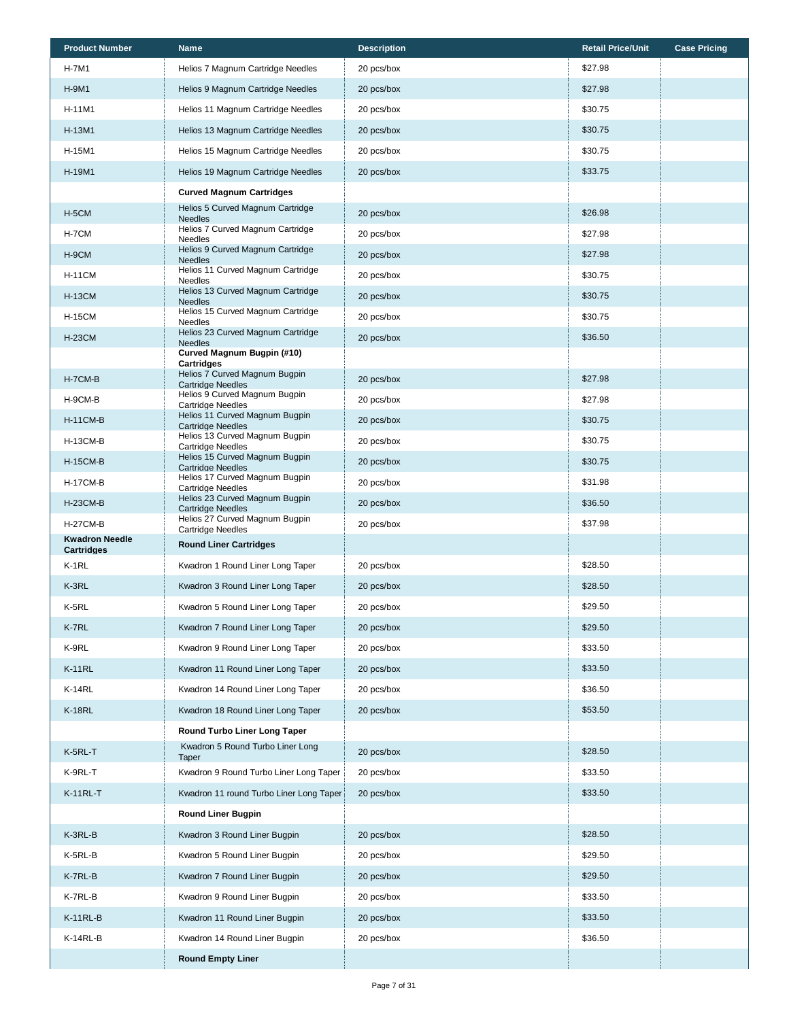| <b>Product Number</b>               | <b>Name</b>                                                | <b>Description</b> | <b>Retail Price/Unit</b> | <b>Case Pricing</b> |
|-------------------------------------|------------------------------------------------------------|--------------------|--------------------------|---------------------|
| H-7M1                               | Helios 7 Magnum Cartridge Needles                          | 20 pcs/box         | \$27.98                  |                     |
| <b>H-9M1</b>                        | Helios 9 Magnum Cartridge Needles                          | 20 pcs/box         | \$27.98                  |                     |
| H-11M1                              | Helios 11 Magnum Cartridge Needles                         | 20 pcs/box         | \$30.75                  |                     |
| H-13M1                              | Helios 13 Magnum Cartridge Needles                         | 20 pcs/box         | \$30.75                  |                     |
| H-15M1                              | Helios 15 Magnum Cartridge Needles                         | 20 pcs/box         | \$30.75                  |                     |
| H-19M1                              | Helios 19 Magnum Cartridge Needles                         | 20 pcs/box         | \$33.75                  |                     |
|                                     | <b>Curved Magnum Cartridges</b>                            |                    |                          |                     |
| H-5CM                               | Helios 5 Curved Magnum Cartridge<br><b>Needles</b>         | 20 pcs/box         | \$26.98                  |                     |
| H-7CM                               | Helios 7 Curved Magnum Cartridge<br><b>Needles</b>         | 20 pcs/box         | \$27.98                  |                     |
| H-9CM                               | Helios 9 Curved Magnum Cartridge<br><b>Needles</b>         | 20 pcs/box         | \$27.98                  |                     |
| <b>H-11CM</b>                       | Helios 11 Curved Magnum Cartridge<br><b>Needles</b>        | 20 pcs/box         | \$30.75                  |                     |
| <b>H-13CM</b>                       | Helios 13 Curved Magnum Cartridge<br><b>Needles</b>        | 20 pcs/box         | \$30.75                  |                     |
| <b>H-15CM</b>                       | Helios 15 Curved Magnum Cartridge<br><b>Needles</b>        | 20 pcs/box         | \$30.75                  |                     |
| <b>H-23CM</b>                       | Helios 23 Curved Magnum Cartridge<br><b>Needles</b>        | 20 pcs/box         | \$36.50                  |                     |
|                                     | Curved Magnum Bugpin (#10)<br><b>Cartridges</b>            |                    |                          |                     |
| H-7CM-B                             | Helios 7 Curved Magnum Bugpin<br><b>Cartridge Needles</b>  | 20 pcs/box         | \$27.98                  |                     |
| H-9CM-B                             | Helios 9 Curved Magnum Bugpin<br><b>Cartridge Needles</b>  | 20 pcs/box         | \$27.98                  |                     |
| <b>H-11CM-B</b>                     | Helios 11 Curved Magnum Bugpin<br><b>Cartridge Needles</b> | 20 pcs/box         | \$30.75                  |                     |
| <b>H-13CM-B</b>                     | Helios 13 Curved Magnum Bugpin<br>Cartridge Needles        | 20 pcs/box         | \$30.75                  |                     |
| <b>H-15CM-B</b>                     | Helios 15 Curved Magnum Bugpin<br><b>Cartridge Needles</b> | 20 pcs/box         | \$30.75                  |                     |
| <b>H-17CM-B</b>                     | Helios 17 Curved Magnum Bugpin<br>Cartridge Needles        | 20 pcs/box         | \$31.98                  |                     |
| <b>H-23CM-B</b>                     | Helios 23 Curved Magnum Bugpin<br><b>Cartridge Needles</b> | 20 pcs/box         | \$36.50                  |                     |
| <b>H-27CM-B</b>                     | Helios 27 Curved Magnum Bugpin<br><b>Cartridge Needles</b> | 20 pcs/box         | \$37.98                  |                     |
| <b>Kwadron Needle</b><br>Cartridges | <b>Round Liner Cartridges</b>                              |                    |                          |                     |
| K-1RL                               | Kwadron 1 Round Liner Long Taper                           | 20 pcs/box         | \$28.50                  |                     |
| K-3RL                               | Kwadron 3 Round Liner Long Taper                           | 20 pcs/box         | \$28.50                  |                     |
| K-5RL                               | Kwadron 5 Round Liner Long Taper                           | 20 pcs/box         | \$29.50                  |                     |
| K-7RL                               | Kwadron 7 Round Liner Long Taper                           | 20 pcs/box         | \$29.50                  |                     |
| K-9RL                               | Kwadron 9 Round Liner Long Taper                           | 20 pcs/box         | \$33.50                  |                     |
| <b>K-11RL</b>                       | Kwadron 11 Round Liner Long Taper                          | 20 pcs/box         | \$33.50                  |                     |
| <b>K-14RL</b>                       | Kwadron 14 Round Liner Long Taper                          | 20 pcs/box         | \$36.50                  |                     |
| <b>K-18RL</b>                       | Kwadron 18 Round Liner Long Taper                          | 20 pcs/box         | \$53.50                  |                     |
|                                     | Round Turbo Liner Long Taper                               |                    |                          |                     |
| K-5RL-T                             | Kwadron 5 Round Turbo Liner Long<br>Taper                  | 20 pcs/box         | \$28.50                  |                     |
| K-9RL-T                             | Kwadron 9 Round Turbo Liner Long Taper                     | 20 pcs/box         | \$33.50                  |                     |
| $K-11RL-T$                          | Kwadron 11 round Turbo Liner Long Taper                    | 20 pcs/box         | \$33.50                  |                     |
|                                     | <b>Round Liner Bugpin</b>                                  |                    |                          |                     |
| K-3RL-B                             | Kwadron 3 Round Liner Bugpin                               | 20 pcs/box         | \$28.50                  |                     |
| K-5RL-B                             | Kwadron 5 Round Liner Bugpin                               | 20 pcs/box         | \$29.50                  |                     |
| K-7RL-B                             | Kwadron 7 Round Liner Bugpin                               | 20 pcs/box         | \$29.50                  |                     |
| K-7RL-B                             | Kwadron 9 Round Liner Bugpin                               | 20 pcs/box         | \$33.50                  |                     |
| $K-11RL-B$                          | Kwadron 11 Round Liner Bugpin                              | 20 pcs/box         | \$33.50                  |                     |
| K-14RL-B                            | Kwadron 14 Round Liner Bugpin                              | 20 pcs/box         | \$36.50                  |                     |
|                                     | <b>Round Empty Liner</b>                                   |                    |                          |                     |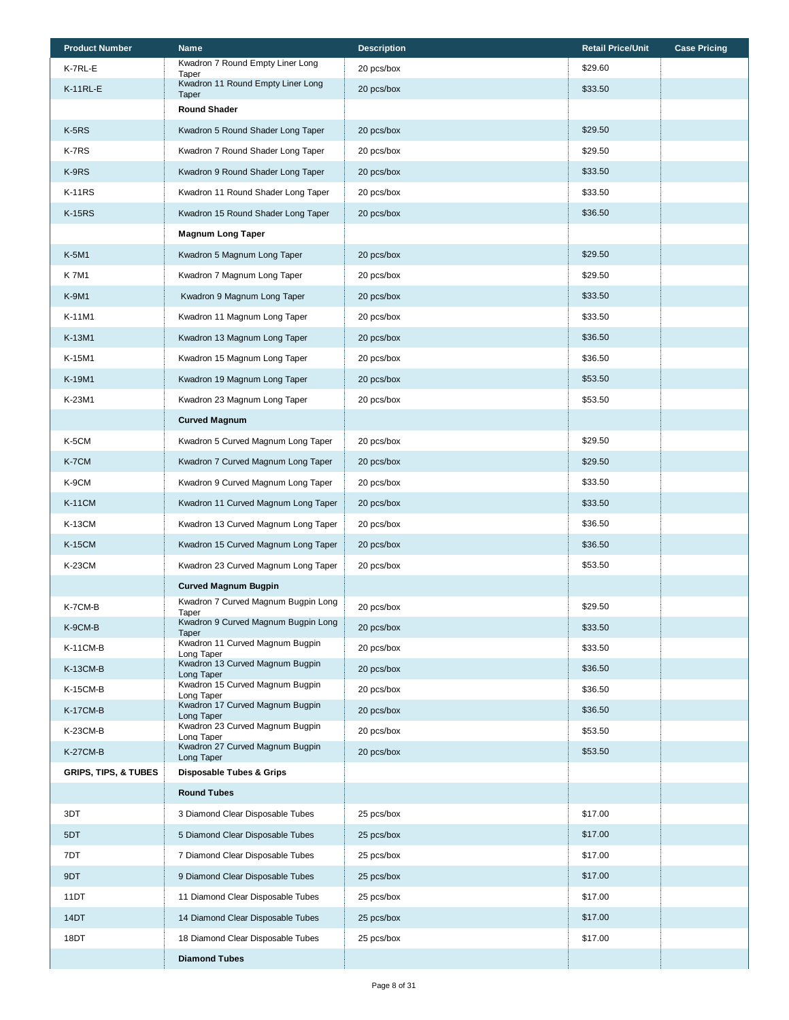| <b>Product Number</b>           | <b>Name</b>                                   | <b>Description</b> | <b>Retail Price/Unit</b> | <b>Case Pricing</b> |
|---------------------------------|-----------------------------------------------|--------------------|--------------------------|---------------------|
| K-7RL-E                         | Kwadron 7 Round Empty Liner Long<br>Taper     | 20 pcs/box         | \$29.60                  |                     |
| $K-11RL-E$                      | Kwadron 11 Round Empty Liner Long<br>Taper    | 20 pcs/box         | \$33.50                  |                     |
|                                 | <b>Round Shader</b>                           |                    |                          |                     |
| $K-5RS$                         | Kwadron 5 Round Shader Long Taper             | 20 pcs/box         | \$29.50                  |                     |
| K-7RS                           | Kwadron 7 Round Shader Long Taper             | 20 pcs/box         | \$29.50                  |                     |
| K-9RS                           | Kwadron 9 Round Shader Long Taper             | 20 pcs/box         | \$33.50                  |                     |
| <b>K-11RS</b>                   | Kwadron 11 Round Shader Long Taper            | 20 pcs/box         | \$33.50                  |                     |
| <b>K-15RS</b>                   | Kwadron 15 Round Shader Long Taper            | 20 pcs/box         | \$36.50                  |                     |
|                                 | <b>Magnum Long Taper</b>                      |                    |                          |                     |
| K-5M1                           | Kwadron 5 Magnum Long Taper                   | 20 pcs/box         | \$29.50                  |                     |
| <b>K7M1</b>                     | Kwadron 7 Magnum Long Taper                   | 20 pcs/box         | \$29.50                  |                     |
| K-9M1                           | Kwadron 9 Magnum Long Taper                   | 20 pcs/box         | \$33.50                  |                     |
| K-11M1                          | Kwadron 11 Magnum Long Taper                  | 20 pcs/box         | \$33.50                  |                     |
| K-13M1                          | Kwadron 13 Magnum Long Taper                  | 20 pcs/box         | \$36.50                  |                     |
| K-15M1                          | Kwadron 15 Magnum Long Taper                  | 20 pcs/box         | \$36.50                  |                     |
| K-19M1                          | Kwadron 19 Magnum Long Taper                  | 20 pcs/box         | \$53.50                  |                     |
| K-23M1                          | Kwadron 23 Magnum Long Taper                  | 20 pcs/box         | \$53.50                  |                     |
|                                 | <b>Curved Magnum</b>                          |                    |                          |                     |
| K-5CM                           | Kwadron 5 Curved Magnum Long Taper            | 20 pcs/box         | \$29.50                  |                     |
| K-7CM                           | Kwadron 7 Curved Magnum Long Taper            | 20 pcs/box         | \$29.50                  |                     |
| K-9CM                           | Kwadron 9 Curved Magnum Long Taper            | 20 pcs/box         | \$33.50                  |                     |
| <b>K-11CM</b>                   | Kwadron 11 Curved Magnum Long Taper           | 20 pcs/box         | \$33.50                  |                     |
| <b>K-13CM</b>                   | Kwadron 13 Curved Magnum Long Taper           | 20 pcs/box         | \$36.50                  |                     |
| <b>K-15CM</b>                   | Kwadron 15 Curved Magnum Long Taper           | 20 pcs/box         | \$36.50                  |                     |
| K-23CM                          | Kwadron 23 Curved Magnum Long Taper           | 20 pcs/box         | \$53.50                  |                     |
|                                 | <b>Curved Magnum Bugpin</b>                   |                    |                          |                     |
| K-7CM-B                         | Kwadron 7 Curved Magnum Bugpin Long<br>Taper  | 20 pcs/box         | \$29.50                  |                     |
| K-9CM-B                         | Kwadron 9 Curved Magnum Bugpin Long<br>Taper  | 20 pcs/box         | \$33.50                  |                     |
| <b>K-11CM-B</b>                 | Kwadron 11 Curved Magnum Bugpin<br>Long Taper | 20 pcs/box         | \$33.50                  |                     |
| <b>K-13CM-B</b>                 | Kwadron 13 Curved Magnum Bugpin<br>Long Taper | 20 pcs/box         | \$36.50                  |                     |
| <b>K-15CM-B</b>                 | Kwadron 15 Curved Magnum Bugpin<br>Long Taper | 20 pcs/box         | \$36.50                  |                     |
| <b>K-17CM-B</b>                 | Kwadron 17 Curved Magnum Bugpin<br>Long Taper | 20 pcs/box         | \$36.50                  |                     |
| K-23CM-B                        | Kwadron 23 Curved Magnum Bugpin<br>Long Taper | 20 pcs/box         | \$53.50                  |                     |
| <b>K-27CM-B</b>                 | Kwadron 27 Curved Magnum Bugpin<br>Long Taper | 20 pcs/box         | \$53.50                  |                     |
| <b>GRIPS, TIPS, &amp; TUBES</b> | <b>Disposable Tubes &amp; Grips</b>           |                    |                          |                     |
|                                 | <b>Round Tubes</b>                            |                    |                          |                     |
| 3DT                             | 3 Diamond Clear Disposable Tubes              | 25 pcs/box         | \$17.00                  |                     |
| 5DT                             | 5 Diamond Clear Disposable Tubes              | 25 pcs/box         | \$17.00                  |                     |
| 7DT                             | 7 Diamond Clear Disposable Tubes              | 25 pcs/box         | \$17.00                  |                     |
| 9DT                             | 9 Diamond Clear Disposable Tubes              | 25 pcs/box         | \$17.00                  |                     |
| 11DT                            | 11 Diamond Clear Disposable Tubes             | 25 pcs/box         | \$17.00                  |                     |
| 14DT                            | 14 Diamond Clear Disposable Tubes             | 25 pcs/box         | \$17.00                  |                     |
| 18DT                            | 18 Diamond Clear Disposable Tubes             | 25 pcs/box         | \$17.00                  |                     |
|                                 | <b>Diamond Tubes</b>                          |                    |                          |                     |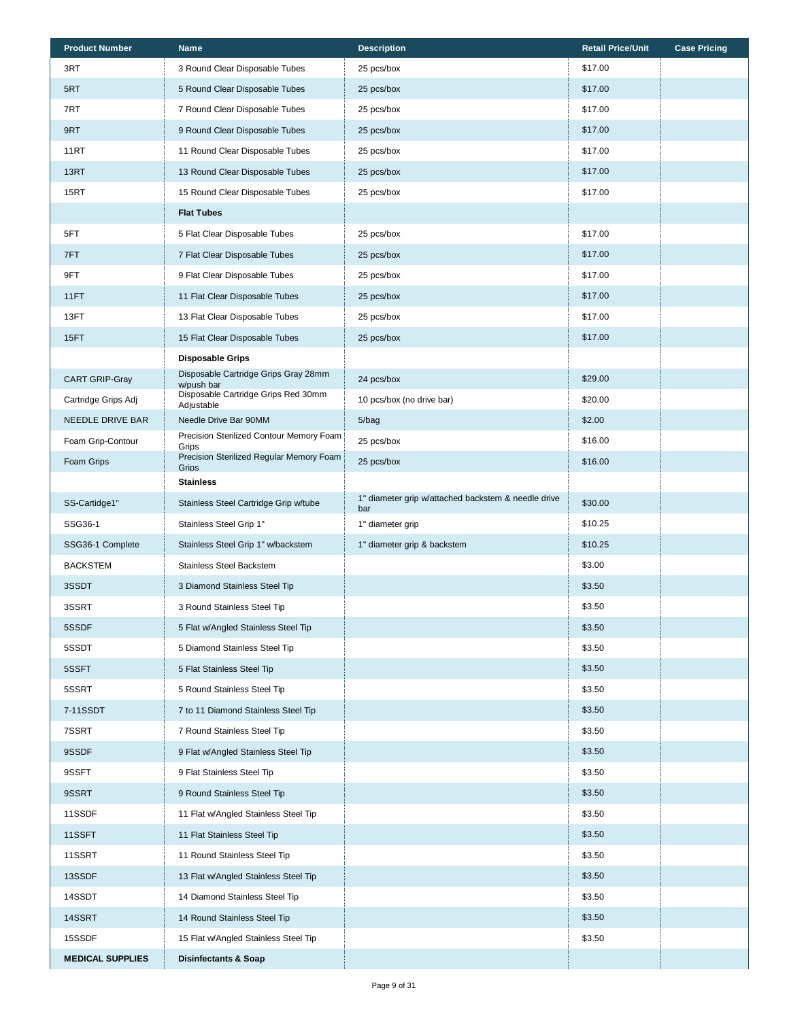| <b>Product Number</b>   | <b>Name</b>                                        | <b>Description</b>                                         | <b>Retail Price/Unit</b> | <b>Case Pricing</b> |
|-------------------------|----------------------------------------------------|------------------------------------------------------------|--------------------------|---------------------|
| 3RT                     | 3 Round Clear Disposable Tubes                     | 25 pcs/box                                                 | \$17.00                  |                     |
| 5RT                     | 5 Round Clear Disposable Tubes                     | 25 pcs/box                                                 | \$17.00                  |                     |
| 7RT                     | 7 Round Clear Disposable Tubes                     | 25 pcs/box                                                 | \$17.00                  |                     |
| 9RT                     | 9 Round Clear Disposable Tubes                     | 25 pcs/box                                                 | \$17.00                  |                     |
| 11RT                    | 11 Round Clear Disposable Tubes                    | 25 pcs/box                                                 | \$17.00                  |                     |
| 13RT                    | 13 Round Clear Disposable Tubes                    | 25 pcs/box                                                 | \$17.00                  |                     |
| 15RT                    | 15 Round Clear Disposable Tubes                    | 25 pcs/box                                                 | \$17.00                  |                     |
|                         | <b>Flat Tubes</b>                                  |                                                            |                          |                     |
| 5FT                     | 5 Flat Clear Disposable Tubes                      | 25 pcs/box                                                 | \$17.00                  |                     |
| 7FT                     | 7 Flat Clear Disposable Tubes                      | 25 pcs/box                                                 | \$17.00                  |                     |
| 9FT                     | 9 Flat Clear Disposable Tubes                      | 25 pcs/box                                                 | \$17.00                  |                     |
| 11FT                    | 11 Flat Clear Disposable Tubes                     | 25 pcs/box                                                 | \$17.00                  |                     |
| 13FT                    | 13 Flat Clear Disposable Tubes                     | 25 pcs/box                                                 | \$17.00                  |                     |
| 15FT                    | 15 Flat Clear Disposable Tubes                     | 25 pcs/box                                                 | \$17.00                  |                     |
|                         | <b>Disposable Grips</b>                            |                                                            |                          |                     |
| <b>CART GRIP-Gray</b>   | Disposable Cartridge Grips Gray 28mm<br>w/push bar | 24 pcs/box                                                 | \$29.00                  |                     |
| Cartridge Grips Adj     | Disposable Cartridge Grips Red 30mm<br>Adjustable  | 10 pcs/box (no drive bar)                                  | \$20.00                  |                     |
| NEEDLE DRIVE BAR        | Needle Drive Bar 90MM                              | 5/bag                                                      | \$2.00                   |                     |
| Foam Grip-Contour       | Precision Sterilized Contour Memory Foam<br>Grips  | 25 pcs/box                                                 | \$16.00                  |                     |
| Foam Grips              | Precision Sterilized Regular Memory Foam<br>Grips  | 25 pcs/box                                                 | \$16.00                  |                     |
|                         | <b>Stainless</b>                                   |                                                            |                          |                     |
| SS-Cartidge1"           | Stainless Steel Cartridge Grip w/tube              | 1" diameter grip w/attached backstem & needle drive<br>bar | \$30.00                  |                     |
| SSG36-1                 | Stainless Steel Grip 1"                            | 1" diameter grip                                           | \$10.25                  |                     |
| SSG36-1 Complete        | Stainless Steel Grip 1" w/backstem                 | 1" diameter grip & backstem                                | \$10.25                  |                     |
| <b>BACKSTEM</b>         | Stainless Steel Backstem                           |                                                            | \$3.00                   |                     |
| 3SSDT                   | 3 Diamond Stainless Steel Tip                      |                                                            | \$3.50                   |                     |
| 3SSRT                   | 3 Round Stainless Steel Tip                        |                                                            | \$3.50                   |                     |
| 5SSDF                   | 5 Flat w/Angled Stainless Steel Tip                |                                                            | \$3.50                   |                     |
| 5SSDT                   | 5 Diamond Stainless Steel Tip                      |                                                            | \$3.50                   |                     |
| 5SSFT                   | 5 Flat Stainless Steel Tip                         |                                                            | \$3.50                   |                     |
| 5SSRT                   | 5 Round Stainless Steel Tip                        |                                                            | \$3.50                   |                     |
| 7-11SSDT                | 7 to 11 Diamond Stainless Steel Tip                |                                                            | \$3.50                   |                     |
| 7SSRT                   | 7 Round Stainless Steel Tip                        |                                                            | \$3.50                   |                     |
| 9SSDF                   | 9 Flat w/Angled Stainless Steel Tip                |                                                            | \$3.50                   |                     |
| 9SSFT                   | 9 Flat Stainless Steel Tip                         |                                                            | \$3.50                   |                     |
| 9SSRT                   | 9 Round Stainless Steel Tip                        |                                                            | \$3.50                   |                     |
| 11SSDF                  | 11 Flat w/Angled Stainless Steel Tip               |                                                            | \$3.50                   |                     |
| 11SSFT                  | 11 Flat Stainless Steel Tip                        |                                                            | \$3.50                   |                     |
| 11SSRT                  | 11 Round Stainless Steel Tip                       |                                                            | \$3.50                   |                     |
| 13SSDF                  | 13 Flat w/Angled Stainless Steel Tip               |                                                            | \$3.50                   |                     |
| 14SSDT                  | 14 Diamond Stainless Steel Tip                     |                                                            | \$3.50                   |                     |
| 14SSRT                  | 14 Round Stainless Steel Tip                       |                                                            | \$3.50                   |                     |
| 15SSDF                  | 15 Flat w/Angled Stainless Steel Tip               |                                                            | \$3.50                   |                     |
| <b>MEDICAL SUPPLIES</b> | <b>Disinfectants &amp; Soap</b>                    |                                                            |                          |                     |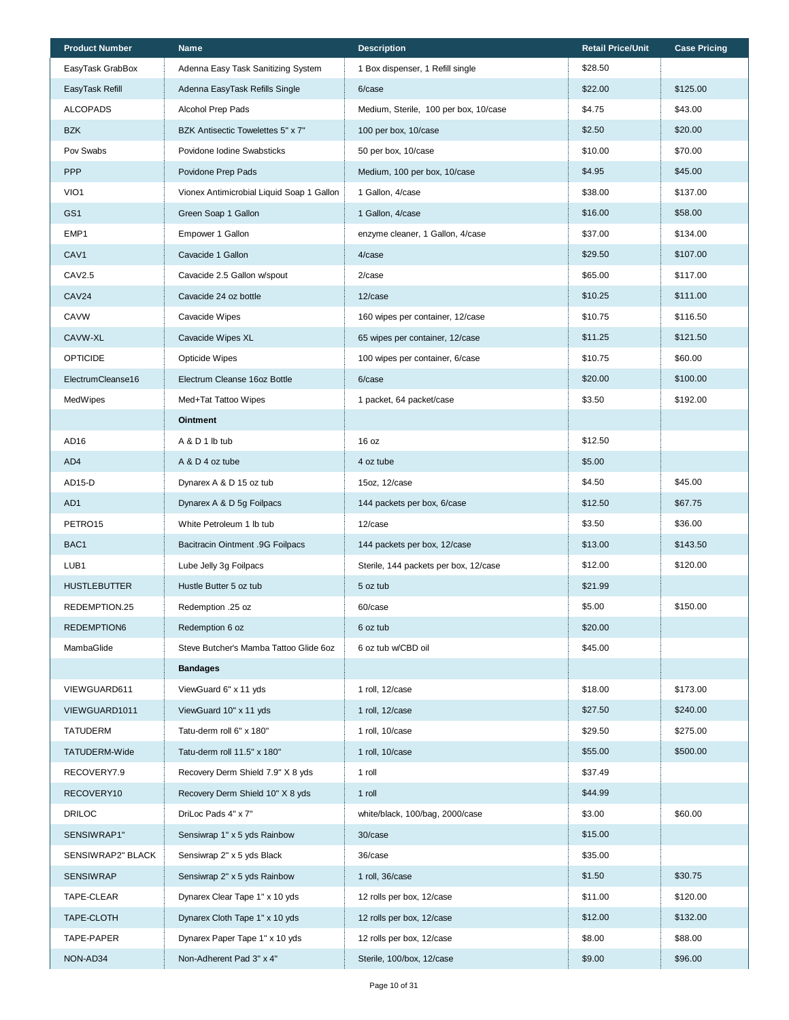| <b>Product Number</b> | <b>Name</b>                               | <b>Description</b>                    | <b>Retail Price/Unit</b> | <b>Case Pricing</b> |
|-----------------------|-------------------------------------------|---------------------------------------|--------------------------|---------------------|
| EasyTask GrabBox      | Adenna Easy Task Sanitizing System        | 1 Box dispenser, 1 Refill single      | \$28.50                  |                     |
| EasyTask Refill       | Adenna EasyTask Refills Single            | 6/case                                | \$22.00                  | \$125.00            |
| <b>ALCOPADS</b>       | Alcohol Prep Pads                         | Medium, Sterile, 100 per box, 10/case | \$4.75                   | \$43.00             |
| <b>BZK</b>            | BZK Antisectic Towelettes 5" x 7"         | 100 per box, 10/case                  | \$2.50                   | \$20.00             |
| Pov Swabs             | Povidone Iodine Swabsticks                | 50 per box, 10/case                   | \$10.00                  | \$70.00             |
| <b>PPP</b>            | Povidone Prep Pads                        | Medium, 100 per box, 10/case          | \$4.95                   | \$45.00             |
| VIO1                  | Vionex Antimicrobial Liquid Soap 1 Gallon | 1 Gallon, 4/case                      | \$38.00                  | \$137.00            |
| GS <sub>1</sub>       | Green Soap 1 Gallon                       | 1 Gallon, 4/case                      | \$16.00                  | \$58.00             |
| EMP1                  | Empower 1 Gallon                          | enzyme cleaner, 1 Gallon, 4/case      | \$37.00                  | \$134.00            |
| CAV <sub>1</sub>      | Cavacide 1 Gallon                         | 4/case                                | \$29.50                  | \$107.00            |
| CAV2.5                | Cavacide 2.5 Gallon w/spout               | 2/case                                | \$65.00                  | \$117.00            |
| <b>CAV24</b>          | Cavacide 24 oz bottle                     | 12/case                               | \$10.25                  | \$111.00            |
| <b>CAVW</b>           | Cavacide Wipes                            | 160 wipes per container, 12/case      | \$10.75                  | \$116.50            |
| CAVW-XL               | Cavacide Wipes XL                         | 65 wipes per container, 12/case       | \$11.25                  | \$121.50            |
| <b>OPTICIDE</b>       | <b>Opticide Wipes</b>                     | 100 wipes per container, 6/case       | \$10.75                  | \$60.00             |
| ElectrumCleanse16     | Electrum Cleanse 16oz Bottle              | 6/case                                | \$20.00                  | \$100.00            |
| MedWipes              | Med+Tat Tattoo Wipes                      | 1 packet, 64 packet/case              | \$3.50                   | \$192.00            |
|                       | <b>Ointment</b>                           |                                       |                          |                     |
| AD <sub>16</sub>      | A & D 1 lb tub                            | 16 oz                                 | \$12.50                  |                     |
| AD4                   | A & D 4 oz tube                           | 4 oz tube                             | \$5.00                   |                     |
| AD15-D                | Dynarex A & D 15 oz tub                   | 15oz, 12/case                         | \$4.50                   | \$45.00             |
| AD1                   | Dynarex A & D 5g Foilpacs                 | 144 packets per box, 6/case           | \$12.50                  | \$67.75             |
| PETRO <sub>15</sub>   | White Petroleum 1 lb tub                  | 12/case                               | \$3.50                   | \$36.00             |
| BAC1                  | <b>Bacitracin Ointment .9G Foilpacs</b>   | 144 packets per box, 12/case          | \$13.00                  | \$143.50            |
| LUB1                  | Lube Jelly 3g Foilpacs                    | Sterile, 144 packets per box, 12/case | \$12.00                  | \$120.00            |
| <b>HUSTLEBUTTER</b>   | Hustle Butter 5 oz tub                    | 5 oz tub                              | \$21.99                  |                     |
| REDEMPTION.25         | Redemption .25 oz                         | 60/case                               | \$5.00                   | \$150.00            |
| REDEMPTION6           | Redemption 6 oz                           | 6 oz tub                              | \$20.00                  |                     |
| MambaGlide            | Steve Butcher's Mamba Tattoo Glide 6oz    | 6 oz tub w/CBD oil                    | \$45.00                  |                     |
|                       | <b>Bandages</b>                           |                                       |                          |                     |
| VIEWGUARD611          | ViewGuard 6" x 11 yds                     | 1 roll, 12/case                       | \$18.00                  | \$173.00            |
| VIEWGUARD1011         | ViewGuard 10" x 11 yds                    | 1 roll, 12/case                       | \$27.50                  | \$240.00            |
| <b>TATUDERM</b>       | Tatu-derm roll 6" x 180"                  | 1 roll, 10/case                       | \$29.50                  | \$275.00            |
| TATUDERM-Wide         | Tatu-derm roll 11.5" x 180"               | 1 roll, 10/case                       | \$55.00                  | \$500.00            |
| RECOVERY7.9           | Recovery Derm Shield 7.9" X 8 yds         | 1 roll                                | \$37.49                  |                     |
| RECOVERY10            | Recovery Derm Shield 10" X 8 yds          | 1 roll                                | \$44.99                  |                     |
| <b>DRILOC</b>         | DriLoc Pads 4" x 7"                       | white/black, 100/bag, 2000/case       | \$3.00                   | \$60.00             |
| SENSIWRAP1"           | Sensiwrap 1" x 5 yds Rainbow              | 30/case                               | \$15.00                  |                     |
| SENSIWRAP2" BLACK     | Sensiwrap 2" x 5 yds Black                | 36/case                               | \$35.00                  |                     |
| <b>SENSIWRAP</b>      | Sensiwrap 2" x 5 yds Rainbow              | 1 roll, 36/case                       | \$1.50                   | \$30.75             |
| TAPE-CLEAR            | Dynarex Clear Tape 1" x 10 yds            | 12 rolls per box, 12/case             | \$11.00                  | \$120.00            |
| TAPE-CLOTH            | Dynarex Cloth Tape 1" x 10 yds            | 12 rolls per box, 12/case             | \$12.00                  | \$132.00            |
| TAPE-PAPER            | Dynarex Paper Tape 1" x 10 yds            | 12 rolls per box, 12/case             | \$8.00                   | \$88.00             |
| NON-AD34              | Non-Adherent Pad 3" x 4"                  | Sterile, 100/box, 12/case             | \$9.00                   | \$96.00             |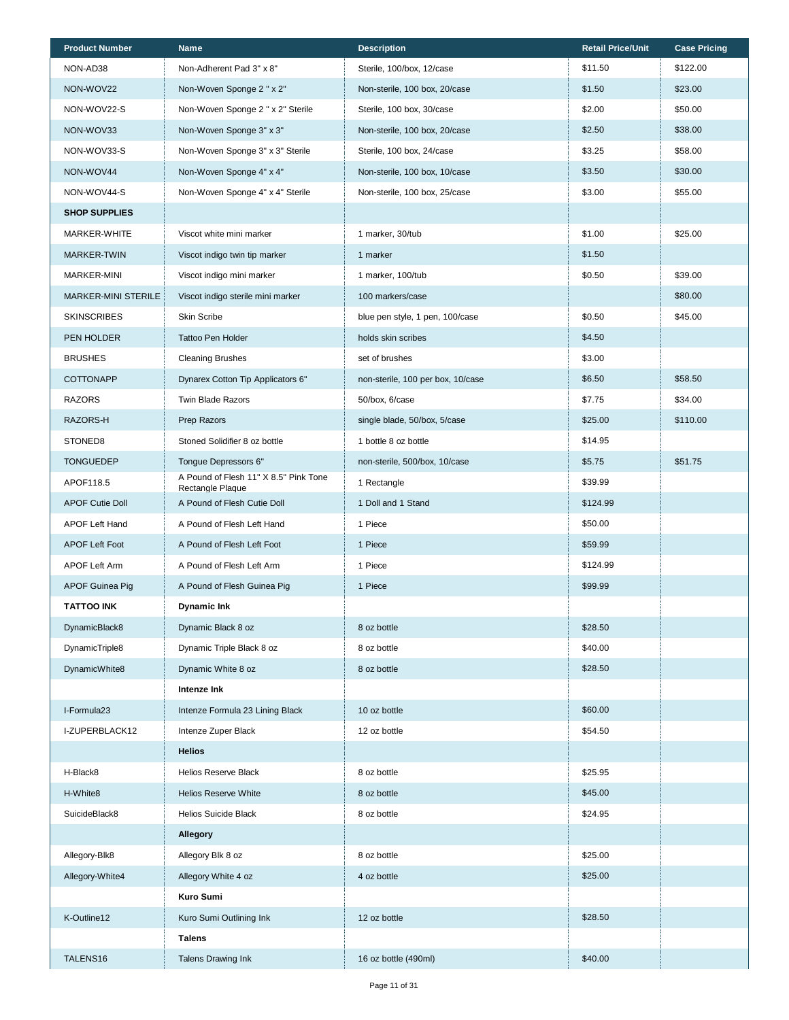| <b>Product Number</b>      | Name                                                      | <b>Description</b>                | <b>Retail Price/Unit</b> | <b>Case Pricing</b> |
|----------------------------|-----------------------------------------------------------|-----------------------------------|--------------------------|---------------------|
| NON-AD38                   | Non-Adherent Pad 3" x 8"                                  | Sterile, 100/box, 12/case         | \$11.50                  | \$122.00            |
| NON-WOV22                  | Non-Woven Sponge 2 " x 2"                                 | Non-sterile, 100 box, 20/case     | \$1.50                   | \$23.00             |
| NON-WOV22-S                | Non-Woven Sponge 2 " x 2" Sterile                         | Sterile, 100 box, 30/case         | \$2.00                   | \$50.00             |
| NON-WOV33                  | Non-Woven Sponge 3" x 3"                                  | Non-sterile, 100 box, 20/case     | \$2.50                   | \$38.00             |
| NON-WOV33-S                | Non-Woven Sponge 3" x 3" Sterile                          | Sterile, 100 box, 24/case         | \$3.25                   | \$58.00             |
| NON-WOV44                  | Non-Woven Sponge 4" x 4"                                  | Non-sterile, 100 box, 10/case     | \$3.50                   | \$30.00             |
| NON-WOV44-S                | Non-Woven Sponge 4" x 4" Sterile                          | Non-sterile, 100 box, 25/case     | \$3.00                   | \$55.00             |
| <b>SHOP SUPPLIES</b>       |                                                           |                                   |                          |                     |
| MARKER-WHITE               | Viscot white mini marker                                  | 1 marker, 30/tub                  | \$1.00                   | \$25.00             |
| MARKER-TWIN                | Viscot indigo twin tip marker                             | 1 marker                          | \$1.50                   |                     |
| MARKER-MINI                | Viscot indigo mini marker                                 | 1 marker, 100/tub                 | \$0.50                   | \$39.00             |
| <b>MARKER-MINI STERILE</b> | Viscot indigo sterile mini marker                         | 100 markers/case                  |                          | \$80.00             |
| <b>SKINSCRIBES</b>         | <b>Skin Scribe</b>                                        | blue pen style, 1 pen, 100/case   | \$0.50                   | \$45.00             |
| PEN HOLDER                 | <b>Tattoo Pen Holder</b>                                  | holds skin scribes                | \$4.50                   |                     |
| <b>BRUSHES</b>             | <b>Cleaning Brushes</b>                                   | set of brushes                    | \$3.00                   |                     |
| COTTONAPP                  | Dynarex Cotton Tip Applicators 6"                         | non-sterile, 100 per box, 10/case | \$6.50                   | \$58.50             |
| <b>RAZORS</b>              | Twin Blade Razors                                         | 50/box, 6/case                    | \$7.75                   | \$34.00             |
| RAZORS-H                   | Prep Razors                                               | single blade, 50/box, 5/case      | \$25.00                  | \$110.00            |
| STONED8                    | Stoned Solidifier 8 oz bottle                             | 1 bottle 8 oz bottle              | \$14.95                  |                     |
| <b>TONGUEDEP</b>           | Tongue Depressors 6"                                      | non-sterile, 500/box, 10/case     | \$5.75                   | \$51.75             |
| APOF118.5                  | A Pound of Flesh 11" X 8.5" Pink Tone<br>Rectangle Plaque | 1 Rectangle                       | \$39.99                  |                     |
| <b>APOF Cutie Doll</b>     | A Pound of Flesh Cutie Doll                               | 1 Doll and 1 Stand                | \$124.99                 |                     |
| APOF Left Hand             | A Pound of Flesh Left Hand                                | 1 Piece                           | \$50.00                  |                     |
| <b>APOF Left Foot</b>      | A Pound of Flesh Left Foot                                | 1 Piece                           | \$59.99                  |                     |
| APOF Left Arm              | A Pound of Flesh Left Arm                                 | 1 Piece                           | \$124.99                 |                     |
| <b>APOF Guinea Pig</b>     | A Pound of Flesh Guinea Pig                               | 1 Piece                           | \$99.99                  |                     |
| <b>TATTOO INK</b>          | Dynamic Ink                                               |                                   |                          |                     |
| DynamicBlack8              | Dynamic Black 8 oz                                        | 8 oz bottle                       | \$28.50                  |                     |
| DynamicTriple8             | Dynamic Triple Black 8 oz                                 | 8 oz bottle                       | \$40.00                  |                     |
| DynamicWhite8              | Dynamic White 8 oz                                        | 8 oz bottle                       | \$28.50                  |                     |
|                            | Intenze Ink                                               |                                   |                          |                     |
| I-Formula23                | Intenze Formula 23 Lining Black                           | 10 oz bottle                      | \$60.00                  |                     |
| I-ZUPERBLACK12             | Intenze Zuper Black                                       | 12 oz bottle                      | \$54.50                  |                     |
|                            | <b>Helios</b>                                             |                                   |                          |                     |
| H-Black8                   | Helios Reserve Black                                      | 8 oz bottle                       | \$25.95                  |                     |
| H-White8                   | <b>Helios Reserve White</b>                               | 8 oz bottle                       | \$45.00                  |                     |
| SuicideBlack8              | Helios Suicide Black                                      | 8 oz bottle                       | \$24.95                  |                     |
|                            | <b>Allegory</b>                                           |                                   |                          |                     |
| Allegory-Blk8              | Allegory Blk 8 oz                                         | 8 oz bottle                       | \$25.00                  |                     |
| Allegory-White4            | Allegory White 4 oz                                       | 4 oz bottle                       | \$25.00                  |                     |
|                            | <b>Kuro Sumi</b>                                          |                                   |                          |                     |
| K-Outline12                | Kuro Sumi Outlining Ink                                   | 12 oz bottle                      | \$28.50                  |                     |
|                            | Talens                                                    |                                   |                          |                     |
| TALENS16                   | <b>Talens Drawing Ink</b>                                 | 16 oz bottle (490ml)              | \$40.00                  |                     |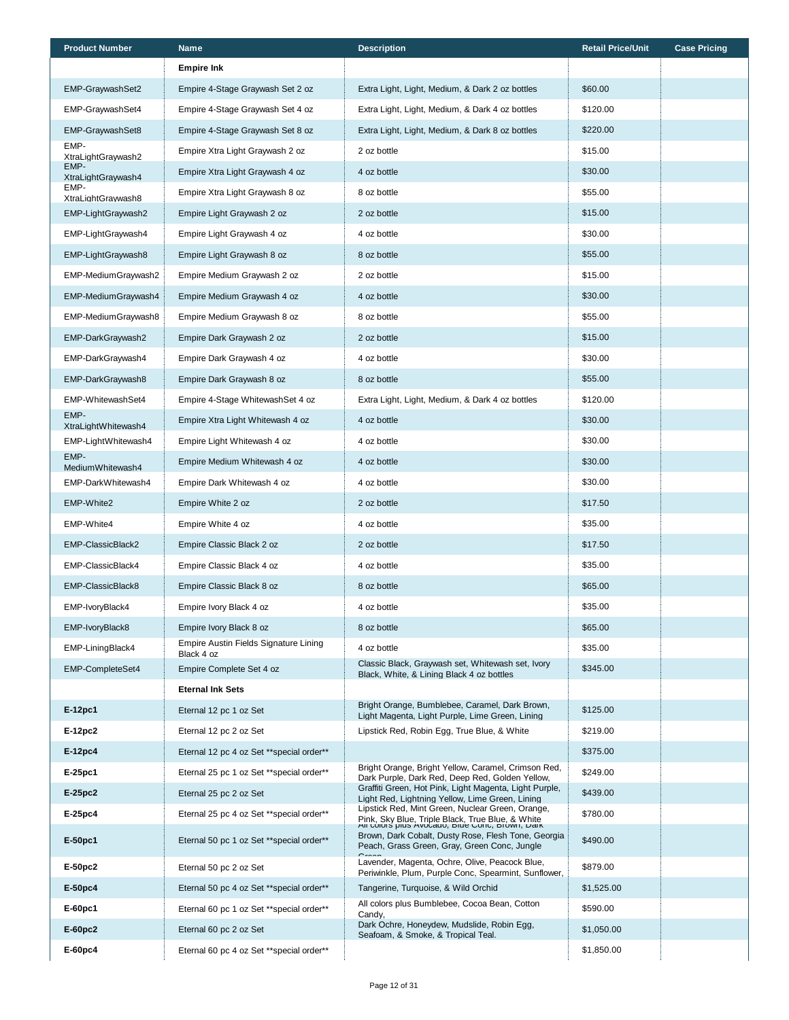| <b>Product Number</b>                      | <b>Name</b>                               | <b>Description</b>                                                                                        | <b>Retail Price/Unit</b> | <b>Case Pricing</b> |
|--------------------------------------------|-------------------------------------------|-----------------------------------------------------------------------------------------------------------|--------------------------|---------------------|
|                                            | <b>Empire Ink</b>                         |                                                                                                           |                          |                     |
| EMP-GraywashSet2                           | Empire 4-Stage Graywash Set 2 oz          | Extra Light, Light, Medium, & Dark 2 oz bottles                                                           | \$60.00                  |                     |
| EMP-GraywashSet4                           | Empire 4-Stage Graywash Set 4 oz          | Extra Light, Light, Medium, & Dark 4 oz bottles                                                           | \$120.00                 |                     |
| EMP-GraywashSet8                           | Empire 4-Stage Graywash Set 8 oz          | Extra Light, Light, Medium, & Dark 8 oz bottles                                                           | \$220.00                 |                     |
| EMP-<br>XtraLightGraywash2                 | Empire Xtra Light Graywash 2 oz           | 2 oz bottle                                                                                               | \$15.00                  |                     |
| EMP-<br>XtraLightGraywash4                 | Empire Xtra Light Graywash 4 oz           | 4 oz bottle                                                                                               | \$30.00                  |                     |
| EMP-<br>XtraLightGraywash8                 | Empire Xtra Light Graywash 8 oz           | 8 oz bottle                                                                                               | \$55.00                  |                     |
| EMP-LightGraywash2                         | Empire Light Graywash 2 oz                | 2 oz bottle                                                                                               | \$15.00                  |                     |
| EMP-LightGraywash4                         | Empire Light Graywash 4 oz                | 4 oz bottle                                                                                               | \$30.00                  |                     |
| EMP-LightGraywash8                         | Empire Light Graywash 8 oz                | 8 oz bottle                                                                                               | \$55.00                  |                     |
| EMP-MediumGraywash2                        | Empire Medium Graywash 2 oz               | 2 oz bottle                                                                                               | \$15.00                  |                     |
| EMP-MediumGraywash4                        | Empire Medium Graywash 4 oz               | 4 oz bottle                                                                                               | \$30.00                  |                     |
| EMP-MediumGraywash8                        | Empire Medium Graywash 8 oz               | 8 oz bottle                                                                                               | \$55.00                  |                     |
| EMP-DarkGraywash2                          | Empire Dark Graywash 2 oz                 | 2 oz bottle                                                                                               | \$15.00                  |                     |
| EMP-DarkGraywash4                          | Empire Dark Graywash 4 oz                 | 4 oz bottle                                                                                               | \$30.00                  |                     |
| EMP-DarkGraywash8                          | Empire Dark Graywash 8 oz                 | 8 oz bottle                                                                                               | \$55.00                  |                     |
| EMP-WhitewashSet4                          | Empire 4-Stage WhitewashSet 4 oz          | Extra Light, Light, Medium, & Dark 4 oz bottles                                                           | \$120.00                 |                     |
| EMP-                                       | Empire Xtra Light Whitewash 4 oz          | 4 oz bottle                                                                                               | \$30.00                  |                     |
| XtraLightWhitewash4<br>EMP-LightWhitewash4 | Empire Light Whitewash 4 oz               | 4 oz bottle                                                                                               | \$30.00                  |                     |
| EMP-                                       | Empire Medium Whitewash 4 oz              | 4 oz bottle                                                                                               | \$30.00                  |                     |
| MediumWhitewash4<br>EMP-DarkWhitewash4     | Empire Dark Whitewash 4 oz                | 4 oz bottle                                                                                               | \$30.00                  |                     |
| EMP-White2                                 | Empire White 2 oz                         | 2 oz bottle                                                                                               | \$17.50                  |                     |
| EMP-White4                                 | Empire White 4 oz                         | 4 oz bottle                                                                                               | \$35.00                  |                     |
| EMP-ClassicBlack2                          | Empire Classic Black 2 oz                 | 2 oz bottle                                                                                               | \$17.50                  |                     |
| EMP-ClassicBlack4                          | Empire Classic Black 4 oz                 | 4 oz bottle                                                                                               | \$35.00                  |                     |
| EMP-ClassicBlack8                          | Empire Classic Black 8 oz                 | 8 oz bottle                                                                                               | \$65.00                  |                     |
| EMP-IvoryBlack4                            | Empire Ivory Black 4 oz                   | 4 oz bottle                                                                                               | \$35.00                  |                     |
| EMP-IvoryBlack8                            | Empire Ivory Black 8 oz                   | 8 oz bottle                                                                                               | \$65.00                  |                     |
| EMP-LiningBlack4                           | Empire Austin Fields Signature Lining     | 4 oz bottle                                                                                               | \$35.00                  |                     |
| EMP-CompleteSet4                           | Black 4 oz<br>Empire Complete Set 4 oz    | Classic Black, Graywash set, Whitewash set, Ivory                                                         | \$345.00                 |                     |
|                                            | <b>Eternal Ink Sets</b>                   | Black, White, & Lining Black 4 oz bottles                                                                 |                          |                     |
| E-12pc1                                    | Eternal 12 pc 1 oz Set                    | Bright Orange, Bumblebee, Caramel, Dark Brown,                                                            | \$125.00                 |                     |
| E-12pc2                                    | Eternal 12 pc 2 oz Set                    | Light Magenta, Light Purple, Lime Green, Lining<br>Lipstick Red, Robin Egg, True Blue, & White            | \$219.00                 |                     |
| E-12pc4                                    | Eternal 12 pc 4 oz Set ** special order** |                                                                                                           | \$375.00                 |                     |
| E-25pc1                                    | Eternal 25 pc 1 oz Set ** special order** | Bright Orange, Bright Yellow, Caramel, Crimson Red,                                                       | \$249.00                 |                     |
| E-25pc2                                    | Eternal 25 pc 2 oz Set                    | Dark Purple, Dark Red, Deep Red, Golden Yellow,<br>Graffiti Green, Hot Pink, Light Magenta, Light Purple, | \$439.00                 |                     |
| E-25pc4                                    | Eternal 25 pc 4 oz Set ** special order** | Light Red, Lightning Yellow, Lime Green, Lining<br>Lipstick Red, Mint Green, Nuclear Green, Orange,       | \$780.00                 |                     |
|                                            |                                           | Pink, Sky Blue, Triple Black, True Blue, & White<br>All Colors plus Avocauo, Diue Corlo, Drown, Dain      |                          |                     |
| E-50pc1                                    | Eternal 50 pc 1 oz Set ** special order** | Brown, Dark Cobalt, Dusty Rose, Flesh Tone, Georgia<br>Peach, Grass Green, Gray, Green Conc, Jungle       | \$490.00                 |                     |
| E-50pc2                                    | Eternal 50 pc 2 oz Set                    | Lavender, Magenta, Ochre, Olive, Peacock Blue,<br>Periwinkle, Plum, Purple Conc, Spearmint, Sunflower,    | \$879.00                 |                     |
| $E-50pc4$                                  | Eternal 50 pc 4 oz Set ** special order** | Tangerine, Turquoise, & Wild Orchid                                                                       | \$1,525.00               |                     |
| $E-60pc1$                                  | Eternal 60 pc 1 oz Set ** special order** | All colors plus Bumblebee, Cocoa Bean, Cotton<br>Candy,                                                   | \$590.00                 |                     |
| E-60pc2                                    | Eternal 60 pc 2 oz Set                    | Dark Ochre, Honeydew, Mudslide, Robin Egg,<br>Seafoam, & Smoke, & Tropical Teal.                          | \$1,050.00               |                     |
| E-60pc4                                    | Eternal 60 pc 4 oz Set ** special order** |                                                                                                           | \$1,850.00               |                     |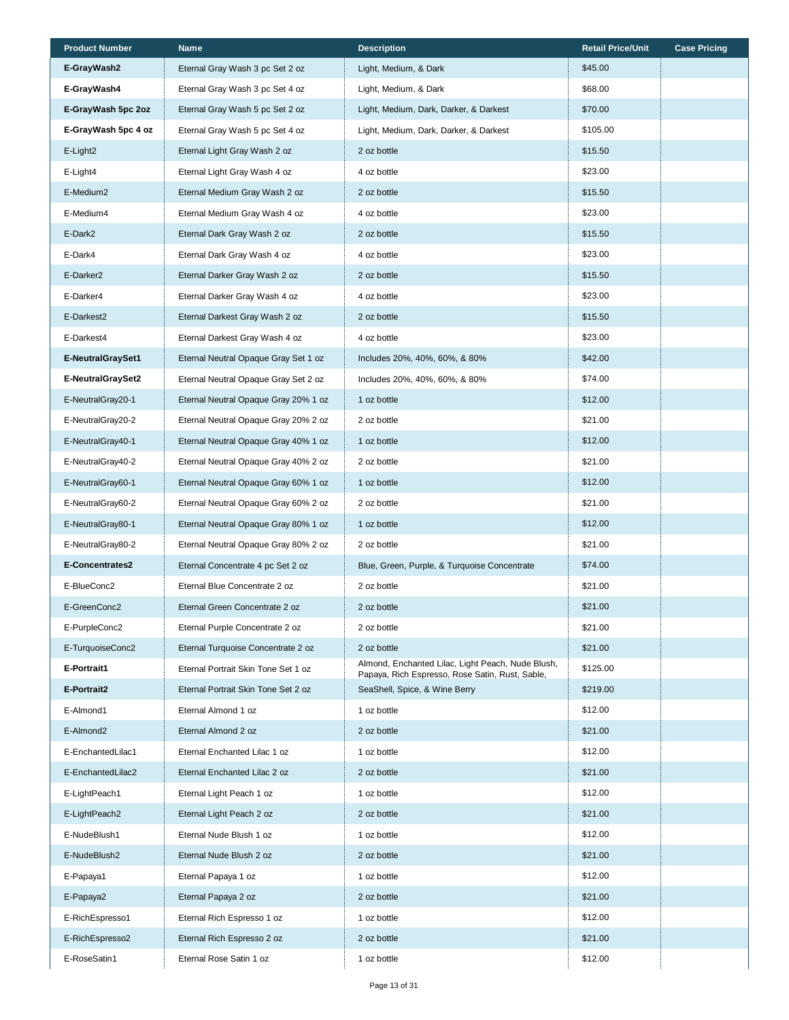| <b>Product Number</b>    | Name                                 | <b>Description</b>                                                                                   | <b>Retail Price/Unit</b> | <b>Case Pricing</b> |
|--------------------------|--------------------------------------|------------------------------------------------------------------------------------------------------|--------------------------|---------------------|
| E-GrayWash2              | Eternal Gray Wash 3 pc Set 2 oz      | Light, Medium, & Dark                                                                                | \$45.00                  |                     |
| E-GrayWash4              | Eternal Gray Wash 3 pc Set 4 oz      | Light, Medium, & Dark                                                                                | \$68.00                  |                     |
| E-GrayWash 5pc 2oz       | Eternal Gray Wash 5 pc Set 2 oz      | Light, Medium, Dark, Darker, & Darkest                                                               | \$70.00                  |                     |
| E-GrayWash 5pc 4 oz      | Eternal Gray Wash 5 pc Set 4 oz      | Light, Medium, Dark, Darker, & Darkest                                                               | \$105.00                 |                     |
| E-Light2                 | Eternal Light Gray Wash 2 oz         | 2 oz bottle                                                                                          | \$15.50                  |                     |
| E-Light4                 | Eternal Light Gray Wash 4 oz         | 4 oz bottle                                                                                          | \$23.00                  |                     |
| E-Medium2                | Eternal Medium Gray Wash 2 oz        | 2 oz bottle                                                                                          | \$15.50                  |                     |
| E-Medium4                | Eternal Medium Gray Wash 4 oz        | 4 oz bottle                                                                                          | \$23.00                  |                     |
| E-Dark2                  | Eternal Dark Gray Wash 2 oz          | 2 oz bottle                                                                                          | \$15.50                  |                     |
| E-Dark4                  | Eternal Dark Gray Wash 4 oz          | 4 oz bottle                                                                                          | \$23.00                  |                     |
| E-Darker <sub>2</sub>    | Eternal Darker Gray Wash 2 oz        | 2 oz bottle                                                                                          | \$15.50                  |                     |
| E-Darker4                | Eternal Darker Gray Wash 4 oz        | 4 oz bottle                                                                                          | \$23.00                  |                     |
| E-Darkest2               | Eternal Darkest Gray Wash 2 oz       | 2 oz bottle                                                                                          | \$15.50                  |                     |
| E-Darkest4               | Eternal Darkest Gray Wash 4 oz       | 4 oz bottle                                                                                          | \$23.00                  |                     |
| <b>E-NeutralGraySet1</b> | Eternal Neutral Opaque Gray Set 1 oz | Includes 20%, 40%, 60%, & 80%                                                                        | \$42.00                  |                     |
| <b>E-NeutralGraySet2</b> | Eternal Neutral Opaque Gray Set 2 oz | Includes 20%, 40%, 60%, & 80%                                                                        | \$74.00                  |                     |
| E-NeutralGray20-1        | Eternal Neutral Opaque Gray 20% 1 oz | 1 oz bottle                                                                                          | \$12.00                  |                     |
| E-NeutralGray20-2        | Eternal Neutral Opaque Gray 20% 2 oz | 2 oz bottle                                                                                          | \$21.00                  |                     |
| E-NeutralGray40-1        | Eternal Neutral Opaque Gray 40% 1 oz | 1 oz bottle                                                                                          | \$12.00                  |                     |
| E-NeutralGray40-2        | Eternal Neutral Opaque Gray 40% 2 oz | 2 oz bottle                                                                                          | \$21.00                  |                     |
| E-NeutralGray60-1        | Eternal Neutral Opaque Gray 60% 1 oz | 1 oz bottle                                                                                          | \$12.00                  |                     |
| E-NeutralGray60-2        | Eternal Neutral Opaque Gray 60% 2 oz | 2 oz bottle                                                                                          | \$21.00                  |                     |
| E-NeutralGray80-1        | Eternal Neutral Opaque Gray 80% 1 oz | 1 oz bottle                                                                                          | \$12.00                  |                     |
| E-NeutralGray80-2        | Eternal Neutral Opaque Gray 80% 2 oz | 2 oz bottle                                                                                          | \$21.00                  |                     |
| E-Concentrates2          | Eternal Concentrate 4 pc Set 2 oz    | Blue, Green, Purple, & Turquoise Concentrate                                                         | \$74.00                  |                     |
| E-BlueConc2              | Eternal Blue Concentrate 2 oz        | 2 oz bottle                                                                                          | \$21.00                  |                     |
| E-GreenConc2             | Eternal Green Concentrate 2 oz       | 2 oz bottle                                                                                          | \$21.00                  |                     |
| E-PurpleConc2            | Eternal Purple Concentrate 2 oz      | 2 oz bottle                                                                                          | \$21.00                  |                     |
| E-TurquoiseConc2         | Eternal Turquoise Concentrate 2 oz   | 2 oz bottle                                                                                          | \$21.00                  |                     |
| E-Portrait1              | Eternal Portrait Skin Tone Set 1 oz  | Almond, Enchanted Lilac, Light Peach, Nude Blush,<br>Papaya, Rich Espresso, Rose Satin, Rust, Sable, | \$125.00                 |                     |
| E-Portrait2              | Eternal Portrait Skin Tone Set 2 oz  | SeaShell, Spice, & Wine Berry                                                                        | \$219.00                 |                     |
| E-Almond1                | Eternal Almond 1 oz                  | 1 oz bottle                                                                                          | \$12.00                  |                     |
| E-Almond2                | Eternal Almond 2 oz                  | 2 oz bottle                                                                                          | \$21.00                  |                     |
| E-EnchantedLilac1        | Eternal Enchanted Lilac 1 oz         | 1 oz bottle                                                                                          | \$12.00                  |                     |
| E-EnchantedLilac2        | Eternal Enchanted Lilac 2 oz         | 2 oz bottle                                                                                          | \$21.00                  |                     |
| E-LightPeach1            | Eternal Light Peach 1 oz             | 1 oz bottle                                                                                          | \$12.00                  |                     |
| E-LightPeach2            | Eternal Light Peach 2 oz             | 2 oz bottle                                                                                          | \$21.00                  |                     |
| E-NudeBlush1             | Eternal Nude Blush 1 oz              | 1 oz bottle                                                                                          | \$12.00                  |                     |
| E-NudeBlush2             | Eternal Nude Blush 2 oz              | 2 oz bottle                                                                                          | \$21.00                  |                     |
| E-Papaya1                | Eternal Papaya 1 oz                  | 1 oz bottle                                                                                          | \$12.00                  |                     |
| E-Papaya2                | Eternal Papaya 2 oz                  | 2 oz bottle                                                                                          | \$21.00                  |                     |
| E-RichEspresso1          | Eternal Rich Espresso 1 oz           | 1 oz bottle                                                                                          | \$12.00                  |                     |
| E-RichEspresso2          | Eternal Rich Espresso 2 oz           | 2 oz bottle                                                                                          | \$21.00                  |                     |
| E-RoseSatin1             | Eternal Rose Satin 1 oz              | 1 oz bottle                                                                                          | \$12.00                  |                     |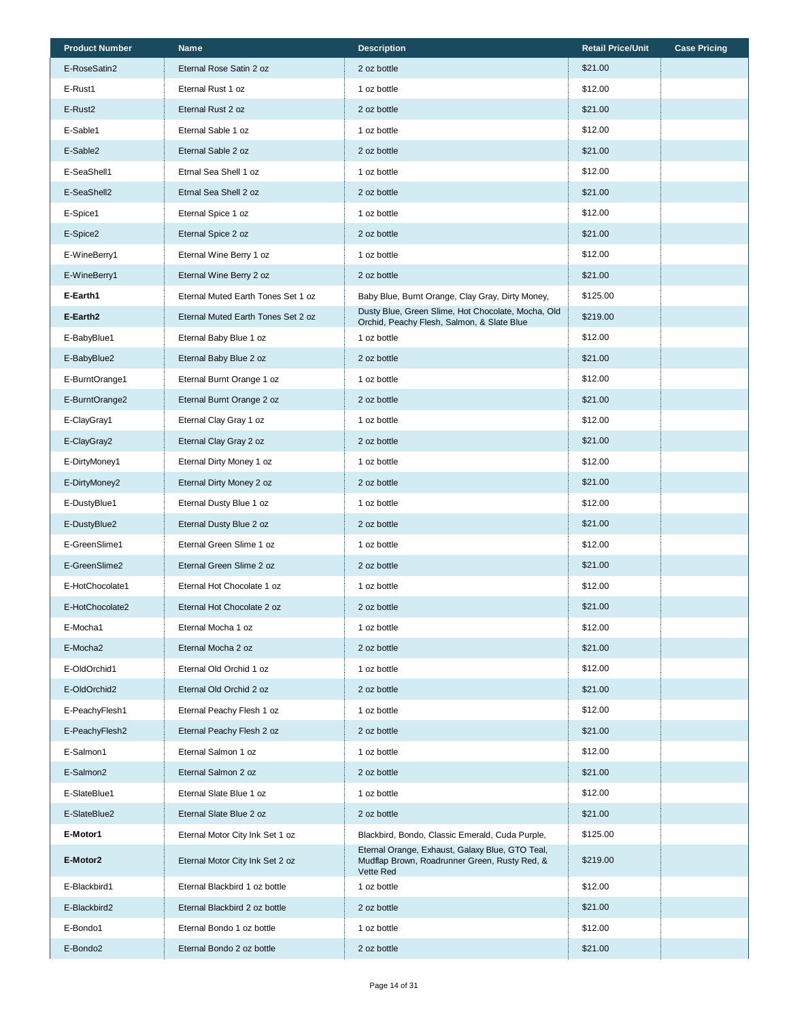| <b>Product Number</b> | Name                               | <b>Description</b>                                                                                            | <b>Retail Price/Unit</b> | <b>Case Pricing</b> |
|-----------------------|------------------------------------|---------------------------------------------------------------------------------------------------------------|--------------------------|---------------------|
| E-RoseSatin2          | Eternal Rose Satin 2 oz            | 2 oz bottle                                                                                                   | \$21.00                  |                     |
| E-Rust1               | Eternal Rust 1 oz                  | 1 oz bottle                                                                                                   | \$12.00                  |                     |
| E-Rust <sub>2</sub>   | Eternal Rust 2 oz                  | 2 oz bottle                                                                                                   | \$21.00                  |                     |
| E-Sable1              | Eternal Sable 1 oz                 | 1 oz bottle                                                                                                   | \$12.00                  |                     |
| E-Sable2              | Eternal Sable 2 oz                 | 2 oz bottle                                                                                                   | \$21.00                  |                     |
| E-SeaShell1           | Etrnal Sea Shell 1 oz              | 1 oz bottle                                                                                                   | \$12.00                  |                     |
| E-SeaShell2           | Etrnal Sea Shell 2 oz              | 2 oz bottle                                                                                                   | \$21.00                  |                     |
| E-Spice1              | Eternal Spice 1 oz                 | 1 oz bottle                                                                                                   | \$12.00                  |                     |
| E-Spice2              | Eternal Spice 2 oz                 | 2 oz bottle                                                                                                   | \$21.00                  |                     |
| E-WineBerry1          | Eternal Wine Berry 1 oz            | 1 oz bottle                                                                                                   | \$12.00                  |                     |
| E-WineBerry1          | Eternal Wine Berry 2 oz            | 2 oz bottle                                                                                                   | \$21.00                  |                     |
| E-Earth1              | Eternal Muted Earth Tones Set 1 oz | Baby Blue, Burnt Orange, Clay Gray, Dirty Money,                                                              | \$125.00                 |                     |
| E-Earth2              | Eternal Muted Earth Tones Set 2 oz | Dusty Blue, Green Slime, Hot Chocolate, Mocha, Old<br>Orchid, Peachy Flesh, Salmon, & Slate Blue              | \$219.00                 |                     |
| E-BabyBlue1           | Eternal Baby Blue 1 oz             | 1 oz bottle                                                                                                   | \$12.00                  |                     |
| E-BabyBlue2           | Eternal Baby Blue 2 oz             | 2 oz bottle                                                                                                   | \$21.00                  |                     |
| E-BurntOrange1        | Eternal Burnt Orange 1 oz          | 1 oz bottle                                                                                                   | \$12.00                  |                     |
| E-BurntOrange2        | Eternal Burnt Orange 2 oz          | 2 oz bottle                                                                                                   | \$21.00                  |                     |
| E-ClayGray1           | Eternal Clay Gray 1 oz             | 1 oz bottle                                                                                                   | \$12.00                  |                     |
| E-ClayGray2           | Eternal Clay Gray 2 oz             | 2 oz bottle                                                                                                   | \$21.00                  |                     |
| E-DirtyMoney1         | Eternal Dirty Money 1 oz           | 1 oz bottle                                                                                                   | \$12.00                  |                     |
| E-DirtyMoney2         | Eternal Dirty Money 2 oz           | 2 oz bottle                                                                                                   | \$21.00                  |                     |
| E-DustyBlue1          | Eternal Dusty Blue 1 oz            | 1 oz bottle                                                                                                   | \$12.00                  |                     |
| E-DustyBlue2          | Eternal Dusty Blue 2 oz            | 2 oz bottle                                                                                                   | \$21.00                  |                     |
| E-GreenSlime1         | Eternal Green Slime 1 oz           | 1 oz bottle                                                                                                   | \$12.00                  |                     |
| E-GreenSlime2         | Eternal Green Slime 2 oz           | 2 oz bottle                                                                                                   | \$21.00                  |                     |
| E-HotChocolate1       | Eternal Hot Chocolate 1 oz         | 1 oz bottle                                                                                                   | \$12.00                  |                     |
| E-HotChocolate2       | Eternal Hot Chocolate 2 oz         | 2 oz bottle                                                                                                   | \$21.00                  |                     |
| E-Mocha1              | Eternal Mocha 1 oz                 | 1 oz bottle                                                                                                   | \$12.00                  |                     |
| E-Mocha2              | Eternal Mocha 2 oz                 | 2 oz bottle                                                                                                   | \$21.00                  |                     |
| E-OldOrchid1          | Eternal Old Orchid 1 oz            | 1 oz bottle                                                                                                   | \$12.00                  |                     |
| E-OldOrchid2          | Eternal Old Orchid 2 oz            | 2 oz bottle                                                                                                   | \$21.00                  |                     |
| E-PeachyFlesh1        | Eternal Peachy Flesh 1 oz          | 1 oz bottle                                                                                                   | \$12.00                  |                     |
| E-PeachyFlesh2        | Eternal Peachy Flesh 2 oz          | 2 oz bottle                                                                                                   | \$21.00                  |                     |
| E-Salmon1             | Eternal Salmon 1 oz                | 1 oz bottle                                                                                                   | \$12.00                  |                     |
| E-Salmon2             | Eternal Salmon 2 oz                | 2 oz bottle                                                                                                   | \$21.00                  |                     |
| E-SlateBlue1          | Eternal Slate Blue 1 oz            | 1 oz bottle                                                                                                   | \$12.00                  |                     |
| E-SlateBlue2          | Eternal Slate Blue 2 oz            | 2 oz bottle                                                                                                   | \$21.00                  |                     |
| E-Motor1              | Eternal Motor City Ink Set 1 oz    | Blackbird, Bondo, Classic Emerald, Cuda Purple,                                                               | \$125.00                 |                     |
| E-Motor2              | Eternal Motor City Ink Set 2 oz    | Eternal Orange, Exhaust, Galaxy Blue, GTO Teal,<br>Mudflap Brown, Roadrunner Green, Rusty Red, &<br>Vette Red | \$219.00                 |                     |
| E-Blackbird1          | Eternal Blackbird 1 oz bottle      | 1 oz bottle                                                                                                   | \$12.00                  |                     |
| E-Blackbird2          | Eternal Blackbird 2 oz bottle      | 2 oz bottle                                                                                                   | \$21.00                  |                     |
| E-Bondo1              | Eternal Bondo 1 oz bottle          | 1 oz bottle                                                                                                   | \$12.00                  |                     |
| E-Bondo2              | Eternal Bondo 2 oz bottle          | 2 oz bottle                                                                                                   | \$21.00                  |                     |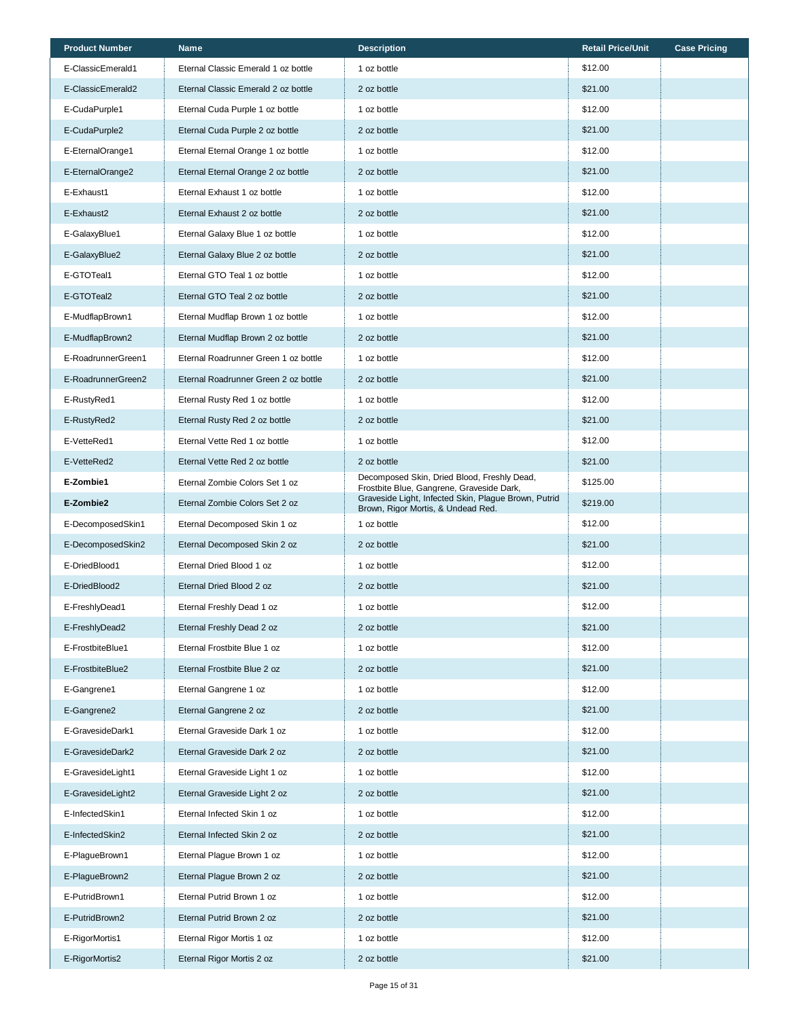| <b>Product Number</b> | Name                                 | <b>Description</b>                                                                         | <b>Retail Price/Unit</b> | <b>Case Pricing</b> |
|-----------------------|--------------------------------------|--------------------------------------------------------------------------------------------|--------------------------|---------------------|
| E-ClassicEmerald1     | Eternal Classic Emerald 1 oz bottle  | 1 oz bottle                                                                                | \$12.00                  |                     |
| E-ClassicEmerald2     | Eternal Classic Emerald 2 oz bottle  | 2 oz bottle                                                                                | \$21.00                  |                     |
| E-CudaPurple1         | Eternal Cuda Purple 1 oz bottle      | 1 oz bottle                                                                                | \$12.00                  |                     |
| E-CudaPurple2         | Eternal Cuda Purple 2 oz bottle      | 2 oz bottle                                                                                | \$21.00                  |                     |
| E-EternalOrange1      | Eternal Eternal Orange 1 oz bottle   | 1 oz bottle                                                                                | \$12.00                  |                     |
| E-EternalOrange2      | Eternal Eternal Orange 2 oz bottle   | 2 oz bottle                                                                                | \$21.00                  |                     |
| E-Exhaust1            | Eternal Exhaust 1 oz bottle          | 1 oz bottle                                                                                | \$12.00                  |                     |
| E-Exhaust2            | Eternal Exhaust 2 oz bottle          | 2 oz bottle                                                                                | \$21.00                  |                     |
| E-GalaxyBlue1         | Eternal Galaxy Blue 1 oz bottle      | 1 oz bottle                                                                                | \$12.00                  |                     |
| E-GalaxyBlue2         | Eternal Galaxy Blue 2 oz bottle      | 2 oz bottle                                                                                | \$21.00                  |                     |
| E-GTOTeal1            | Eternal GTO Teal 1 oz bottle         | 1 oz bottle                                                                                | \$12.00                  |                     |
| E-GTOTeal2            | Eternal GTO Teal 2 oz bottle         | 2 oz bottle                                                                                | \$21.00                  |                     |
| E-MudflapBrown1       | Eternal Mudflap Brown 1 oz bottle    | 1 oz bottle                                                                                | \$12.00                  |                     |
| E-MudflapBrown2       | Eternal Mudflap Brown 2 oz bottle    | 2 oz bottle                                                                                | \$21.00                  |                     |
| E-RoadrunnerGreen1    | Eternal Roadrunner Green 1 oz bottle | 1 oz bottle                                                                                | \$12.00                  |                     |
| E-RoadrunnerGreen2    | Eternal Roadrunner Green 2 oz bottle | 2 oz bottle                                                                                | \$21.00                  |                     |
| E-RustyRed1           | Eternal Rusty Red 1 oz bottle        | 1 oz bottle                                                                                | \$12.00                  |                     |
| E-RustyRed2           | Eternal Rusty Red 2 oz bottle        | 2 oz bottle                                                                                | \$21.00                  |                     |
| E-VetteRed1           | Eternal Vette Red 1 oz bottle        | 1 oz bottle                                                                                | \$12.00                  |                     |
| E-VetteRed2           | Eternal Vette Red 2 oz bottle        | 2 oz bottle                                                                                | \$21.00                  |                     |
| E-Zombie1             | Eternal Zombie Colors Set 1 oz       | Decomposed Skin, Dried Blood, Freshly Dead,<br>Frostbite Blue, Gangrene, Graveside Dark,   | \$125.00                 |                     |
| E-Zombie2             | Eternal Zombie Colors Set 2 oz       | Graveside Light, Infected Skin, Plague Brown, Putrid<br>Brown, Rigor Mortis, & Undead Red. | \$219.00                 |                     |
| E-DecomposedSkin1     | Eternal Decomposed Skin 1 oz         | 1 oz bottle                                                                                | \$12.00                  |                     |
| E-DecomposedSkin2     | Eternal Decomposed Skin 2 oz         | 2 oz bottle                                                                                | \$21.00                  |                     |
| E-DriedBlood1         | Eternal Dried Blood 1 oz             | 1 oz bottle                                                                                | \$12.00                  |                     |
| E-DriedBlood2         | Eternal Dried Blood 2 oz             | 2 oz bottle                                                                                | \$21.00                  |                     |
| E-FreshlyDead1        | Eternal Freshly Dead 1 oz            | 1 oz bottle                                                                                | \$12.00                  |                     |
| E-FreshlyDead2        | Eternal Freshly Dead 2 oz            | 2 oz bottle                                                                                | \$21.00                  |                     |
| E-FrostbiteBlue1      | Eternal Frostbite Blue 1 oz          | 1 oz bottle                                                                                | \$12.00                  |                     |
| E-FrostbiteBlue2      | Eternal Frostbite Blue 2 oz          | 2 oz bottle                                                                                | \$21.00                  |                     |
| E-Gangrene1           | Eternal Gangrene 1 oz                | 1 oz bottle                                                                                | \$12.00                  |                     |
| E-Gangrene2           | Eternal Gangrene 2 oz                | 2 oz bottle                                                                                | \$21.00                  |                     |
| E-GravesideDark1      | Eternal Graveside Dark 1 oz          | 1 oz bottle                                                                                | \$12.00                  |                     |
| E-GravesideDark2      | Eternal Graveside Dark 2 oz          | 2 oz bottle                                                                                | \$21.00                  |                     |
| E-GravesideLight1     | Eternal Graveside Light 1 oz         | 1 oz bottle                                                                                | \$12.00                  |                     |
| E-GravesideLight2     | Eternal Graveside Light 2 oz         | 2 oz bottle                                                                                | \$21.00                  |                     |
| E-InfectedSkin1       | Eternal Infected Skin 1 oz           | 1 oz bottle                                                                                | \$12.00                  |                     |
| E-InfectedSkin2       | Eternal Infected Skin 2 oz           | 2 oz bottle                                                                                | \$21.00                  |                     |
| E-PlagueBrown1        | Eternal Plague Brown 1 oz            | 1 oz bottle                                                                                | \$12.00                  |                     |
| E-PlagueBrown2        | Eternal Plague Brown 2 oz            | 2 oz bottle                                                                                | \$21.00                  |                     |
| E-PutridBrown1        | Eternal Putrid Brown 1 oz            | 1 oz bottle                                                                                | \$12.00                  |                     |
| E-PutridBrown2        | Eternal Putrid Brown 2 oz            | 2 oz bottle                                                                                | \$21.00                  |                     |
| E-RigorMortis1        | Eternal Rigor Mortis 1 oz            | 1 oz bottle                                                                                | \$12.00                  |                     |
| E-RigorMortis2        | Eternal Rigor Mortis 2 oz            | 2 oz bottle                                                                                | \$21.00                  |                     |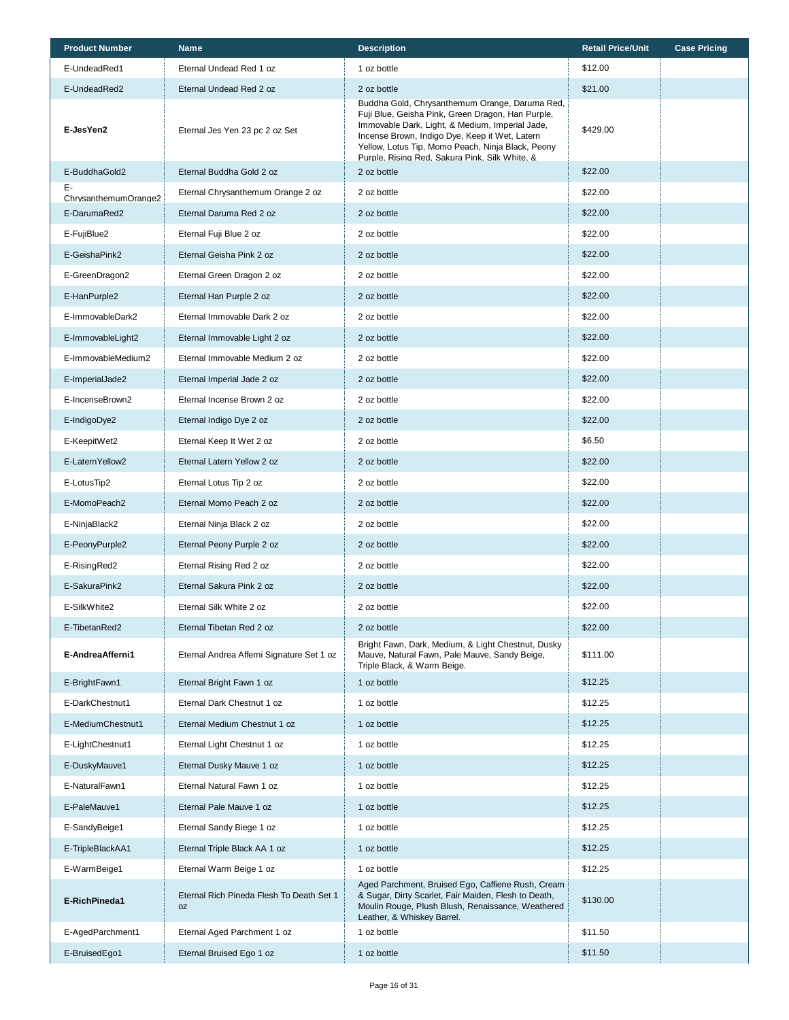| <b>Product Number</b>      | Name                                                  | <b>Description</b>                                                                                                                                                                                                                                                                                              | <b>Retail Price/Unit</b> | <b>Case Pricing</b> |
|----------------------------|-------------------------------------------------------|-----------------------------------------------------------------------------------------------------------------------------------------------------------------------------------------------------------------------------------------------------------------------------------------------------------------|--------------------------|---------------------|
| E-UndeadRed1               | Eternal Undead Red 1 oz                               | 1 oz bottle                                                                                                                                                                                                                                                                                                     | \$12.00                  |                     |
| E-UndeadRed2               | Eternal Undead Red 2 oz                               | 2 oz bottle                                                                                                                                                                                                                                                                                                     | \$21.00                  |                     |
| E-JesYen2                  | Eternal Jes Yen 23 pc 2 oz Set                        | Buddha Gold, Chrysanthemum Orange, Daruma Red,<br>Fuji Blue, Geisha Pink, Green Dragon, Han Purple,<br>Immovable Dark, Light, & Medium, Imperial Jade,<br>Incense Brown, Indigo Dye, Keep it Wet, Latern<br>Yellow, Lotus Tip, Momo Peach, Ninja Black, Peony<br>Purple. Rising Red. Sakura Pink. Silk White. & | \$429.00                 |                     |
| E-BuddhaGold2              | Eternal Buddha Gold 2 oz                              | 2 oz bottle                                                                                                                                                                                                                                                                                                     | \$22.00                  |                     |
| Е-<br>ChrysanthemumOrange2 | Eternal Chrysanthemum Orange 2 oz                     | 2 oz bottle                                                                                                                                                                                                                                                                                                     | \$22.00                  |                     |
| E-DarumaRed2               | Eternal Daruma Red 2 oz                               | 2 oz bottle                                                                                                                                                                                                                                                                                                     | \$22.00                  |                     |
| E-FujiBlue2                | Eternal Fuji Blue 2 oz                                | 2 oz bottle                                                                                                                                                                                                                                                                                                     | \$22.00                  |                     |
| E-GeishaPink2              | Eternal Geisha Pink 2 oz                              | 2 oz bottle                                                                                                                                                                                                                                                                                                     | \$22.00                  |                     |
| E-GreenDragon2             | Eternal Green Dragon 2 oz                             | 2 oz bottle                                                                                                                                                                                                                                                                                                     | \$22.00                  |                     |
| E-HanPurple2               | Eternal Han Purple 2 oz                               | 2 oz bottle                                                                                                                                                                                                                                                                                                     | \$22.00                  |                     |
| E-ImmovableDark2           | Eternal Immovable Dark 2 oz                           | 2 oz bottle                                                                                                                                                                                                                                                                                                     | \$22.00                  |                     |
| E-ImmovableLight2          | Eternal Immovable Light 2 oz                          | 2 oz bottle                                                                                                                                                                                                                                                                                                     | \$22.00                  |                     |
| E-ImmovableMedium2         | Eternal Immovable Medium 2 oz                         | 2 oz bottle                                                                                                                                                                                                                                                                                                     | \$22.00                  |                     |
| E-ImperialJade2            | Eternal Imperial Jade 2 oz                            | 2 oz bottle                                                                                                                                                                                                                                                                                                     | \$22.00                  |                     |
| E-IncenseBrown2            | Eternal Incense Brown 2 oz                            | 2 oz bottle                                                                                                                                                                                                                                                                                                     | \$22.00                  |                     |
| E-IndigoDye2               | Eternal Indigo Dye 2 oz                               | 2 oz bottle                                                                                                                                                                                                                                                                                                     | \$22.00                  |                     |
| E-KeepitWet2               | Eternal Keep It Wet 2 oz                              | 2 oz bottle                                                                                                                                                                                                                                                                                                     | \$6.50                   |                     |
| E-LaternYellow2            | Eternal Latern Yellow 2 oz                            | 2 oz bottle                                                                                                                                                                                                                                                                                                     | \$22.00                  |                     |
| E-LotusTip2                | Eternal Lotus Tip 2 oz                                | 2 oz bottle                                                                                                                                                                                                                                                                                                     | \$22.00                  |                     |
| E-MomoPeach2               | Eternal Momo Peach 2 oz                               | 2 oz bottle                                                                                                                                                                                                                                                                                                     | \$22.00                  |                     |
| E-NinjaBlack2              | Eternal Ninja Black 2 oz                              | 2 oz bottle                                                                                                                                                                                                                                                                                                     | \$22.00                  |                     |
| E-PeonyPurple2             | Eternal Peony Purple 2 oz                             | 2 oz bottle                                                                                                                                                                                                                                                                                                     | \$22.00                  |                     |
| E-RisingRed2               | Eternal Rising Red 2 oz                               | 2 oz bottle                                                                                                                                                                                                                                                                                                     | \$22.00                  |                     |
| E-SakuraPink2              | Eternal Sakura Pink 2 oz                              | 2 oz bottle                                                                                                                                                                                                                                                                                                     | \$22.00                  |                     |
| E-SilkWhite2               | Eternal Silk White 2 oz                               | 2 oz bottle                                                                                                                                                                                                                                                                                                     | \$22.00                  |                     |
| E-TibetanRed2              | Eternal Tibetan Red 2 oz                              | 2 oz bottle                                                                                                                                                                                                                                                                                                     | \$22.00                  |                     |
| E-AndreaAfferni1           | Eternal Andrea Afferni Signature Set 1 oz             | Bright Fawn, Dark, Medium, & Light Chestnut, Dusky<br>Mauve, Natural Fawn, Pale Mauve, Sandy Beige,<br>Triple Black, & Warm Beige.                                                                                                                                                                              | \$111.00                 |                     |
| E-BrightFawn1              | Eternal Bright Fawn 1 oz                              | 1 oz bottle                                                                                                                                                                                                                                                                                                     | \$12.25                  |                     |
| E-DarkChestnut1            | Eternal Dark Chestnut 1 oz                            | 1 oz bottle                                                                                                                                                                                                                                                                                                     | \$12.25                  |                     |
| E-MediumChestnut1          | Eternal Medium Chestnut 1 oz                          | 1 oz bottle                                                                                                                                                                                                                                                                                                     | \$12.25                  |                     |
| E-LightChestnut1           | Eternal Light Chestnut 1 oz                           | 1 oz bottle                                                                                                                                                                                                                                                                                                     | \$12.25                  |                     |
| E-DuskyMauve1              | Eternal Dusky Mauve 1 oz                              | 1 oz bottle                                                                                                                                                                                                                                                                                                     | \$12.25                  |                     |
| E-NaturalFawn1             | Eternal Natural Fawn 1 oz                             | 1 oz bottle                                                                                                                                                                                                                                                                                                     | \$12.25                  |                     |
| E-PaleMauve1               | Eternal Pale Mauve 1 oz                               | 1 oz bottle                                                                                                                                                                                                                                                                                                     | \$12.25                  |                     |
| E-SandyBeige1              | Eternal Sandy Biege 1 oz                              | 1 oz bottle                                                                                                                                                                                                                                                                                                     | \$12.25                  |                     |
| E-TripleBlackAA1           | Eternal Triple Black AA 1 oz                          | 1 oz bottle                                                                                                                                                                                                                                                                                                     | \$12.25                  |                     |
| E-WarmBeige1               | Eternal Warm Beige 1 oz                               | 1 oz bottle                                                                                                                                                                                                                                                                                                     | \$12.25                  |                     |
| E-RichPineda1              | Eternal Rich Pineda Flesh To Death Set 1<br><b>OZ</b> | Aged Parchment, Bruised Ego, Caffiene Rush, Cream<br>& Sugar, Dirty Scarlet, Fair Maiden, Flesh to Death,<br>Moulin Rouge, Plush Blush, Renaissance, Weathered<br>Leather, & Whiskey Barrel.                                                                                                                    | \$130.00                 |                     |
| E-AgedParchment1           | Eternal Aged Parchment 1 oz                           | 1 oz bottle                                                                                                                                                                                                                                                                                                     | \$11.50                  |                     |
| E-BruisedEgo1              | Eternal Bruised Ego 1 oz                              | 1 oz bottle                                                                                                                                                                                                                                                                                                     | \$11.50                  |                     |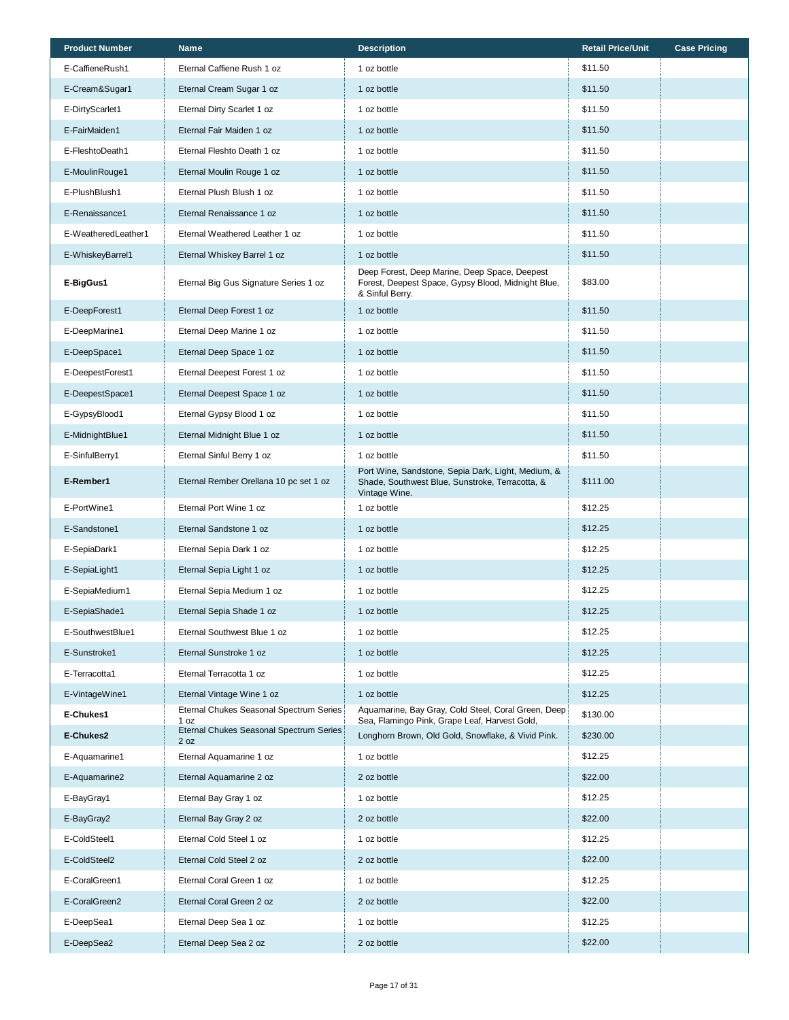| <b>Product Number</b> | <b>Name</b>                                     | <b>Description</b>                                                                                                     | <b>Retail Price/Unit</b> | <b>Case Pricing</b> |
|-----------------------|-------------------------------------------------|------------------------------------------------------------------------------------------------------------------------|--------------------------|---------------------|
| E-CaffieneRush1       | Eternal Caffiene Rush 1 oz                      | 1 oz bottle                                                                                                            | \$11.50                  |                     |
| E-Cream&Sugar1        | Eternal Cream Sugar 1 oz                        | 1 oz bottle                                                                                                            | \$11.50                  |                     |
| E-DirtyScarlet1       | Eternal Dirty Scarlet 1 oz                      | 1 oz bottle                                                                                                            | \$11.50                  |                     |
| E-FairMaiden1         | Eternal Fair Maiden 1 oz                        | 1 oz bottle                                                                                                            | \$11.50                  |                     |
| E-FleshtoDeath1       | Eternal Fleshto Death 1 oz                      | 1 oz bottle                                                                                                            | \$11.50                  |                     |
| E-MoulinRouge1        | Eternal Moulin Rouge 1 oz                       | 1 oz bottle                                                                                                            | \$11.50                  |                     |
| E-PlushBlush1         | Eternal Plush Blush 1 oz                        | 1 oz bottle                                                                                                            | \$11.50                  |                     |
| E-Renaissance1        | Eternal Renaissance 1 oz                        | 1 oz bottle                                                                                                            | \$11.50                  |                     |
| E-WeatheredLeather1   | Eternal Weathered Leather 1 oz                  | 1 oz bottle                                                                                                            | \$11.50                  |                     |
| E-WhiskeyBarrel1      | Eternal Whiskey Barrel 1 oz                     | 1 oz bottle                                                                                                            | \$11.50                  |                     |
| E-BigGus1             | Eternal Big Gus Signature Series 1 oz           | Deep Forest, Deep Marine, Deep Space, Deepest<br>Forest, Deepest Space, Gypsy Blood, Midnight Blue,<br>& Sinful Berry. | \$83.00                  |                     |
| E-DeepForest1         | Eternal Deep Forest 1 oz                        | 1 oz bottle                                                                                                            | \$11.50                  |                     |
| E-DeepMarine1         | Eternal Deep Marine 1 oz                        | 1 oz bottle                                                                                                            | \$11.50                  |                     |
| E-DeepSpace1          | Eternal Deep Space 1 oz                         | 1 oz bottle                                                                                                            | \$11.50                  |                     |
| E-DeepestForest1      | Eternal Deepest Forest 1 oz                     | 1 oz bottle                                                                                                            | \$11.50                  |                     |
| E-DeepestSpace1       | Eternal Deepest Space 1 oz                      | 1 oz bottle                                                                                                            | \$11.50                  |                     |
| E-GypsyBlood1         | Eternal Gypsy Blood 1 oz                        | 1 oz bottle                                                                                                            | \$11.50                  |                     |
| E-MidnightBlue1       | Eternal Midnight Blue 1 oz                      | 1 oz bottle                                                                                                            | \$11.50                  |                     |
| E-SinfulBerry1        | Eternal Sinful Berry 1 oz                       | 1 oz bottle                                                                                                            | \$11.50                  |                     |
| E-Rember1             | Eternal Rember Orellana 10 pc set 1 oz          | Port Wine, Sandstone, Sepia Dark, Light, Medium, &<br>Shade, Southwest Blue, Sunstroke, Terracotta, &<br>Vintage Wine. | \$111.00                 |                     |
| E-PortWine1           | Eternal Port Wine 1 oz                          | 1 oz bottle                                                                                                            | \$12.25                  |                     |
| E-Sandstone1          | Eternal Sandstone 1 oz                          | 1 oz bottle                                                                                                            | \$12.25                  |                     |
| E-SepiaDark1          | Eternal Sepia Dark 1 oz                         | 1 oz bottle                                                                                                            | \$12.25                  |                     |
| E-SepiaLight1         | Eternal Sepia Light 1 oz                        | 1 oz bottle                                                                                                            | \$12.25                  |                     |
| E-SepiaMedium1        | Eternal Sepia Medium 1 oz                       | 1 oz bottle                                                                                                            | \$12.25                  |                     |
| E-SepiaShade1         | Eternal Sepia Shade 1 oz                        | 1 oz bottle                                                                                                            | \$12.25                  |                     |
| E-SouthwestBlue1      | Eternal Southwest Blue 1 oz                     | 1 oz bottle                                                                                                            | \$12.25                  |                     |
| E-Sunstroke1          | Eternal Sunstroke 1 oz                          | 1 oz bottle                                                                                                            | \$12.25                  |                     |
| E-Terracotta1         | Eternal Terracotta 1 oz                         | 1 oz bottle                                                                                                            | \$12.25                  |                     |
| E-VintageWine1        | Eternal Vintage Wine 1 oz                       | 1 oz bottle                                                                                                            | \$12.25                  |                     |
| E-Chukes1             | Eternal Chukes Seasonal Spectrum Series<br>1 oz | Aquamarine, Bay Gray, Cold Steel, Coral Green, Deep<br>Sea, Flamingo Pink, Grape Leaf, Harvest Gold,                   | \$130.00                 |                     |
| E-Chukes2             | Eternal Chukes Seasonal Spectrum Series<br>2 oz | Longhorn Brown, Old Gold, Snowflake, & Vivid Pink.                                                                     | \$230.00                 |                     |
| E-Aquamarine1         | Eternal Aquamarine 1 oz                         | 1 oz bottle                                                                                                            | \$12.25                  |                     |
| E-Aquamarine2         | Eternal Aquamarine 2 oz                         | 2 oz bottle                                                                                                            | \$22.00                  |                     |
| E-BayGray1            | Eternal Bay Gray 1 oz                           | 1 oz bottle                                                                                                            | \$12.25                  |                     |
| E-BayGray2            | Eternal Bay Gray 2 oz                           | 2 oz bottle                                                                                                            | \$22.00                  |                     |
| E-ColdSteel1          | Eternal Cold Steel 1 oz                         | 1 oz bottle                                                                                                            | \$12.25                  |                     |
| E-ColdSteel2          | Eternal Cold Steel 2 oz                         | 2 oz bottle                                                                                                            | \$22.00                  |                     |
| E-CoralGreen1         | Eternal Coral Green 1 oz                        | 1 oz bottle                                                                                                            | \$12.25                  |                     |
| E-CoralGreen2         | Eternal Coral Green 2 oz                        | 2 oz bottle                                                                                                            | \$22.00                  |                     |
| E-DeepSea1            | Eternal Deep Sea 1 oz                           | 1 oz bottle                                                                                                            | \$12.25                  |                     |
| E-DeepSea2            | Eternal Deep Sea 2 oz                           | 2 oz bottle                                                                                                            | \$22.00                  |                     |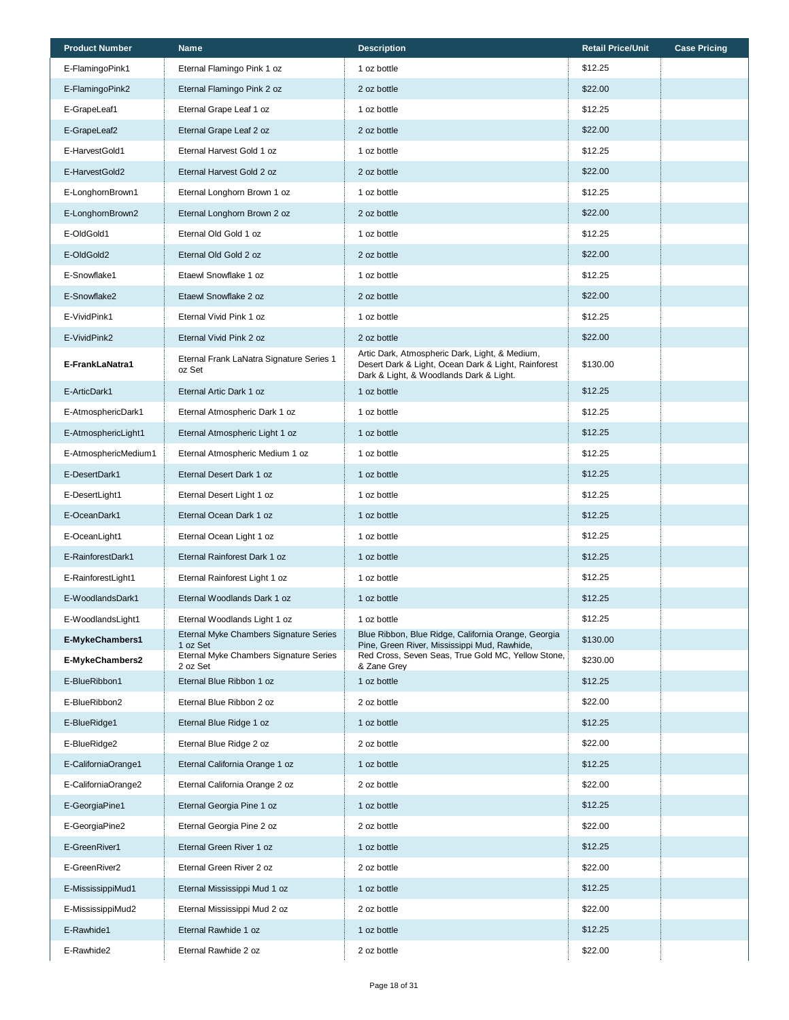| <b>Product Number</b> | <b>Name</b>                                        | <b>Description</b>                                                                                                                               | <b>Retail Price/Unit</b> | <b>Case Pricing</b> |
|-----------------------|----------------------------------------------------|--------------------------------------------------------------------------------------------------------------------------------------------------|--------------------------|---------------------|
| E-FlamingoPink1       | Eternal Flamingo Pink 1 oz                         | 1 oz bottle                                                                                                                                      | \$12.25                  |                     |
| E-FlamingoPink2       | Eternal Flamingo Pink 2 oz                         | 2 oz bottle                                                                                                                                      | \$22.00                  |                     |
| E-GrapeLeaf1          | Eternal Grape Leaf 1 oz                            | 1 oz bottle                                                                                                                                      | \$12.25                  |                     |
| E-GrapeLeaf2          | Eternal Grape Leaf 2 oz                            | 2 oz bottle                                                                                                                                      | \$22.00                  |                     |
| E-HarvestGold1        | Eternal Harvest Gold 1 oz                          | 1 oz bottle                                                                                                                                      | \$12.25                  |                     |
| E-HarvestGold2        | Eternal Harvest Gold 2 oz                          | 2 oz bottle                                                                                                                                      | \$22.00                  |                     |
| E-LonghornBrown1      | Eternal Longhorn Brown 1 oz                        | 1 oz bottle                                                                                                                                      | \$12.25                  |                     |
| E-LonghornBrown2      | Eternal Longhorn Brown 2 oz                        | 2 oz bottle                                                                                                                                      | \$22.00                  |                     |
| E-OldGold1            | Eternal Old Gold 1 oz                              | 1 oz bottle                                                                                                                                      | \$12.25                  |                     |
| E-OldGold2            | Eternal Old Gold 2 oz                              | 2 oz bottle                                                                                                                                      | \$22.00                  |                     |
| E-Snowflake1          | Etaewl Snowflake 1 oz                              | 1 oz bottle                                                                                                                                      | \$12.25                  |                     |
| E-Snowflake2          | Etaewl Snowflake 2 oz                              | 2 oz bottle                                                                                                                                      | \$22.00                  |                     |
| E-VividPink1          | Eternal Vivid Pink 1 oz                            | 1 oz bottle                                                                                                                                      | \$12.25                  |                     |
| E-VividPink2          | Eternal Vivid Pink 2 oz                            | 2 oz bottle                                                                                                                                      | \$22.00                  |                     |
| E-FrankLaNatra1       | Eternal Frank LaNatra Signature Series 1<br>oz Set | Artic Dark, Atmospheric Dark, Light, & Medium,<br>Desert Dark & Light, Ocean Dark & Light, Rainforest<br>Dark & Light, & Woodlands Dark & Light. | \$130.00                 |                     |
| E-ArticDark1          | Eternal Artic Dark 1 oz                            | 1 oz bottle                                                                                                                                      | \$12.25                  |                     |
| E-AtmosphericDark1    | Eternal Atmospheric Dark 1 oz                      | 1 oz bottle                                                                                                                                      | \$12.25                  |                     |
| E-AtmosphericLight1   | Eternal Atmospheric Light 1 oz                     | 1 oz bottle                                                                                                                                      | \$12.25                  |                     |
| E-AtmosphericMedium1  | Eternal Atmospheric Medium 1 oz                    | 1 oz bottle                                                                                                                                      | \$12.25                  |                     |
| E-DesertDark1         | Eternal Desert Dark 1 oz                           | 1 oz bottle                                                                                                                                      | \$12.25                  |                     |
| E-DesertLight1        | Eternal Desert Light 1 oz                          | 1 oz bottle                                                                                                                                      | \$12.25                  |                     |
| E-OceanDark1          | Eternal Ocean Dark 1 oz                            | 1 oz bottle                                                                                                                                      | \$12.25                  |                     |
| E-OceanLight1         | Eternal Ocean Light 1 oz                           | 1 oz bottle                                                                                                                                      | \$12.25                  |                     |
| E-RainforestDark1     | Eternal Rainforest Dark 1 oz                       | 1 oz bottle                                                                                                                                      | \$12.25                  |                     |
| E-RainforestLight1    | Eternal Rainforest Light 1 oz                      | 1 oz bottle                                                                                                                                      | \$12.25                  |                     |
| E-WoodlandsDark1      | Eternal Woodlands Dark 1 oz                        | 1 oz bottle                                                                                                                                      | \$12.25                  |                     |
| E-WoodlandsLight1     | Eternal Woodlands Light 1 oz                       | 1 oz bottle                                                                                                                                      | \$12.25                  |                     |
| E-MykeChambers1       | Eternal Myke Chambers Signature Series<br>1 oz Set | Blue Ribbon, Blue Ridge, California Orange, Georgia<br>Pine, Green River, Mississippi Mud, Rawhide,                                              | \$130.00                 |                     |
| E-MykeChambers2       | Eternal Myke Chambers Signature Series<br>2 oz Set | Red Cross, Seven Seas, True Gold MC, Yellow Stone,<br>& Zane Grey                                                                                | \$230.00                 |                     |
| E-BlueRibbon1         | Eternal Blue Ribbon 1 oz                           | 1 oz bottle                                                                                                                                      | \$12.25                  |                     |
| E-BlueRibbon2         | Eternal Blue Ribbon 2 oz                           | 2 oz bottle                                                                                                                                      | \$22.00                  |                     |
| E-BlueRidge1          | Eternal Blue Ridge 1 oz                            | 1 oz bottle                                                                                                                                      | \$12.25                  |                     |
| E-BlueRidge2          | Eternal Blue Ridge 2 oz                            | 2 oz bottle                                                                                                                                      | \$22.00                  |                     |
| E-CaliforniaOrange1   | Eternal California Orange 1 oz                     | 1 oz bottle                                                                                                                                      | \$12.25                  |                     |
| E-CaliforniaOrange2   | Eternal California Orange 2 oz                     | 2 oz bottle                                                                                                                                      | \$22.00                  |                     |
| E-GeorgiaPine1        | Eternal Georgia Pine 1 oz                          | 1 oz bottle                                                                                                                                      | \$12.25                  |                     |
| E-GeorgiaPine2        | Eternal Georgia Pine 2 oz                          | 2 oz bottle                                                                                                                                      | \$22.00                  |                     |
| E-GreenRiver1         | Eternal Green River 1 oz                           | 1 oz bottle                                                                                                                                      | \$12.25                  |                     |
| E-GreenRiver2         | Eternal Green River 2 oz                           | 2 oz bottle                                                                                                                                      | \$22.00                  |                     |
| E-MississippiMud1     | Eternal Mississippi Mud 1 oz                       | 1 oz bottle                                                                                                                                      | \$12.25                  |                     |
| E-MississippiMud2     | Eternal Mississippi Mud 2 oz                       | 2 oz bottle                                                                                                                                      | \$22.00                  |                     |
| E-Rawhide1            | Eternal Rawhide 1 oz                               | 1 oz bottle                                                                                                                                      | \$12.25                  |                     |
| E-Rawhide2            | Eternal Rawhide 2 oz                               | 2 oz bottle                                                                                                                                      | \$22.00                  |                     |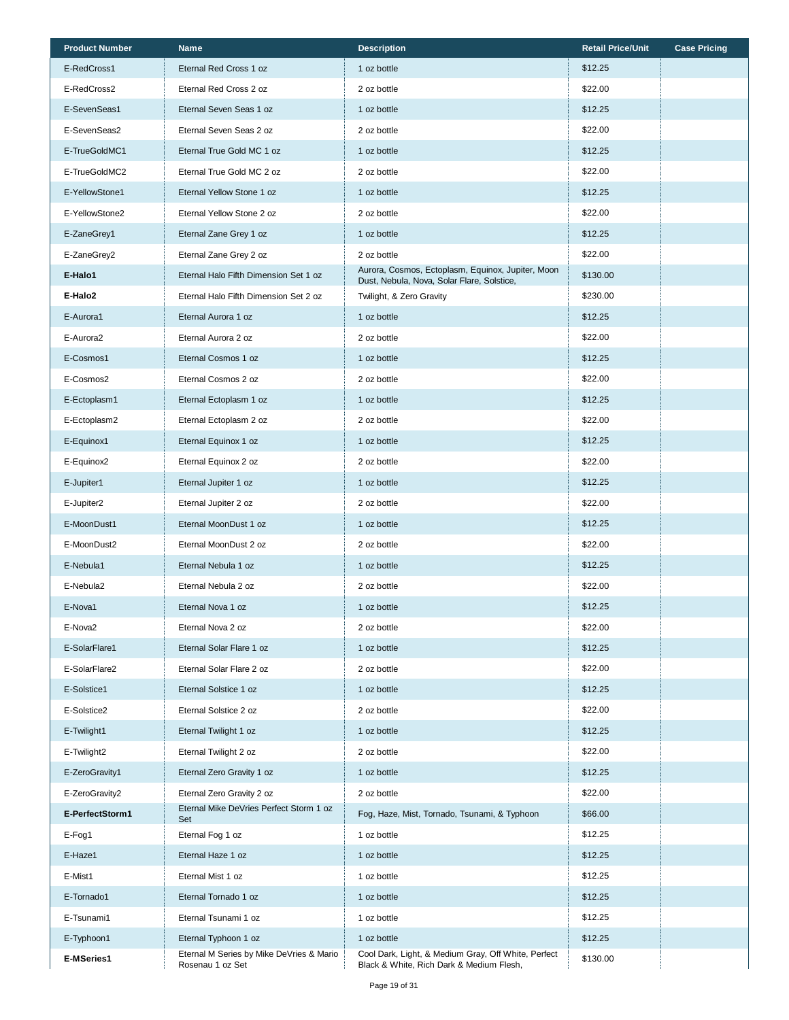| <b>Product Number</b> | <b>Name</b>                                                  | <b>Description</b>                                                                              | <b>Retail Price/Unit</b> | <b>Case Pricing</b> |
|-----------------------|--------------------------------------------------------------|-------------------------------------------------------------------------------------------------|--------------------------|---------------------|
| E-RedCross1           | Eternal Red Cross 1 oz                                       | 1 oz bottle                                                                                     | \$12.25                  |                     |
| E-RedCross2           | Eternal Red Cross 2 oz                                       | 2 oz bottle                                                                                     | \$22.00                  |                     |
| E-SevenSeas1          | Eternal Seven Seas 1 oz                                      | 1 oz bottle                                                                                     | \$12.25                  |                     |
| E-SevenSeas2          | Eternal Seven Seas 2 oz                                      | 2 oz bottle                                                                                     | \$22.00                  |                     |
| E-TrueGoldMC1         | Eternal True Gold MC 1 oz                                    | 1 oz bottle                                                                                     | \$12.25                  |                     |
| E-TrueGoldMC2         | Eternal True Gold MC 2 oz                                    | 2 oz bottle                                                                                     | \$22.00                  |                     |
| E-YellowStone1        | Eternal Yellow Stone 1 oz                                    | 1 oz bottle                                                                                     | \$12.25                  |                     |
| E-YellowStone2        | Eternal Yellow Stone 2 oz                                    | 2 oz bottle                                                                                     | \$22.00                  |                     |
| E-ZaneGrey1           | Eternal Zane Grey 1 oz                                       | 1 oz bottle                                                                                     | \$12.25                  |                     |
| E-ZaneGrey2           | Eternal Zane Grey 2 oz                                       | 2 oz bottle                                                                                     | \$22.00                  |                     |
| E-Halo1               | Eternal Halo Fifth Dimension Set 1 oz                        | Aurora, Cosmos, Ectoplasm, Equinox, Jupiter, Moon<br>Dust, Nebula, Nova, Solar Flare, Solstice, | \$130.00                 |                     |
| E-Halo2               | Eternal Halo Fifth Dimension Set 2 oz                        | Twilight, & Zero Gravity                                                                        | \$230.00                 |                     |
| E-Aurora1             | Eternal Aurora 1 oz                                          | 1 oz bottle                                                                                     | \$12.25                  |                     |
| E-Aurora2             | Eternal Aurora 2 oz                                          | 2 oz bottle                                                                                     | \$22.00                  |                     |
| E-Cosmos1             | Eternal Cosmos 1 oz                                          | 1 oz bottle                                                                                     | \$12.25                  |                     |
| E-Cosmos2             | Eternal Cosmos 2 oz                                          | 2 oz bottle                                                                                     | \$22.00                  |                     |
| E-Ectoplasm1          | Eternal Ectoplasm 1 oz                                       | 1 oz bottle                                                                                     | \$12.25                  |                     |
| E-Ectoplasm2          | Eternal Ectoplasm 2 oz                                       | 2 oz bottle                                                                                     | \$22.00                  |                     |
| E-Equinox1            | Eternal Equinox 1 oz                                         | 1 oz bottle                                                                                     | \$12.25                  |                     |
| E-Equinox2            | Eternal Equinox 2 oz                                         | 2 oz bottle                                                                                     | \$22.00                  |                     |
| E-Jupiter1            | Eternal Jupiter 1 oz                                         | 1 oz bottle                                                                                     | \$12.25                  |                     |
| E-Jupiter2            | Eternal Jupiter 2 oz                                         | 2 oz bottle                                                                                     | \$22.00                  |                     |
| E-MoonDust1           | Eternal MoonDust 1 oz                                        | 1 oz bottle                                                                                     | \$12.25                  |                     |
| E-MoonDust2           | Eternal MoonDust 2 oz                                        | 2 oz bottle                                                                                     | \$22.00                  |                     |
| E-Nebula1             | Eternal Nebula 1 oz                                          | 1 oz bottle                                                                                     | \$12.25                  |                     |
| E-Nebula2             | Eternal Nebula 2 oz                                          | 2 oz bottle                                                                                     | \$22.00                  |                     |
| E-Nova1               | Eternal Nova 1 oz                                            | 1 oz bottle                                                                                     | \$12.25                  |                     |
| E-Nova2               | Eternal Nova 2 oz                                            | 2 oz bottle                                                                                     | \$22.00                  |                     |
| E-SolarFlare1         | Eternal Solar Flare 1 oz                                     | 1 oz bottle                                                                                     | \$12.25                  |                     |
| E-SolarFlare2         | Eternal Solar Flare 2 oz                                     | 2 oz bottle                                                                                     | \$22.00                  |                     |
| E-Solstice1           | Eternal Solstice 1 oz                                        | 1 oz bottle                                                                                     | \$12.25                  |                     |
| E-Solstice2           | Eternal Solstice 2 oz                                        | 2 oz bottle                                                                                     | \$22.00                  |                     |
| E-Twilight1           | Eternal Twilight 1 oz                                        | 1 oz bottle                                                                                     | \$12.25                  |                     |
| E-Twilight2           | Eternal Twilight 2 oz                                        | 2 oz bottle                                                                                     | \$22.00                  |                     |
| E-ZeroGravity1        | Eternal Zero Gravity 1 oz                                    | 1 oz bottle                                                                                     | \$12.25                  |                     |
| E-ZeroGravity2        | Eternal Zero Gravity 2 oz                                    | 2 oz bottle                                                                                     | \$22.00                  |                     |
| E-PerfectStorm1       | Eternal Mike DeVries Perfect Storm 1 oz<br>Set               | Fog, Haze, Mist, Tornado, Tsunami, & Typhoon                                                    | \$66.00                  |                     |
| $E-Fog1$              | Eternal Fog 1 oz                                             | 1 oz bottle                                                                                     | \$12.25                  |                     |
| E-Haze1               | Eternal Haze 1 oz                                            | 1 oz bottle                                                                                     | \$12.25                  |                     |
| E-Mist1               | Eternal Mist 1 oz                                            | 1 oz bottle                                                                                     | \$12.25                  |                     |
| E-Tornado1            | Eternal Tornado 1 oz                                         | 1 oz bottle                                                                                     | \$12.25                  |                     |
| E-Tsunami1            | Eternal Tsunami 1 oz                                         | 1 oz bottle                                                                                     | \$12.25                  |                     |
| E-Typhoon1            | Eternal Typhoon 1 oz                                         | 1 oz bottle                                                                                     | \$12.25                  |                     |
| E-MSeries1            | Eternal M Series by Mike DeVries & Mario<br>Rosenau 1 oz Set | Cool Dark, Light, & Medium Gray, Off White, Perfect<br>Black & White, Rich Dark & Medium Flesh, | \$130.00                 |                     |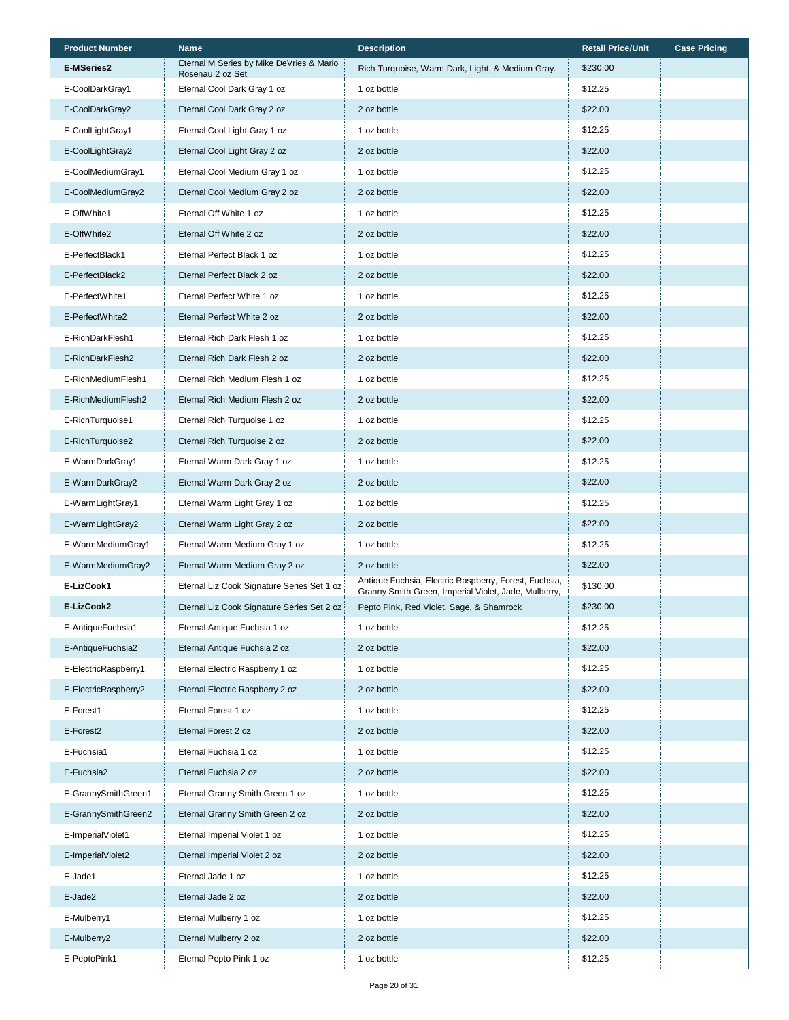| <b>Product Number</b> | <b>Name</b>                                                  | <b>Description</b>                                                                                            | <b>Retail Price/Unit</b> | <b>Case Pricing</b> |
|-----------------------|--------------------------------------------------------------|---------------------------------------------------------------------------------------------------------------|--------------------------|---------------------|
| <b>E-MSeries2</b>     | Eternal M Series by Mike DeVries & Mario<br>Rosenau 2 oz Set | Rich Turquoise, Warm Dark, Light, & Medium Gray.                                                              | \$230.00                 |                     |
| E-CoolDarkGray1       | Eternal Cool Dark Gray 1 oz                                  | 1 oz bottle                                                                                                   | \$12.25                  |                     |
| E-CoolDarkGray2       | Eternal Cool Dark Gray 2 oz                                  | 2 oz bottle                                                                                                   | \$22.00                  |                     |
| E-CoolLightGray1      | Eternal Cool Light Gray 1 oz                                 | 1 oz bottle                                                                                                   | \$12.25                  |                     |
| E-CoolLightGray2      | Eternal Cool Light Gray 2 oz                                 | 2 oz bottle                                                                                                   | \$22.00                  |                     |
| E-CoolMediumGray1     | Eternal Cool Medium Gray 1 oz                                | 1 oz bottle                                                                                                   | \$12.25                  |                     |
| E-CoolMediumGray2     | Eternal Cool Medium Gray 2 oz                                | 2 oz bottle                                                                                                   | \$22.00                  |                     |
| E-OffWhite1           | Eternal Off White 1 oz                                       | 1 oz bottle                                                                                                   | \$12.25                  |                     |
| E-OffWhite2           | Eternal Off White 2 oz                                       | 2 oz bottle                                                                                                   | \$22.00                  |                     |
| E-PerfectBlack1       | Eternal Perfect Black 1 oz                                   | 1 oz bottle                                                                                                   | \$12.25                  |                     |
| E-PerfectBlack2       | Eternal Perfect Black 2 oz                                   | 2 oz bottle                                                                                                   | \$22.00                  |                     |
| E-PerfectWhite1       | Eternal Perfect White 1 oz                                   | 1 oz bottle                                                                                                   | \$12.25                  |                     |
| E-PerfectWhite2       | Eternal Perfect White 2 oz                                   | 2 oz bottle                                                                                                   | \$22.00                  |                     |
| E-RichDarkFlesh1      | Eternal Rich Dark Flesh 1 oz                                 | 1 oz bottle                                                                                                   | \$12.25                  |                     |
| E-RichDarkFlesh2      | Eternal Rich Dark Flesh 2 oz                                 | 2 oz bottle                                                                                                   | \$22.00                  |                     |
| E-RichMediumFlesh1    | Eternal Rich Medium Flesh 1 oz                               | 1 oz bottle                                                                                                   | \$12.25                  |                     |
| E-RichMediumFlesh2    | Eternal Rich Medium Flesh 2 oz                               | 2 oz bottle                                                                                                   | \$22.00                  |                     |
| E-RichTurquoise1      | Eternal Rich Turquoise 1 oz                                  | 1 oz bottle                                                                                                   | \$12.25                  |                     |
| E-RichTurquoise2      | Eternal Rich Turquoise 2 oz                                  | 2 oz bottle                                                                                                   | \$22.00                  |                     |
| E-WarmDarkGray1       | Eternal Warm Dark Gray 1 oz                                  | 1 oz bottle                                                                                                   | \$12.25                  |                     |
| E-WarmDarkGray2       | Eternal Warm Dark Gray 2 oz                                  | 2 oz bottle                                                                                                   | \$22.00                  |                     |
| E-WarmLightGray1      | Eternal Warm Light Gray 1 oz                                 | 1 oz bottle                                                                                                   | \$12.25                  |                     |
| E-WarmLightGray2      | Eternal Warm Light Gray 2 oz                                 | 2 oz bottle                                                                                                   | \$22.00                  |                     |
| E-WarmMediumGray1     | Eternal Warm Medium Gray 1 oz                                | 1 oz bottle                                                                                                   | \$12.25                  |                     |
| E-WarmMediumGray2     | Eternal Warm Medium Gray 2 oz                                | 2 oz bottle                                                                                                   | \$22.00                  |                     |
| E-LizCook1            | Eternal Liz Cook Signature Series Set 1 oz                   | Antique Fuchsia, Electric Raspberry, Forest, Fuchsia,<br>Granny Smith Green, Imperial Violet, Jade, Mulberry, | \$130.00                 |                     |
| E-LizCook2            | Eternal Liz Cook Signature Series Set 2 oz                   | Pepto Pink, Red Violet, Sage, & Shamrock                                                                      | \$230.00                 |                     |
| E-AntiqueFuchsia1     | Eternal Antique Fuchsia 1 oz                                 | 1 oz bottle                                                                                                   | \$12.25                  |                     |
| E-AntiqueFuchsia2     | Eternal Antique Fuchsia 2 oz                                 | 2 oz bottle                                                                                                   | \$22.00                  |                     |
| E-ElectricRaspberry1  | Eternal Electric Raspberry 1 oz                              | 1 oz bottle                                                                                                   | \$12.25                  |                     |
| E-ElectricRaspberry2  | Eternal Electric Raspberry 2 oz                              | 2 oz bottle                                                                                                   | \$22.00                  |                     |
| E-Forest1             | Eternal Forest 1 oz                                          | 1 oz bottle                                                                                                   | \$12.25                  |                     |
| E-Forest2             | Eternal Forest 2 oz                                          | 2 oz bottle                                                                                                   | \$22.00                  |                     |
| E-Fuchsia1            | Eternal Fuchsia 1 oz                                         | 1 oz bottle                                                                                                   | \$12.25                  |                     |
| E-Fuchsia2            | Eternal Fuchsia 2 oz                                         | 2 oz bottle                                                                                                   | \$22.00                  |                     |
| E-GrannySmithGreen1   | Eternal Granny Smith Green 1 oz                              | 1 oz bottle                                                                                                   | \$12.25                  |                     |
| E-GrannySmithGreen2   | Eternal Granny Smith Green 2 oz                              | 2 oz bottle                                                                                                   | \$22.00                  |                     |
| E-ImperialViolet1     | Eternal Imperial Violet 1 oz                                 | 1 oz bottle                                                                                                   | \$12.25                  |                     |
| E-ImperialViolet2     | Eternal Imperial Violet 2 oz                                 | 2 oz bottle                                                                                                   | \$22.00                  |                     |
| E-Jade1               | Eternal Jade 1 oz                                            | 1 oz bottle                                                                                                   | \$12.25                  |                     |
| E-Jade2               | Eternal Jade 2 oz                                            | 2 oz bottle                                                                                                   | \$22.00                  |                     |
| E-Mulberry1           | Eternal Mulberry 1 oz                                        | 1 oz bottle                                                                                                   | \$12.25                  |                     |
| E-Mulberry2           | Eternal Mulberry 2 oz                                        | 2 oz bottle                                                                                                   | \$22.00                  |                     |
| E-PeptoPink1          | Eternal Pepto Pink 1 oz                                      | 1 oz bottle                                                                                                   | \$12.25                  |                     |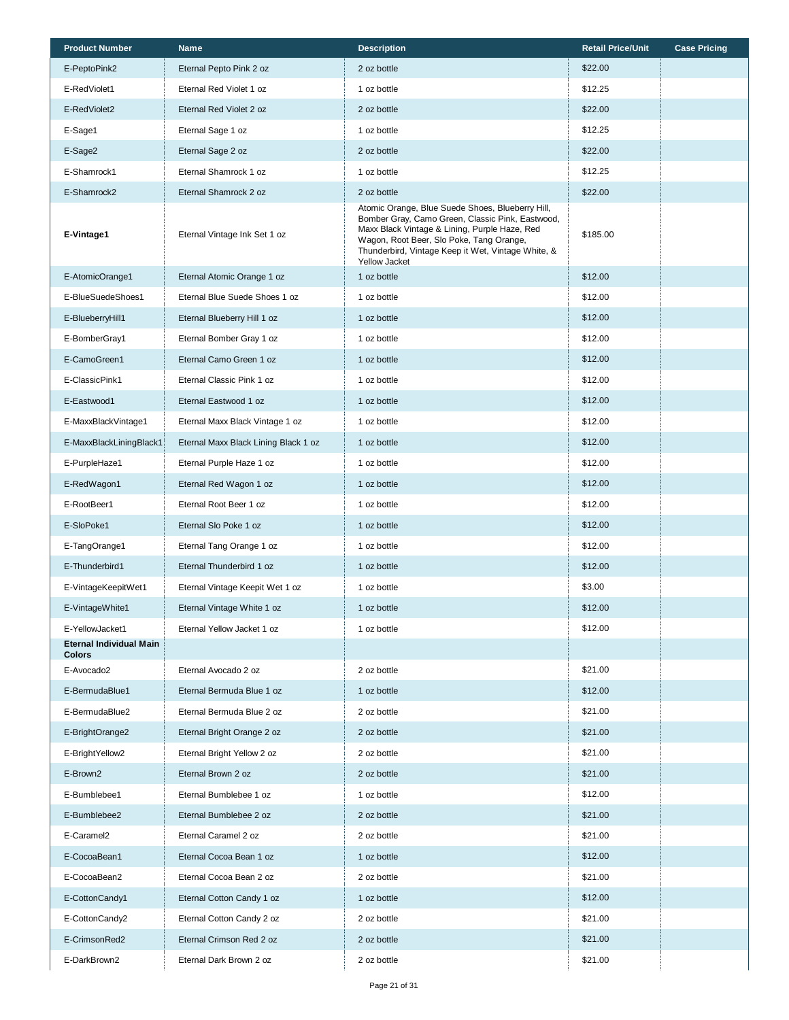| <b>Product Number</b>                           | <b>Name</b>                          | <b>Description</b>                                                                                                                                                                                                                                                              | <b>Retail Price/Unit</b> | <b>Case Pricing</b> |
|-------------------------------------------------|--------------------------------------|---------------------------------------------------------------------------------------------------------------------------------------------------------------------------------------------------------------------------------------------------------------------------------|--------------------------|---------------------|
| E-PeptoPink2                                    | Eternal Pepto Pink 2 oz              | 2 oz bottle                                                                                                                                                                                                                                                                     | \$22.00                  |                     |
| E-RedViolet1                                    | Eternal Red Violet 1 oz              | 1 oz bottle                                                                                                                                                                                                                                                                     | \$12.25                  |                     |
| E-RedViolet2                                    | Eternal Red Violet 2 oz              | 2 oz bottle                                                                                                                                                                                                                                                                     | \$22.00                  |                     |
| E-Sage1                                         | Eternal Sage 1 oz                    | 1 oz bottle                                                                                                                                                                                                                                                                     | \$12.25                  |                     |
| E-Sage2                                         | Eternal Sage 2 oz                    | 2 oz bottle                                                                                                                                                                                                                                                                     | \$22.00                  |                     |
| E-Shamrock1                                     | Eternal Shamrock 1 oz                | 1 oz bottle                                                                                                                                                                                                                                                                     | \$12.25                  |                     |
| E-Shamrock2                                     | Eternal Shamrock 2 oz                | 2 oz bottle                                                                                                                                                                                                                                                                     | \$22.00                  |                     |
| E-Vintage1                                      | Eternal Vintage Ink Set 1 oz         | Atomic Orange, Blue Suede Shoes, Blueberry Hill,<br>Bomber Gray, Camo Green, Classic Pink, Eastwood,<br>Maxx Black Vintage & Lining, Purple Haze, Red<br>Wagon, Root Beer, Slo Poke, Tang Orange,<br>Thunderbird, Vintage Keep it Wet, Vintage White, &<br><b>Yellow Jacket</b> | \$185.00                 |                     |
| E-AtomicOrange1                                 | Eternal Atomic Orange 1 oz           | 1 oz bottle                                                                                                                                                                                                                                                                     | \$12.00                  |                     |
| E-BlueSuedeShoes1                               | Eternal Blue Suede Shoes 1 oz        | 1 oz bottle                                                                                                                                                                                                                                                                     | \$12.00                  |                     |
| E-BlueberryHill1                                | Eternal Blueberry Hill 1 oz          | 1 oz bottle                                                                                                                                                                                                                                                                     | \$12.00                  |                     |
| E-BomberGray1                                   | Eternal Bomber Gray 1 oz             | 1 oz bottle                                                                                                                                                                                                                                                                     | \$12.00                  |                     |
| E-CamoGreen1                                    | Eternal Camo Green 1 oz              | 1 oz bottle                                                                                                                                                                                                                                                                     | \$12.00                  |                     |
| E-ClassicPink1                                  | Eternal Classic Pink 1 oz            | 1 oz bottle                                                                                                                                                                                                                                                                     | \$12.00                  |                     |
| E-Eastwood1                                     | Eternal Eastwood 1 oz                | 1 oz bottle                                                                                                                                                                                                                                                                     | \$12.00                  |                     |
| E-MaxxBlackVintage1                             | Eternal Maxx Black Vintage 1 oz      | 1 oz bottle                                                                                                                                                                                                                                                                     | \$12.00                  |                     |
| E-MaxxBlackLiningBlack1                         | Eternal Maxx Black Lining Black 1 oz | 1 oz bottle                                                                                                                                                                                                                                                                     | \$12.00                  |                     |
| E-PurpleHaze1                                   | Eternal Purple Haze 1 oz             | 1 oz bottle                                                                                                                                                                                                                                                                     | \$12.00                  |                     |
| E-RedWagon1                                     | Eternal Red Wagon 1 oz               | 1 oz bottle                                                                                                                                                                                                                                                                     | \$12.00                  |                     |
| E-RootBeer1                                     | Eternal Root Beer 1 oz               | 1 oz bottle                                                                                                                                                                                                                                                                     | \$12.00                  |                     |
| E-SloPoke1                                      | Eternal Slo Poke 1 oz                | 1 oz bottle                                                                                                                                                                                                                                                                     | \$12.00                  |                     |
| E-TangOrange1                                   | Eternal Tang Orange 1 oz             | 1 oz bottle                                                                                                                                                                                                                                                                     | \$12.00                  |                     |
| E-Thunderbird1                                  | Eternal Thunderbird 1 oz             | 1 oz bottle                                                                                                                                                                                                                                                                     | \$12.00                  |                     |
| E-VintageKeepitWet1                             | Eternal Vintage Keepit Wet 1 oz      | 1 oz bottle                                                                                                                                                                                                                                                                     | \$3.00                   |                     |
| E-VintageWhite1                                 | Eternal Vintage White 1 oz           | 1 oz bottle                                                                                                                                                                                                                                                                     | \$12.00                  |                     |
| E-YellowJacket1                                 | Eternal Yellow Jacket 1 oz           | 1 oz bottle                                                                                                                                                                                                                                                                     | \$12.00                  |                     |
| <b>Eternal Individual Main</b><br><b>Colors</b> |                                      |                                                                                                                                                                                                                                                                                 |                          |                     |
| E-Avocado2                                      | Eternal Avocado 2 oz                 | 2 oz bottle                                                                                                                                                                                                                                                                     | \$21.00                  |                     |
| E-BermudaBlue1                                  | Eternal Bermuda Blue 1 oz            | 1 oz bottle                                                                                                                                                                                                                                                                     | \$12.00                  |                     |
| E-BermudaBlue2                                  | Eternal Bermuda Blue 2 oz            | 2 oz bottle                                                                                                                                                                                                                                                                     | \$21.00                  |                     |
| E-BrightOrange2                                 | Eternal Bright Orange 2 oz           | 2 oz bottle                                                                                                                                                                                                                                                                     | \$21.00                  |                     |
| E-BrightYellow2                                 | Eternal Bright Yellow 2 oz           | 2 oz bottle                                                                                                                                                                                                                                                                     | \$21.00                  |                     |
| E-Brown2                                        | Eternal Brown 2 oz                   | 2 oz bottle                                                                                                                                                                                                                                                                     | \$21.00                  |                     |
| E-Bumblebee1                                    | Eternal Bumblebee 1 oz               | 1 oz bottle                                                                                                                                                                                                                                                                     | \$12.00                  |                     |
| E-Bumblebee2                                    | Eternal Bumblebee 2 oz               | 2 oz bottle                                                                                                                                                                                                                                                                     | \$21.00                  |                     |
| E-Caramel2                                      | Eternal Caramel 2 oz                 | 2 oz bottle                                                                                                                                                                                                                                                                     | \$21.00                  |                     |
| E-CocoaBean1                                    | Eternal Cocoa Bean 1 oz              | 1 oz bottle                                                                                                                                                                                                                                                                     | \$12.00                  |                     |
| E-CocoaBean2                                    | Eternal Cocoa Bean 2 oz              | 2 oz bottle                                                                                                                                                                                                                                                                     | \$21.00                  |                     |
| E-CottonCandy1                                  | Eternal Cotton Candy 1 oz            | 1 oz bottle                                                                                                                                                                                                                                                                     | \$12.00                  |                     |
| E-CottonCandy2                                  | Eternal Cotton Candy 2 oz            | 2 oz bottle                                                                                                                                                                                                                                                                     | \$21.00                  |                     |
| E-CrimsonRed2                                   | Eternal Crimson Red 2 oz             | 2 oz bottle                                                                                                                                                                                                                                                                     | \$21.00                  |                     |
| E-DarkBrown2                                    | Eternal Dark Brown 2 oz              | 2 oz bottle                                                                                                                                                                                                                                                                     | \$21.00                  |                     |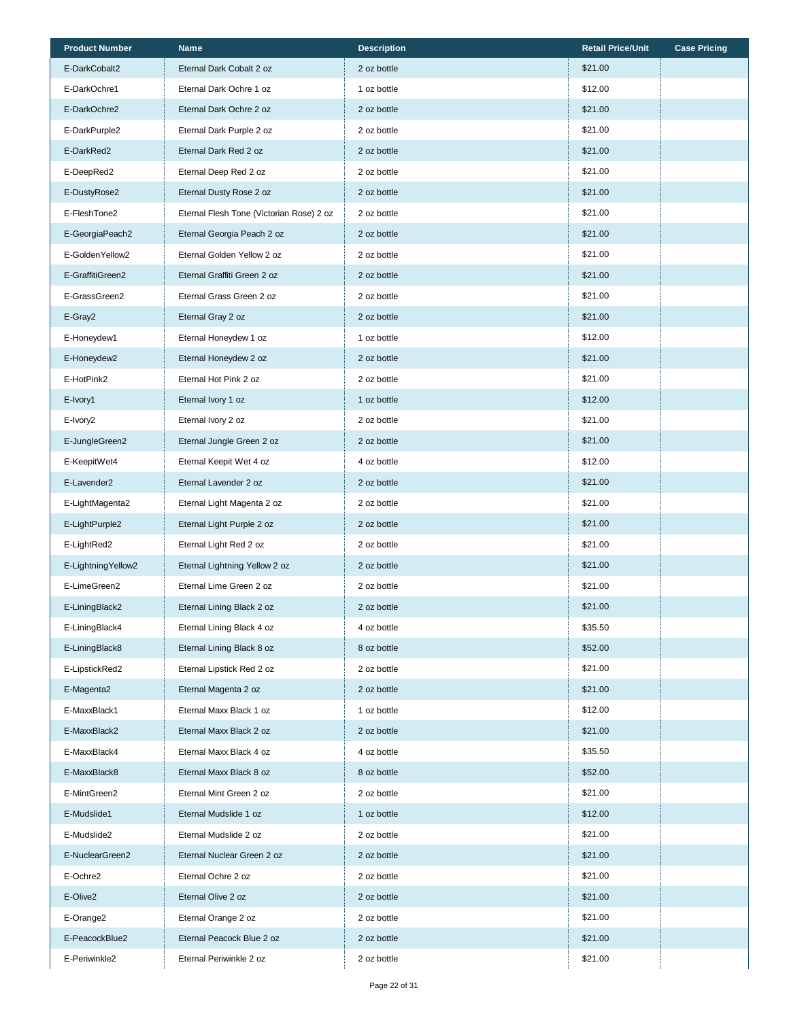| <b>Product Number</b> | <b>Name</b>                              | <b>Description</b> | <b>Retail Price/Unit</b> | <b>Case Pricing</b> |
|-----------------------|------------------------------------------|--------------------|--------------------------|---------------------|
| E-DarkCobalt2         | Eternal Dark Cobalt 2 oz                 | 2 oz bottle        | \$21.00                  |                     |
| E-DarkOchre1          | Eternal Dark Ochre 1 oz                  | 1 oz bottle        | \$12.00                  |                     |
| E-DarkOchre2          | Eternal Dark Ochre 2 oz                  | 2 oz bottle        | \$21.00                  |                     |
| E-DarkPurple2         | Eternal Dark Purple 2 oz                 | 2 oz bottle        | \$21.00                  |                     |
| E-DarkRed2            | Eternal Dark Red 2 oz                    | 2 oz bottle        | \$21.00                  |                     |
| E-DeepRed2            | Eternal Deep Red 2 oz                    | 2 oz bottle        | \$21.00                  |                     |
| E-DustyRose2          | Eternal Dusty Rose 2 oz                  | 2 oz bottle        | \$21.00                  |                     |
| E-FleshTone2          | Eternal Flesh Tone (Victorian Rose) 2 oz | 2 oz bottle        | \$21.00                  |                     |
| E-GeorgiaPeach2       | Eternal Georgia Peach 2 oz               | 2 oz bottle        | \$21.00                  |                     |
| E-GoldenYellow2       | Eternal Golden Yellow 2 oz               | 2 oz bottle        | \$21.00                  |                     |
| E-GraffitiGreen2      | Eternal Graffiti Green 2 oz              | 2 oz bottle        | \$21.00                  |                     |
| E-GrassGreen2         | Eternal Grass Green 2 oz                 | 2 oz bottle        | \$21.00                  |                     |
| E-Gray2               | Eternal Gray 2 oz                        | 2 oz bottle        | \$21.00                  |                     |
| E-Honeydew1           | Eternal Honeydew 1 oz                    | 1 oz bottle        | \$12.00                  |                     |
| E-Honeydew2           | Eternal Honeydew 2 oz                    | 2 oz bottle        | \$21.00                  |                     |
| E-HotPink2            | Eternal Hot Pink 2 oz                    | 2 oz bottle        | \$21.00                  |                     |
| E-Ivory1              | Eternal Ivory 1 oz                       | 1 oz bottle        | \$12.00                  |                     |
| E-Ivory2              | Eternal Ivory 2 oz                       | 2 oz bottle        | \$21.00                  |                     |
| E-JungleGreen2        | Eternal Jungle Green 2 oz                | 2 oz bottle        | \$21.00                  |                     |
| E-KeepitWet4          | Eternal Keepit Wet 4 oz                  | 4 oz bottle        | \$12.00                  |                     |
| E-Lavender2           | Eternal Lavender 2 oz                    | 2 oz bottle        | \$21.00                  |                     |
| E-LightMagenta2       | Eternal Light Magenta 2 oz               | 2 oz bottle        | \$21.00                  |                     |
| E-LightPurple2        | Eternal Light Purple 2 oz                | 2 oz bottle        | \$21.00                  |                     |
| E-LightRed2           | Eternal Light Red 2 oz                   | 2 oz bottle        | \$21.00                  |                     |
| E-LightningYellow2    | Eternal Lightning Yellow 2 oz            | 2 oz bottle        | \$21.00                  |                     |
| E-LimeGreen2          | Eternal Lime Green 2 oz                  | 2 oz bottle        | \$21.00                  |                     |
| E-LiningBlack2        | Eternal Lining Black 2 oz                | 2 oz bottle        | \$21.00                  |                     |
| E-LiningBlack4        | Eternal Lining Black 4 oz                | 4 oz bottle        | \$35.50                  |                     |
| E-LiningBlack8        | Eternal Lining Black 8 oz                | 8 oz bottle        | \$52.00                  |                     |
| E-LipstickRed2        | Eternal Lipstick Red 2 oz                | 2 oz bottle        | \$21.00                  |                     |
| E-Magenta2            | Eternal Magenta 2 oz                     | 2 oz bottle        | \$21.00                  |                     |
| E-MaxxBlack1          | Eternal Maxx Black 1 oz                  | 1 oz bottle        | \$12.00                  |                     |
| E-MaxxBlack2          | Eternal Maxx Black 2 oz                  | 2 oz bottle        | \$21.00                  |                     |
| E-MaxxBlack4          | Eternal Maxx Black 4 oz                  | 4 oz bottle        | \$35.50                  |                     |
| E-MaxxBlack8          | Eternal Maxx Black 8 oz                  | 8 oz bottle        | \$52.00                  |                     |
| E-MintGreen2          | Eternal Mint Green 2 oz                  | 2 oz bottle        | \$21.00                  |                     |
| E-Mudslide1           | Eternal Mudslide 1 oz                    | 1 oz bottle        | \$12.00                  |                     |
| E-Mudslide2           | Eternal Mudslide 2 oz                    | 2 oz bottle        | \$21.00                  |                     |
| E-NuclearGreen2       | Eternal Nuclear Green 2 oz               | 2 oz bottle        | \$21.00                  |                     |
| E-Ochre2              | Eternal Ochre 2 oz                       | 2 oz bottle        | \$21.00                  |                     |
| E-Olive2              | Eternal Olive 2 oz                       | 2 oz bottle        | \$21.00                  |                     |
| E-Orange2             | Eternal Orange 2 oz                      | 2 oz bottle        | \$21.00                  |                     |
| E-PeacockBlue2        | Eternal Peacock Blue 2 oz                | 2 oz bottle        | \$21.00                  |                     |
| E-Periwinkle2         | Eternal Periwinkle 2 oz                  | 2 oz bottle        | \$21.00                  |                     |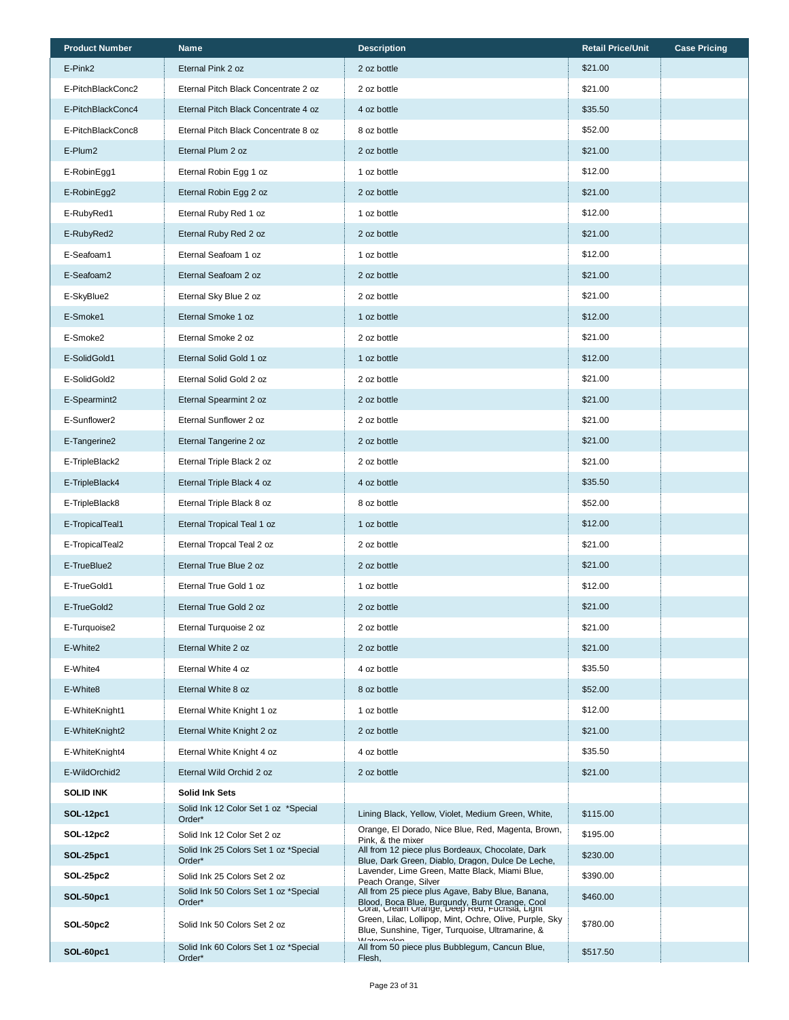| <b>Product Number</b> | Name                                            | <b>Description</b>                                                                                                                                  | <b>Retail Price/Unit</b> | <b>Case Pricing</b> |
|-----------------------|-------------------------------------------------|-----------------------------------------------------------------------------------------------------------------------------------------------------|--------------------------|---------------------|
| E-Pink2               | Eternal Pink 2 oz                               | 2 oz bottle                                                                                                                                         | \$21.00                  |                     |
| E-PitchBlackConc2     | Eternal Pitch Black Concentrate 2 oz            | 2 oz bottle                                                                                                                                         | \$21.00                  |                     |
| E-PitchBlackConc4     | Eternal Pitch Black Concentrate 4 oz            | 4 oz bottle                                                                                                                                         | \$35.50                  |                     |
| E-PitchBlackConc8     | Eternal Pitch Black Concentrate 8 oz            | 8 oz bottle                                                                                                                                         | \$52.00                  |                     |
| E-Plum2               | Eternal Plum 2 oz                               | 2 oz bottle                                                                                                                                         | \$21.00                  |                     |
| E-RobinEgg1           | Eternal Robin Egg 1 oz                          | 1 oz bottle                                                                                                                                         | \$12.00                  |                     |
| E-RobinEgg2           | Eternal Robin Egg 2 oz                          | 2 oz bottle                                                                                                                                         | \$21.00                  |                     |
| E-RubyRed1            | Eternal Ruby Red 1 oz                           | 1 oz bottle                                                                                                                                         | \$12.00                  |                     |
| E-RubyRed2            | Eternal Ruby Red 2 oz                           | 2 oz bottle                                                                                                                                         | \$21.00                  |                     |
| E-Seafoam1            | Eternal Seafoam 1 oz                            | 1 oz bottle                                                                                                                                         | \$12.00                  |                     |
| E-Seafoam2            | Eternal Seafoam 2 oz                            | 2 oz bottle                                                                                                                                         | \$21.00                  |                     |
| E-SkyBlue2            | Eternal Sky Blue 2 oz                           | 2 oz bottle                                                                                                                                         | \$21.00                  |                     |
| E-Smoke1              | Eternal Smoke 1 oz                              | 1 oz bottle                                                                                                                                         | \$12.00                  |                     |
| E-Smoke2              | Eternal Smoke 2 oz                              | 2 oz bottle                                                                                                                                         | \$21.00                  |                     |
| E-SolidGold1          | Eternal Solid Gold 1 oz                         | 1 oz bottle                                                                                                                                         | \$12.00                  |                     |
| E-SolidGold2          | Eternal Solid Gold 2 oz                         | 2 oz bottle                                                                                                                                         | \$21.00                  |                     |
| E-Spearmint2          | Eternal Spearmint 2 oz                          | 2 oz bottle                                                                                                                                         | \$21.00                  |                     |
| E-Sunflower2          | Eternal Sunflower 2 oz                          | 2 oz bottle                                                                                                                                         | \$21.00                  |                     |
| E-Tangerine2          | Eternal Tangerine 2 oz                          | 2 oz bottle                                                                                                                                         | \$21.00                  |                     |
| E-TripleBlack2        | Eternal Triple Black 2 oz                       | 2 oz bottle                                                                                                                                         | \$21.00                  |                     |
| E-TripleBlack4        | Eternal Triple Black 4 oz                       | 4 oz bottle                                                                                                                                         | \$35.50                  |                     |
| E-TripleBlack8        | Eternal Triple Black 8 oz                       | 8 oz bottle                                                                                                                                         | \$52.00                  |                     |
| E-TropicalTeal1       | Eternal Tropical Teal 1 oz                      | 1 oz bottle                                                                                                                                         | \$12.00                  |                     |
| E-TropicalTeal2       | Eternal Tropcal Teal 2 oz                       | 2 oz bottle                                                                                                                                         | \$21.00                  |                     |
| E-TrueBlue2           | Eternal True Blue 2 oz                          | 2 oz bottle                                                                                                                                         | \$21.00                  |                     |
| E-TrueGold1           | Eternal True Gold 1 oz                          | 1 oz bottle                                                                                                                                         | \$12.00                  |                     |
| E-TrueGold2           | Eternal True Gold 2 oz                          | 2 oz bottle                                                                                                                                         | \$21.00                  |                     |
| E-Turquoise2          | Eternal Turquoise 2 oz                          | 2 oz bottle                                                                                                                                         | \$21.00                  |                     |
| E-White2              | Eternal White 2 oz                              | 2 oz bottle                                                                                                                                         | \$21.00                  |                     |
| E-White4              | Eternal White 4 oz                              | 4 oz bottle                                                                                                                                         | \$35.50                  |                     |
| E-White8              | Eternal White 8 oz                              | 8 oz bottle                                                                                                                                         | \$52.00                  |                     |
| E-WhiteKnight1        | Eternal White Knight 1 oz                       | 1 oz bottle                                                                                                                                         | \$12.00                  |                     |
| E-WhiteKnight2        | Eternal White Knight 2 oz                       | 2 oz bottle                                                                                                                                         | \$21.00                  |                     |
| E-WhiteKnight4        | Eternal White Knight 4 oz                       | 4 oz bottle                                                                                                                                         | \$35.50                  |                     |
| E-WildOrchid2         | Eternal Wild Orchid 2 oz                        | 2 oz bottle                                                                                                                                         | \$21.00                  |                     |
| <b>SOLID INK</b>      | Solid Ink Sets                                  |                                                                                                                                                     |                          |                     |
| SOL-12pc1             | Solid Ink 12 Color Set 1 oz *Special<br>Order*  | Lining Black, Yellow, Violet, Medium Green, White,                                                                                                  | \$115.00                 |                     |
| SOL-12pc2             | Solid Ink 12 Color Set 2 oz                     | Orange, El Dorado, Nice Blue, Red, Magenta, Brown,<br>Pink, & the mixer                                                                             | \$195.00                 |                     |
| SOL-25pc1             | Solid Ink 25 Colors Set 1 oz *Special<br>Order* | All from 12 piece plus Bordeaux, Chocolate, Dark<br>Blue, Dark Green, Diablo, Dragon, Dulce De Leche,                                               | \$230.00                 |                     |
| SOL-25pc2             | Solid Ink 25 Colors Set 2 oz                    | Lavender, Lime Green, Matte Black, Miami Blue,<br>Peach Orange, Silver                                                                              | \$390.00                 |                     |
| SOL-50pc1             | Solid Ink 50 Colors Set 1 oz *Special<br>Order* | All from 25 piece plus Agave, Baby Blue, Banana,<br>Blood, Boca Blue, Burgundy, Burnt Orange, Cool<br>Corai, Cream Orange, Deep Red, Fucnsia, Lignt | \$460.00                 |                     |
| SOL-50pc2             | Solid Ink 50 Colors Set 2 oz                    | Green, Lilac, Lollipop, Mint, Ochre, Olive, Purple, Sky<br>Blue, Sunshine, Tiger, Turquoise, Ultramarine, &<br><b>Matarmalon</b>                    | \$780.00                 |                     |
| SOL-60pc1             | Solid Ink 60 Colors Set 1 oz *Special<br>Order* | All from 50 piece plus Bubblegum, Cancun Blue,<br>Flesh,                                                                                            | \$517.50                 |                     |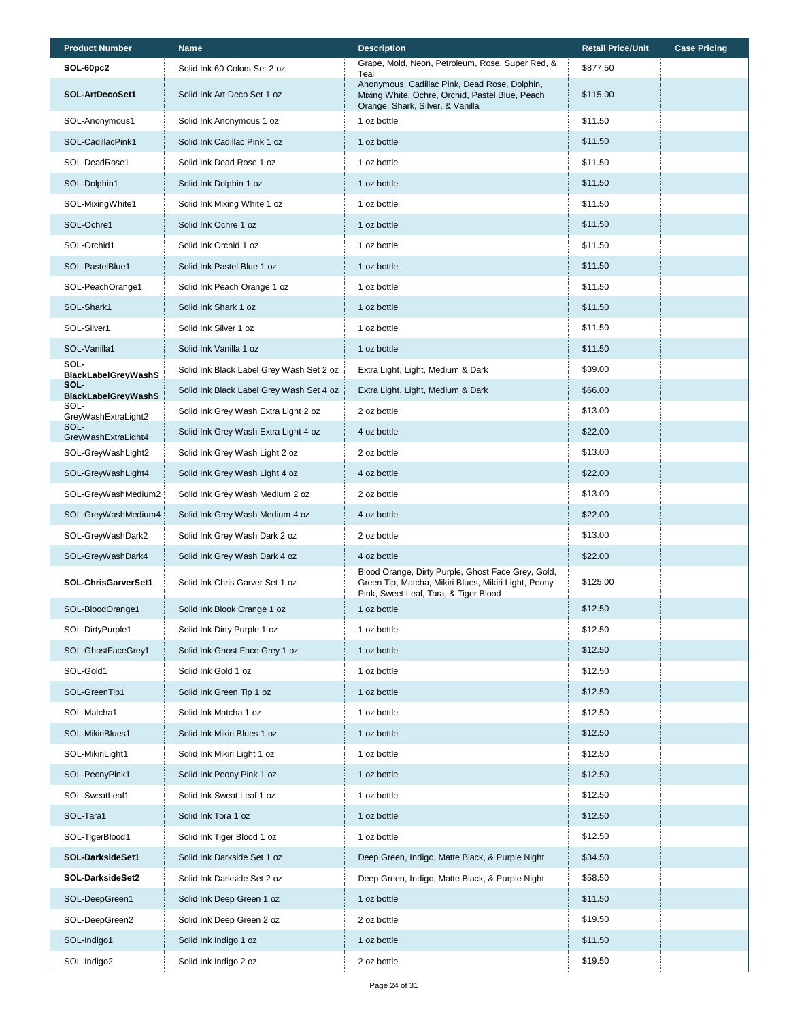| <b>Product Number</b>              | Name                                     | <b>Description</b>                                                                                                                                  | <b>Retail Price/Unit</b> | <b>Case Pricing</b> |
|------------------------------------|------------------------------------------|-----------------------------------------------------------------------------------------------------------------------------------------------------|--------------------------|---------------------|
| SOL-60pc2                          | Solid Ink 60 Colors Set 2 oz             | Grape, Mold, Neon, Petroleum, Rose, Super Red, &<br>Teal                                                                                            | \$877.50                 |                     |
| SOL-ArtDecoSet1                    | Solid Ink Art Deco Set 1 oz              | Anonymous, Cadillac Pink, Dead Rose, Dolphin,<br>Mixing White, Ochre, Orchid, Pastel Blue, Peach<br>Orange, Shark, Silver, & Vanilla                | \$115.00                 |                     |
| SOL-Anonymous1                     | Solid Ink Anonymous 1 oz                 | 1 oz bottle                                                                                                                                         | \$11.50                  |                     |
| SOL-CadillacPink1                  | Solid Ink Cadillac Pink 1 oz             | 1 oz bottle                                                                                                                                         | \$11.50                  |                     |
| SOL-DeadRose1                      | Solid Ink Dead Rose 1 oz                 | 1 oz bottle                                                                                                                                         | \$11.50                  |                     |
| SOL-Dolphin1                       | Solid Ink Dolphin 1 oz                   | 1 oz bottle                                                                                                                                         | \$11.50                  |                     |
| SOL-MixingWhite1                   | Solid Ink Mixing White 1 oz              | 1 oz bottle                                                                                                                                         | \$11.50                  |                     |
| SOL-Ochre1                         | Solid Ink Ochre 1 oz                     | 1 oz bottle                                                                                                                                         | \$11.50                  |                     |
| SOL-Orchid1                        | Solid Ink Orchid 1 oz                    | 1 oz bottle                                                                                                                                         | \$11.50                  |                     |
| SOL-PastelBlue1                    | Solid Ink Pastel Blue 1 oz               | 1 oz bottle                                                                                                                                         | \$11.50                  |                     |
| SOL-PeachOrange1                   | Solid Ink Peach Orange 1 oz              | 1 oz bottle                                                                                                                                         | \$11.50                  |                     |
| SOL-Shark1                         | Solid Ink Shark 1 oz                     | 1 oz bottle                                                                                                                                         | \$11.50                  |                     |
| SOL-Silver1                        | Solid Ink Silver 1 oz                    | 1 oz bottle                                                                                                                                         | \$11.50                  |                     |
| SOL-Vanilla1                       | Solid Ink Vanilla 1 oz                   | 1 oz bottle                                                                                                                                         | \$11.50                  |                     |
| SOL-<br><b>BlackLabelGreyWashS</b> | Solid Ink Black Label Grey Wash Set 2 oz | Extra Light, Light, Medium & Dark                                                                                                                   | \$39.00                  |                     |
| SOL-<br><b>BlackLabelGreyWashS</b> | Solid Ink Black Label Grey Wash Set 4 oz | Extra Light, Light, Medium & Dark                                                                                                                   | \$66.00                  |                     |
| SOL-<br>GreyWashExtraLight2        | Solid Ink Grey Wash Extra Light 2 oz     | 2 oz bottle                                                                                                                                         | \$13.00                  |                     |
| SOL-<br>GreyWashExtraLight4        | Solid Ink Grey Wash Extra Light 4 oz     | 4 oz bottle                                                                                                                                         | \$22.00                  |                     |
| SOL-GreyWashLight2                 | Solid Ink Grey Wash Light 2 oz           | 2 oz bottle                                                                                                                                         | \$13.00                  |                     |
| SOL-GreyWashLight4                 | Solid Ink Grey Wash Light 4 oz           | 4 oz bottle                                                                                                                                         | \$22.00                  |                     |
| SOL-GreyWashMedium2                | Solid Ink Grey Wash Medium 2 oz          | 2 oz bottle                                                                                                                                         | \$13.00                  |                     |
| SOL-GreyWashMedium4                | Solid Ink Grey Wash Medium 4 oz          | 4 oz bottle                                                                                                                                         | \$22.00                  |                     |
| SOL-GreyWashDark2                  | Solid Ink Grey Wash Dark 2 oz            | 2 oz bottle                                                                                                                                         | \$13.00                  |                     |
| SOL-GreyWashDark4                  | Solid Ink Grey Wash Dark 4 oz            | 4 oz bottle                                                                                                                                         | \$22.00                  |                     |
| SOL-ChrisGarverSet1                | Solid Ink Chris Garver Set 1 oz          | Blood Orange, Dirty Purple, Ghost Face Grey, Gold,<br>Green Tip, Matcha, Mikiri Blues, Mikiri Light, Peony<br>Pink, Sweet Leaf, Tara, & Tiger Blood | \$125.00                 |                     |
| SOL-BloodOrange1                   | Solid Ink Blook Orange 1 oz              | 1 oz bottle                                                                                                                                         | \$12.50                  |                     |
| SOL-DirtyPurple1                   | Solid Ink Dirty Purple 1 oz              | 1 oz bottle                                                                                                                                         | \$12.50                  |                     |
| SOL-GhostFaceGrey1                 | Solid Ink Ghost Face Grey 1 oz           | 1 oz bottle                                                                                                                                         | \$12.50                  |                     |
| SOL-Gold1                          | Solid Ink Gold 1 oz                      | 1 oz bottle                                                                                                                                         | \$12.50                  |                     |
| SOL-GreenTip1                      | Solid Ink Green Tip 1 oz                 | 1 oz bottle                                                                                                                                         | \$12.50                  |                     |
| SOL-Matcha1                        | Solid Ink Matcha 1 oz                    | 1 oz bottle                                                                                                                                         | \$12.50                  |                     |
| SOL-MikiriBlues1                   | Solid Ink Mikiri Blues 1 oz              | 1 oz bottle                                                                                                                                         | \$12.50                  |                     |
| SOL-MikiriLight1                   | Solid Ink Mikiri Light 1 oz              | 1 oz bottle                                                                                                                                         | \$12.50                  |                     |
| SOL-PeonyPink1                     | Solid Ink Peony Pink 1 oz                | 1 oz bottle                                                                                                                                         | \$12.50                  |                     |
| SOL-SweatLeaf1                     | Solid Ink Sweat Leaf 1 oz                | 1 oz bottle                                                                                                                                         | \$12.50                  |                     |
| SOL-Tara1                          | Solid Ink Tora 1 oz                      | 1 oz bottle                                                                                                                                         | \$12.50                  |                     |
| SOL-TigerBlood1                    | Solid Ink Tiger Blood 1 oz               | 1 oz bottle                                                                                                                                         | \$12.50                  |                     |
| SOL-DarksideSet1                   | Solid Ink Darkside Set 1 oz              | Deep Green, Indigo, Matte Black, & Purple Night                                                                                                     | \$34.50                  |                     |
| SOL-DarksideSet2                   | Solid Ink Darkside Set 2 oz              | Deep Green, Indigo, Matte Black, & Purple Night                                                                                                     | \$58.50                  |                     |
| SOL-DeepGreen1                     | Solid Ink Deep Green 1 oz                | 1 oz bottle                                                                                                                                         | \$11.50                  |                     |
| SOL-DeepGreen2                     | Solid Ink Deep Green 2 oz                | 2 oz bottle                                                                                                                                         | \$19.50                  |                     |
| SOL-Indigo1                        | Solid Ink Indigo 1 oz                    | 1 oz bottle                                                                                                                                         | \$11.50                  |                     |
| SOL-Indigo2                        | Solid Ink Indigo 2 oz                    | 2 oz bottle                                                                                                                                         | \$19.50                  |                     |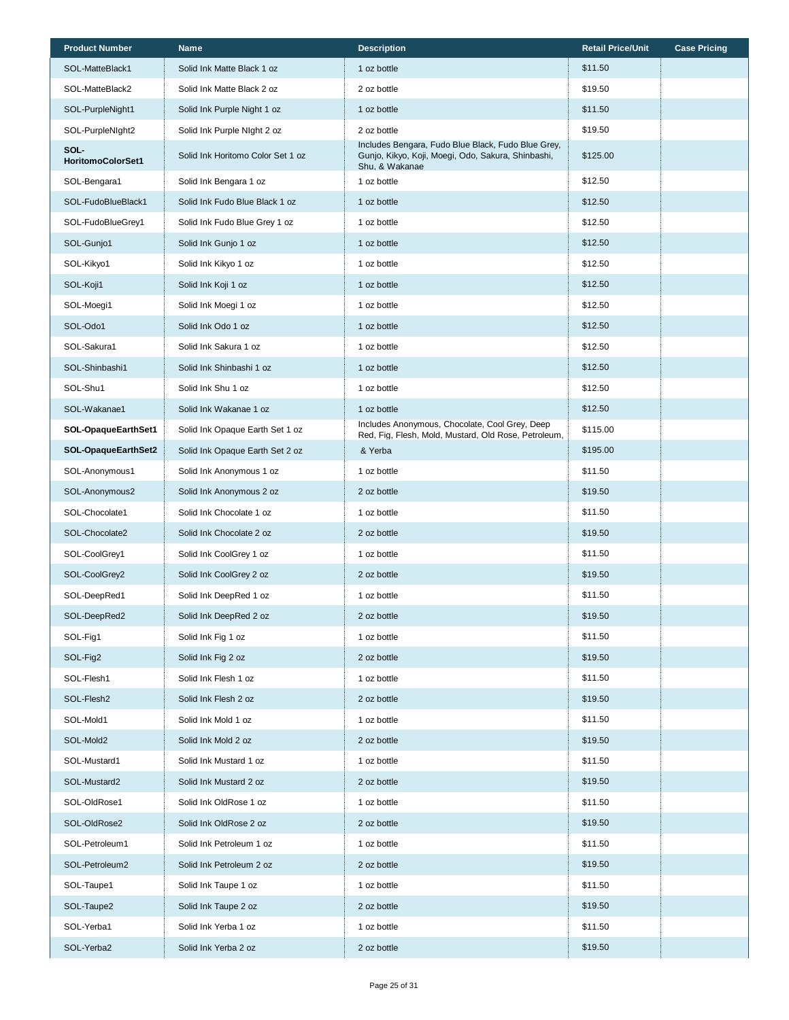| <b>Product Number</b>     | <b>Name</b>                       | <b>Description</b>                                                                                                         | <b>Retail Price/Unit</b> | <b>Case Pricing</b> |
|---------------------------|-----------------------------------|----------------------------------------------------------------------------------------------------------------------------|--------------------------|---------------------|
| SOL-MatteBlack1           | Solid Ink Matte Black 1 oz        | 1 oz bottle                                                                                                                | \$11.50                  |                     |
| SOL-MatteBlack2           | Solid Ink Matte Black 2 oz        | 2 oz bottle                                                                                                                | \$19.50                  |                     |
| SOL-PurpleNight1          | Solid Ink Purple Night 1 oz       | 1 oz bottle                                                                                                                | \$11.50                  |                     |
| SOL-PurpleNIght2          | Solid Ink Purple Night 2 oz       | 2 oz bottle                                                                                                                | \$19.50                  |                     |
| SOL-<br>HoritomoColorSet1 | Solid Ink Horitomo Color Set 1 oz | Includes Bengara, Fudo Blue Black, Fudo Blue Grey,<br>Gunjo, Kikyo, Koji, Moegi, Odo, Sakura, Shinbashi,<br>Shu, & Wakanae | \$125.00                 |                     |
| SOL-Bengara1              | Solid Ink Bengara 1 oz            | 1 oz bottle                                                                                                                | \$12.50                  |                     |
| SOL-FudoBlueBlack1        | Solid Ink Fudo Blue Black 1 oz    | 1 oz bottle                                                                                                                | \$12.50                  |                     |
| SOL-FudoBlueGrey1         | Solid Ink Fudo Blue Grey 1 oz     | 1 oz bottle                                                                                                                | \$12.50                  |                     |
| SOL-Gunjo1                | Solid Ink Gunjo 1 oz              | 1 oz bottle                                                                                                                | \$12.50                  |                     |
| SOL-Kikyo1                | Solid Ink Kikyo 1 oz              | 1 oz bottle                                                                                                                | \$12.50                  |                     |
| SOL-Koji1                 | Solid Ink Koji 1 oz               | 1 oz bottle                                                                                                                | \$12.50                  |                     |
| SOL-Moegi1                | Solid Ink Moegi 1 oz              | 1 oz bottle                                                                                                                | \$12.50                  |                     |
| SOL-Odo1                  | Solid Ink Odo 1 oz                | 1 oz bottle                                                                                                                | \$12.50                  |                     |
| SOL-Sakura1               | Solid Ink Sakura 1 oz             | 1 oz bottle                                                                                                                | \$12.50                  |                     |
| SOL-Shinbashi1            | Solid Ink Shinbashi 1 oz          | 1 oz bottle                                                                                                                | \$12.50                  |                     |
| SOL-Shu1                  | Solid Ink Shu 1 oz                | 1 oz bottle                                                                                                                | \$12.50                  |                     |
| SOL-Wakanae1              | Solid Ink Wakanae 1 oz            | 1 oz bottle                                                                                                                | \$12.50                  |                     |
| SOL-OpaqueEarthSet1       | Solid Ink Opaque Earth Set 1 oz   | Includes Anonymous, Chocolate, Cool Grey, Deep<br>Red, Fig, Flesh, Mold, Mustard, Old Rose, Petroleum,                     | \$115.00                 |                     |
| SOL-OpaqueEarthSet2       | Solid Ink Opaque Earth Set 2 oz   | & Yerba                                                                                                                    | \$195.00                 |                     |
| SOL-Anonymous1            | Solid Ink Anonymous 1 oz          | 1 oz bottle                                                                                                                | \$11.50                  |                     |
| SOL-Anonymous2            | Solid Ink Anonymous 2 oz          | 2 oz bottle                                                                                                                | \$19.50                  |                     |
| SOL-Chocolate1            | Solid Ink Chocolate 1 oz          | 1 oz bottle                                                                                                                | \$11.50                  |                     |
| SOL-Chocolate2            | Solid Ink Chocolate 2 oz          | 2 oz bottle                                                                                                                | \$19.50                  |                     |
| SOL-CoolGrey1             | Solid Ink CoolGrey 1 oz           | 1 oz bottle                                                                                                                | \$11.50                  |                     |
| SOL-CoolGrey2             | Solid Ink CoolGrey 2 oz           | 2 oz bottle                                                                                                                | \$19.50                  |                     |
| SOL-DeepRed1              | Solid Ink DeepRed 1 oz            | 1 oz bottle                                                                                                                | \$11.50                  |                     |
| SOL-DeepRed2              | Solid Ink DeepRed 2 oz            | 2 oz bottle                                                                                                                | \$19.50                  |                     |
| SOL-Fig1                  | Solid Ink Fig 1 oz                | 1 oz bottle                                                                                                                | \$11.50                  |                     |
| SOL-Fig2                  | Solid Ink Fig 2 oz                | 2 oz bottle                                                                                                                | \$19.50                  |                     |
| SOL-Flesh1                | Solid Ink Flesh 1 oz              | 1 oz bottle                                                                                                                | \$11.50                  |                     |
| SOL-Flesh2                | Solid Ink Flesh 2 oz              | 2 oz bottle                                                                                                                | \$19.50                  |                     |
| SOL-Mold1                 | Solid Ink Mold 1 oz               | 1 oz bottle                                                                                                                | \$11.50                  |                     |
| SOL-Mold2                 | Solid Ink Mold 2 oz               | 2 oz bottle                                                                                                                | \$19.50                  |                     |
| SOL-Mustard1              | Solid Ink Mustard 1 oz            | 1 oz bottle                                                                                                                | \$11.50                  |                     |
| SOL-Mustard2              | Solid Ink Mustard 2 oz            | 2 oz bottle                                                                                                                | \$19.50                  |                     |
| SOL-OldRose1              | Solid Ink OldRose 1 oz            | 1 oz bottle                                                                                                                | \$11.50                  |                     |
| SOL-OldRose2              | Solid Ink OldRose 2 oz            | 2 oz bottle                                                                                                                | \$19.50                  |                     |
| SOL-Petroleum1            | Solid Ink Petroleum 1 oz          | 1 oz bottle                                                                                                                | \$11.50                  |                     |
| SOL-Petroleum2            | Solid Ink Petroleum 2 oz          | 2 oz bottle                                                                                                                | \$19.50                  |                     |
| SOL-Taupe1                | Solid Ink Taupe 1 oz              | 1 oz bottle                                                                                                                | \$11.50                  |                     |
| SOL-Taupe2                | Solid Ink Taupe 2 oz              | 2 oz bottle                                                                                                                | \$19.50                  |                     |
| SOL-Yerba1                | Solid Ink Yerba 1 oz              | 1 oz bottle                                                                                                                | \$11.50                  |                     |
| SOL-Yerba2                | Solid Ink Yerba 2 oz              | 2 oz bottle                                                                                                                | \$19.50                  |                     |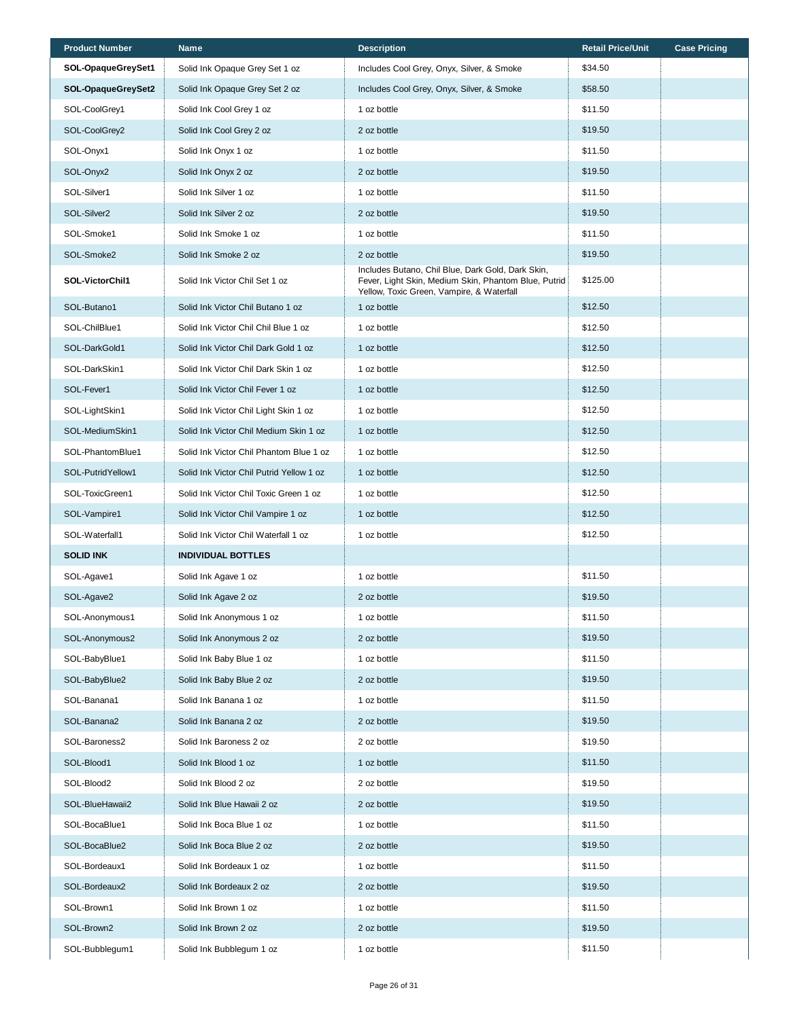| <b>Product Number</b>   | <b>Name</b>                              | <b>Description</b>                                                                                                                                     | <b>Retail Price/Unit</b> | <b>Case Pricing</b> |
|-------------------------|------------------------------------------|--------------------------------------------------------------------------------------------------------------------------------------------------------|--------------------------|---------------------|
| SOL-OpaqueGreySet1      | Solid Ink Opaque Grey Set 1 oz           | Includes Cool Grey, Onyx, Silver, & Smoke                                                                                                              | \$34.50                  |                     |
| SOL-OpaqueGreySet2      | Solid Ink Opaque Grey Set 2 oz           | Includes Cool Grey, Onyx, Silver, & Smoke                                                                                                              | \$58.50                  |                     |
| SOL-CoolGrey1           | Solid Ink Cool Grey 1 oz                 | 1 oz bottle                                                                                                                                            | \$11.50                  |                     |
| SOL-CoolGrey2           | Solid Ink Cool Grey 2 oz                 | 2 oz bottle                                                                                                                                            | \$19.50                  |                     |
| SOL-Onyx1               | Solid Ink Onyx 1 oz                      | 1 oz bottle                                                                                                                                            | \$11.50                  |                     |
| SOL-Onyx2               | Solid Ink Onyx 2 oz                      | 2 oz bottle                                                                                                                                            | \$19.50                  |                     |
| SOL-Silver1             | Solid Ink Silver 1 oz                    | 1 oz bottle                                                                                                                                            | \$11.50                  |                     |
| SOL-Silver <sub>2</sub> | Solid Ink Silver 2 oz                    | 2 oz bottle                                                                                                                                            | \$19.50                  |                     |
| SOL-Smoke1              | Solid Ink Smoke 1 oz                     | 1 oz bottle                                                                                                                                            | \$11.50                  |                     |
| SOL-Smoke2              | Solid Ink Smoke 2 oz                     | 2 oz bottle                                                                                                                                            | \$19.50                  |                     |
| SOL-VictorChil1         | Solid Ink Victor Chil Set 1 oz           | Includes Butano, Chil Blue, Dark Gold, Dark Skin,<br>Fever, Light Skin, Medium Skin, Phantom Blue, Putrid<br>Yellow, Toxic Green, Vampire, & Waterfall | \$125.00                 |                     |
| SOL-Butano1             | Solid Ink Victor Chil Butano 1 oz        | 1 oz bottle                                                                                                                                            | \$12.50                  |                     |
| SOL-ChilBlue1           | Solid Ink Victor Chil Chil Blue 1 oz     | 1 oz bottle                                                                                                                                            | \$12.50                  |                     |
| SOL-DarkGold1           | Solid Ink Victor Chil Dark Gold 1 oz     | 1 oz bottle                                                                                                                                            | \$12.50                  |                     |
| SOL-DarkSkin1           | Solid Ink Victor Chil Dark Skin 1 oz     | 1 oz bottle                                                                                                                                            | \$12.50                  |                     |
| SOL-Fever1              | Solid Ink Victor Chil Fever 1 oz         | 1 oz bottle                                                                                                                                            | \$12.50                  |                     |
| SOL-LightSkin1          | Solid Ink Victor Chil Light Skin 1 oz    | 1 oz bottle                                                                                                                                            | \$12.50                  |                     |
| SOL-MediumSkin1         | Solid Ink Victor Chil Medium Skin 1 oz   | 1 oz bottle                                                                                                                                            | \$12.50                  |                     |
| SOL-PhantomBlue1        | Solid Ink Victor Chil Phantom Blue 1 oz  | 1 oz bottle                                                                                                                                            | \$12.50                  |                     |
| SOL-PutridYellow1       | Solid Ink Victor Chil Putrid Yellow 1 oz | 1 oz bottle                                                                                                                                            | \$12.50                  |                     |
| SOL-ToxicGreen1         | Solid Ink Victor Chil Toxic Green 1 oz   | 1 oz bottle                                                                                                                                            | \$12.50                  |                     |
| SOL-Vampire1            | Solid Ink Victor Chil Vampire 1 oz       | 1 oz bottle                                                                                                                                            | \$12.50                  |                     |
| SOL-Waterfall1          | Solid Ink Victor Chil Waterfall 1 oz     | 1 oz bottle                                                                                                                                            | \$12.50                  |                     |
| <b>SOLID INK</b>        | <b>INDIVIDUAL BOTTLES</b>                |                                                                                                                                                        |                          |                     |
| SOL-Agave1              | Solid Ink Agave 1 oz                     | 1 oz bottle                                                                                                                                            | \$11.50                  |                     |
| SOL-Agave2              | Solid Ink Agave 2 oz                     | 2 oz bottle                                                                                                                                            | \$19.50                  |                     |
| SOL-Anonymous1          | Solid Ink Anonymous 1 oz                 | 1 oz bottle                                                                                                                                            | \$11.50                  |                     |
| SOL-Anonymous2          | Solid Ink Anonymous 2 oz                 | 2 oz bottle                                                                                                                                            | \$19.50                  |                     |
| SOL-BabyBlue1           | Solid Ink Baby Blue 1 oz                 | 1 oz bottle                                                                                                                                            | \$11.50                  |                     |
| SOL-BabyBlue2           | Solid Ink Baby Blue 2 oz                 | 2 oz bottle                                                                                                                                            | \$19.50                  |                     |
| SOL-Banana1             | Solid Ink Banana 1 oz                    | 1 oz bottle                                                                                                                                            | \$11.50                  |                     |
| SOL-Banana2             | Solid Ink Banana 2 oz                    | 2 oz bottle                                                                                                                                            | \$19.50                  |                     |
| SOL-Baroness2           | Solid Ink Baroness 2 oz                  | 2 oz bottle                                                                                                                                            | \$19.50                  |                     |
| SOL-Blood1              | Solid Ink Blood 1 oz                     | 1 oz bottle                                                                                                                                            | \$11.50                  |                     |
| SOL-Blood2              | Solid Ink Blood 2 oz                     | 2 oz bottle                                                                                                                                            | \$19.50                  |                     |
| SOL-BlueHawaii2         | Solid Ink Blue Hawaii 2 oz               | 2 oz bottle                                                                                                                                            | \$19.50                  |                     |
| SOL-BocaBlue1           | Solid Ink Boca Blue 1 oz                 | 1 oz bottle                                                                                                                                            | \$11.50                  |                     |
| SOL-BocaBlue2           | Solid Ink Boca Blue 2 oz                 | 2 oz bottle                                                                                                                                            | \$19.50                  |                     |
| SOL-Bordeaux1           | Solid Ink Bordeaux 1 oz                  | 1 oz bottle                                                                                                                                            | \$11.50                  |                     |
| SOL-Bordeaux2           | Solid Ink Bordeaux 2 oz                  | 2 oz bottle                                                                                                                                            | \$19.50                  |                     |
| SOL-Brown1              | Solid Ink Brown 1 oz                     | 1 oz bottle                                                                                                                                            | \$11.50                  |                     |
| SOL-Brown2              | Solid Ink Brown 2 oz                     | 2 oz bottle                                                                                                                                            | \$19.50                  |                     |
| SOL-Bubblegum1          | Solid Ink Bubblegum 1 oz                 | 1 oz bottle                                                                                                                                            | \$11.50                  |                     |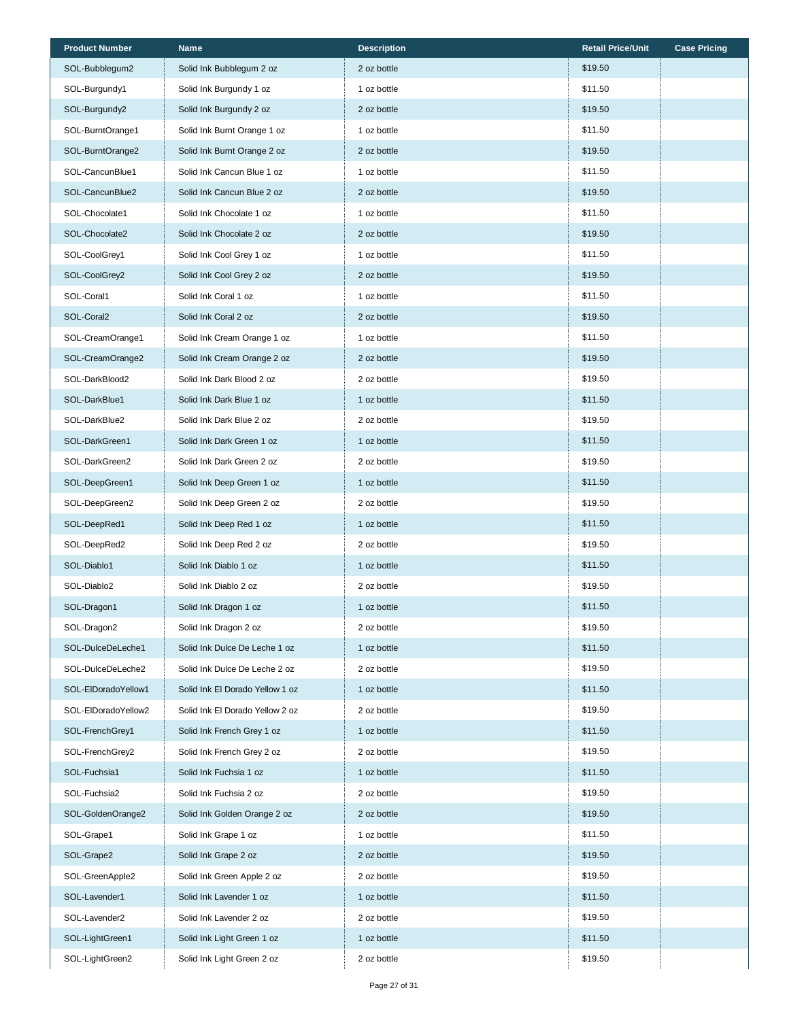| <b>Product Number</b> | <b>Name</b>                     | <b>Description</b> | <b>Retail Price/Unit</b> | <b>Case Pricing</b> |
|-----------------------|---------------------------------|--------------------|--------------------------|---------------------|
| SOL-Bubblegum2        | Solid Ink Bubblegum 2 oz        | 2 oz bottle        | \$19.50                  |                     |
| SOL-Burgundy1         | Solid Ink Burgundy 1 oz         | 1 oz bottle        | \$11.50                  |                     |
| SOL-Burgundy2         | Solid Ink Burgundy 2 oz         | 2 oz bottle        | \$19.50                  |                     |
| SOL-BurntOrange1      | Solid Ink Burnt Orange 1 oz     | 1 oz bottle        | \$11.50                  |                     |
| SOL-BurntOrange2      | Solid Ink Burnt Orange 2 oz     | 2 oz bottle        | \$19.50                  |                     |
| SOL-CancunBlue1       | Solid Ink Cancun Blue 1 oz      | 1 oz bottle        | \$11.50                  |                     |
| SOL-CancunBlue2       | Solid Ink Cancun Blue 2 oz      | 2 oz bottle        | \$19.50                  |                     |
| SOL-Chocolate1        | Solid Ink Chocolate 1 oz        | 1 oz bottle        | \$11.50                  |                     |
| SOL-Chocolate2        | Solid Ink Chocolate 2 oz        | 2 oz bottle        | \$19.50                  |                     |
| SOL-CoolGrey1         | Solid Ink Cool Grey 1 oz        | 1 oz bottle        | \$11.50                  |                     |
| SOL-CoolGrey2         | Solid Ink Cool Grey 2 oz        | 2 oz bottle        | \$19.50                  |                     |
| SOL-Coral1            | Solid Ink Coral 1 oz            | 1 oz bottle        | \$11.50                  |                     |
| SOL-Coral2            | Solid Ink Coral 2 oz            | 2 oz bottle        | \$19.50                  |                     |
| SOL-CreamOrange1      | Solid Ink Cream Orange 1 oz     | 1 oz bottle        | \$11.50                  |                     |
| SOL-CreamOrange2      | Solid Ink Cream Orange 2 oz     | 2 oz bottle        | \$19.50                  |                     |
| SOL-DarkBlood2        | Solid Ink Dark Blood 2 oz       | 2 oz bottle        | \$19.50                  |                     |
| SOL-DarkBlue1         | Solid Ink Dark Blue 1 oz        | 1 oz bottle        | \$11.50                  |                     |
| SOL-DarkBlue2         | Solid Ink Dark Blue 2 oz        | 2 oz bottle        | \$19.50                  |                     |
| SOL-DarkGreen1        | Solid Ink Dark Green 1 oz       | 1 oz bottle        | \$11.50                  |                     |
| SOL-DarkGreen2        | Solid Ink Dark Green 2 oz       | 2 oz bottle        | \$19.50                  |                     |
| SOL-DeepGreen1        | Solid Ink Deep Green 1 oz       | 1 oz bottle        | \$11.50                  |                     |
| SOL-DeepGreen2        | Solid Ink Deep Green 2 oz       | 2 oz bottle        | \$19.50                  |                     |
| SOL-DeepRed1          | Solid Ink Deep Red 1 oz         | 1 oz bottle        | \$11.50                  |                     |
| SOL-DeepRed2          | Solid Ink Deep Red 2 oz         | 2 oz bottle        | \$19.50                  |                     |
| SOL-Diablo1           | Solid Ink Diablo 1 oz           | 1 oz bottle        | \$11.50                  |                     |
| SOL-Diablo2           | Solid Ink Diablo 2 oz           | 2 oz bottle        | \$19.50                  |                     |
| SOL-Dragon1           | Solid Ink Dragon 1 oz           | 1 oz bottle        | \$11.50                  |                     |
| SOL-Dragon2           | Solid Ink Dragon 2 oz           | 2 oz bottle        | \$19.50                  |                     |
| SOL-DulceDeLeche1     | Solid Ink Dulce De Leche 1 oz   | 1 oz bottle        | \$11.50                  |                     |
| SOL-DulceDeLeche2     | Solid Ink Dulce De Leche 2 oz   | 2 oz bottle        | \$19.50                  |                     |
| SOL-ElDoradoYellow1   | Solid Ink El Dorado Yellow 1 oz | 1 oz bottle        | \$11.50                  |                     |
| SOL-EIDoradoYellow2   | Solid Ink El Dorado Yellow 2 oz | 2 oz bottle        | \$19.50                  |                     |
| SOL-FrenchGrey1       | Solid Ink French Grey 1 oz      | 1 oz bottle        | \$11.50                  |                     |
| SOL-FrenchGrey2       | Solid Ink French Grey 2 oz      | 2 oz bottle        | \$19.50                  |                     |
| SOL-Fuchsia1          | Solid Ink Fuchsia 1 oz          | 1 oz bottle        | \$11.50                  |                     |
| SOL-Fuchsia2          | Solid Ink Fuchsia 2 oz          | 2 oz bottle        | \$19.50                  |                     |
| SOL-GoldenOrange2     | Solid Ink Golden Orange 2 oz    | 2 oz bottle        | \$19.50                  |                     |
| SOL-Grape1            | Solid Ink Grape 1 oz            | 1 oz bottle        | \$11.50                  |                     |
| SOL-Grape2            | Solid Ink Grape 2 oz            | 2 oz bottle        | \$19.50                  |                     |
| SOL-GreenApple2       | Solid Ink Green Apple 2 oz      | 2 oz bottle        | \$19.50                  |                     |
| SOL-Lavender1         | Solid Ink Lavender 1 oz         | 1 oz bottle        | \$11.50                  |                     |
| SOL-Lavender2         | Solid Ink Lavender 2 oz         | 2 oz bottle        | \$19.50                  |                     |
| SOL-LightGreen1       | Solid Ink Light Green 1 oz      | 1 oz bottle        | \$11.50                  |                     |
| SOL-LightGreen2       | Solid Ink Light Green 2 oz      | 2 oz bottle        | \$19.50                  |                     |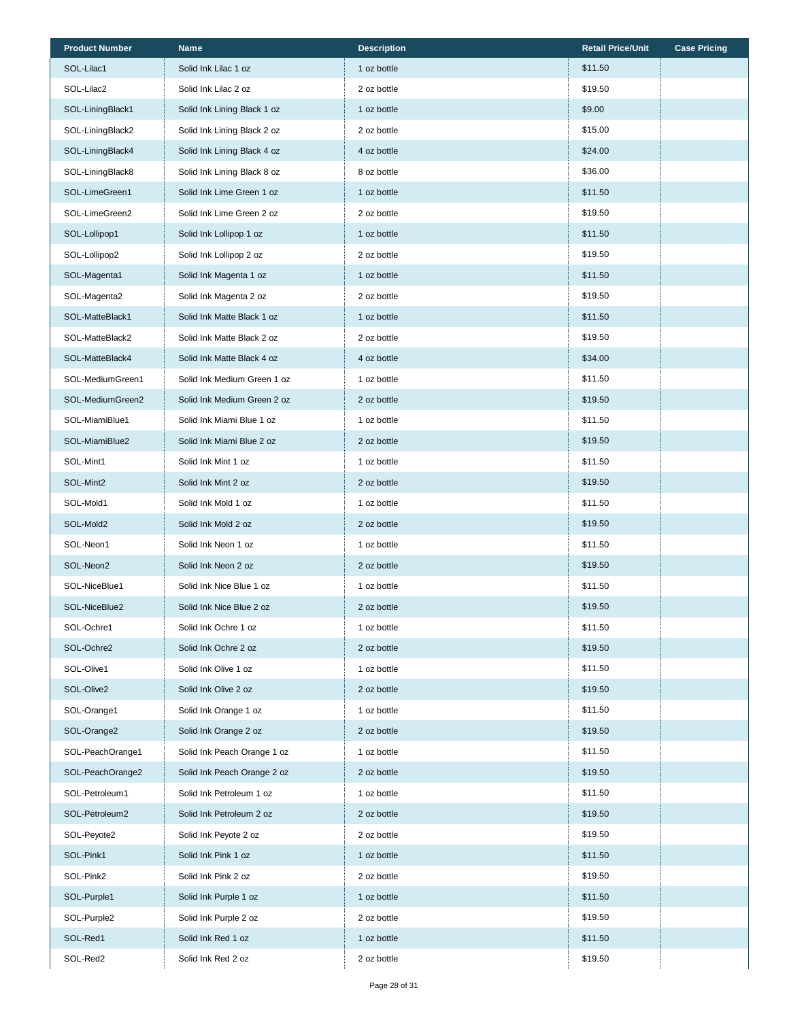| <b>Product Number</b> | <b>Name</b>                 | <b>Description</b> | <b>Retail Price/Unit</b> | <b>Case Pricing</b> |
|-----------------------|-----------------------------|--------------------|--------------------------|---------------------|
| SOL-Lilac1            | Solid Ink Lilac 1 oz        | 1 oz bottle        | \$11.50                  |                     |
| SOL-Lilac2            | Solid Ink Lilac 2 oz        | 2 oz bottle        | \$19.50                  |                     |
| SOL-LiningBlack1      | Solid Ink Lining Black 1 oz | 1 oz bottle        | \$9.00                   |                     |
| SOL-LiningBlack2      | Solid Ink Lining Black 2 oz | 2 oz bottle        | \$15.00                  |                     |
| SOL-LiningBlack4      | Solid Ink Lining Black 4 oz | 4 oz bottle        | \$24.00                  |                     |
| SOL-LiningBlack8      | Solid Ink Lining Black 8 oz | 8 oz bottle        | \$36.00                  |                     |
| SOL-LimeGreen1        | Solid Ink Lime Green 1 oz   | 1 oz bottle        | \$11.50                  |                     |
| SOL-LimeGreen2        | Solid Ink Lime Green 2 oz   | 2 oz bottle        | \$19.50                  |                     |
| SOL-Lollipop1         | Solid Ink Lollipop 1 oz     | 1 oz bottle        | \$11.50                  |                     |
| SOL-Lollipop2         | Solid Ink Lollipop 2 oz     | 2 oz bottle        | \$19.50                  |                     |
| SOL-Magenta1          | Solid Ink Magenta 1 oz      | 1 oz bottle        | \$11.50                  |                     |
| SOL-Magenta2          | Solid Ink Magenta 2 oz      | 2 oz bottle        | \$19.50                  |                     |
| SOL-MatteBlack1       | Solid Ink Matte Black 1 oz  | 1 oz bottle        | \$11.50                  |                     |
| SOL-MatteBlack2       | Solid Ink Matte Black 2 oz  | 2 oz bottle        | \$19.50                  |                     |
| SOL-MatteBlack4       | Solid Ink Matte Black 4 oz  | 4 oz bottle        | \$34.00                  |                     |
| SOL-MediumGreen1      | Solid Ink Medium Green 1 oz | 1 oz bottle        | \$11.50                  |                     |
| SOL-MediumGreen2      | Solid Ink Medium Green 2 oz | 2 oz bottle        | \$19.50                  |                     |
| SOL-MiamiBlue1        | Solid Ink Miami Blue 1 oz   | 1 oz bottle        | \$11.50                  |                     |
| SOL-MiamiBlue2        | Solid Ink Miami Blue 2 oz   | 2 oz bottle        | \$19.50                  |                     |
| SOL-Mint1             | Solid Ink Mint 1 oz         | 1 oz bottle        | \$11.50                  |                     |
| SOL-Mint2             | Solid Ink Mint 2 oz         | 2 oz bottle        | \$19.50                  |                     |
| SOL-Mold1             | Solid Ink Mold 1 oz         | 1 oz bottle        | \$11.50                  |                     |
| SOL-Mold2             | Solid Ink Mold 2 oz         | 2 oz bottle        | \$19.50                  |                     |
| SOL-Neon1             | Solid Ink Neon 1 oz         | 1 oz bottle        | \$11.50                  |                     |
| SOL-Neon2             | Solid Ink Neon 2 oz         | 2 oz bottle        | \$19.50                  |                     |
| SOL-NiceBlue1         | Solid Ink Nice Blue 1 oz    | 1 oz bottle        | \$11.50                  |                     |
| SOL-NiceBlue2         | Solid Ink Nice Blue 2 oz    | 2 oz bottle        | \$19.50                  |                     |
| SOL-Ochre1            | Solid Ink Ochre 1 oz        | 1 oz bottle        | \$11.50                  |                     |
| SOL-Ochre2            | Solid Ink Ochre 2 oz        | 2 oz bottle        | \$19.50                  |                     |
| SOL-Olive1            | Solid Ink Olive 1 oz        | 1 oz bottle        | \$11.50                  |                     |
| SOL-Olive2            | Solid Ink Olive 2 oz        | 2 oz bottle        | \$19.50                  |                     |
| SOL-Orange1           | Solid Ink Orange 1 oz       | 1 oz bottle        | \$11.50                  |                     |
| SOL-Orange2           | Solid Ink Orange 2 oz       | 2 oz bottle        | \$19.50                  |                     |
| SOL-PeachOrange1      | Solid Ink Peach Orange 1 oz | 1 oz bottle        | \$11.50                  |                     |
| SOL-PeachOrange2      | Solid Ink Peach Orange 2 oz | 2 oz bottle        | \$19.50                  |                     |
| SOL-Petroleum1        | Solid Ink Petroleum 1 oz    | 1 oz bottle        | \$11.50                  |                     |
| SOL-Petroleum2        | Solid Ink Petroleum 2 oz    | 2 oz bottle        | \$19.50                  |                     |
| SOL-Peyote2           | Solid Ink Peyote 2 oz       | 2 oz bottle        | \$19.50                  |                     |
| SOL-Pink1             | Solid Ink Pink 1 oz         | 1 oz bottle        | \$11.50                  |                     |
| SOL-Pink2             | Solid Ink Pink 2 oz         | 2 oz bottle        | \$19.50                  |                     |
| SOL-Purple1           | Solid Ink Purple 1 oz       | 1 oz bottle        | \$11.50                  |                     |
| SOL-Purple2           | Solid Ink Purple 2 oz       | 2 oz bottle        | \$19.50                  |                     |
| SOL-Red1              | Solid Ink Red 1 oz          | 1 oz bottle        | \$11.50                  |                     |
| SOL-Red2              | Solid Ink Red 2 oz          | 2 oz bottle        | \$19.50                  |                     |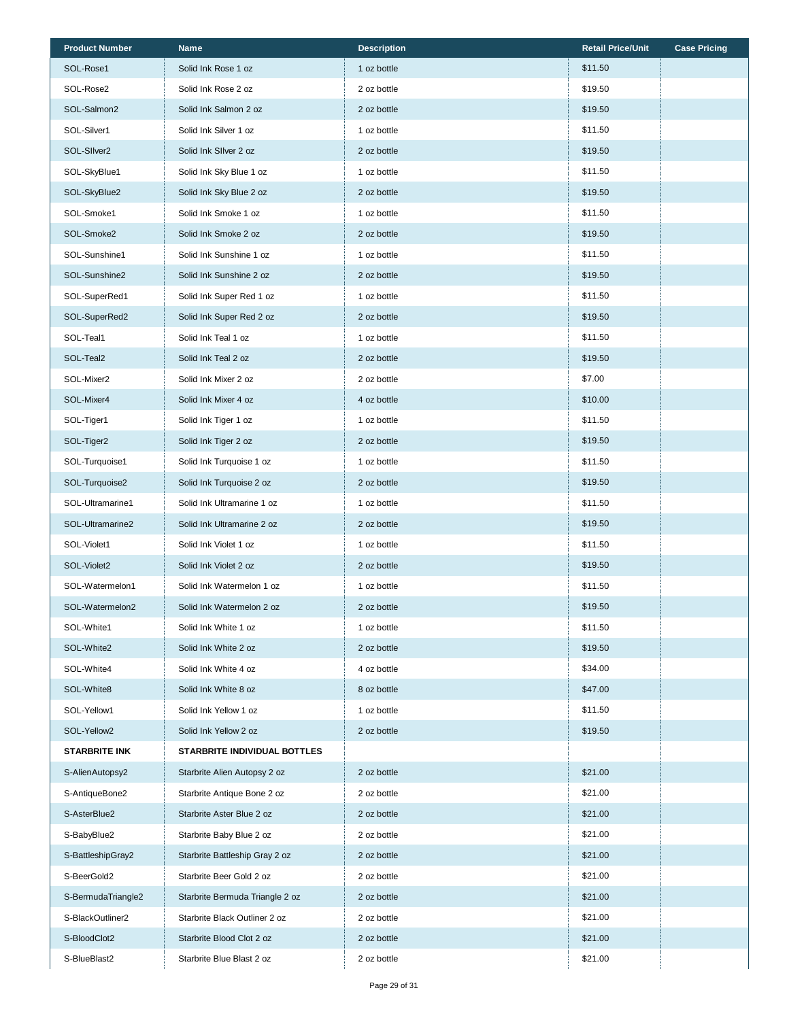| <b>Product Number</b> | <b>Name</b>                     | <b>Description</b> | <b>Retail Price/Unit</b> | <b>Case Pricing</b> |
|-----------------------|---------------------------------|--------------------|--------------------------|---------------------|
| SOL-Rose1             | Solid Ink Rose 1 oz             | 1 oz bottle        | \$11.50                  |                     |
| SOL-Rose2             | Solid Ink Rose 2 oz             | 2 oz bottle        | \$19.50                  |                     |
| SOL-Salmon2           | Solid Ink Salmon 2 oz           | 2 oz bottle        | \$19.50                  |                     |
| SOL-Silver1           | Solid Ink Silver 1 oz           | 1 oz bottle        | \$11.50                  |                     |
| SOL-SIlver2           | Solid Ink SIIver 2 oz           | 2 oz bottle        | \$19.50                  |                     |
| SOL-SkyBlue1          | Solid Ink Sky Blue 1 oz         | 1 oz bottle        | \$11.50                  |                     |
| SOL-SkyBlue2          | Solid Ink Sky Blue 2 oz         | 2 oz bottle        | \$19.50                  |                     |
| SOL-Smoke1            | Solid Ink Smoke 1 oz            | 1 oz bottle        | \$11.50                  |                     |
| SOL-Smoke2            | Solid Ink Smoke 2 oz            | 2 oz bottle        | \$19.50                  |                     |
| SOL-Sunshine1         | Solid Ink Sunshine 1 oz         | 1 oz bottle        | \$11.50                  |                     |
| SOL-Sunshine2         | Solid Ink Sunshine 2 oz         | 2 oz bottle        | \$19.50                  |                     |
| SOL-SuperRed1         | Solid Ink Super Red 1 oz        | 1 oz bottle        | \$11.50                  |                     |
| SOL-SuperRed2         | Solid Ink Super Red 2 oz        | 2 oz bottle        | \$19.50                  |                     |
| SOL-Teal1             | Solid Ink Teal 1 oz             | 1 oz bottle        | \$11.50                  |                     |
| SOL-Teal2             | Solid Ink Teal 2 oz             | 2 oz bottle        | \$19.50                  |                     |
| SOL-Mixer2            | Solid Ink Mixer 2 oz            | 2 oz bottle        | \$7.00                   |                     |
| SOL-Mixer4            | Solid Ink Mixer 4 oz            | 4 oz bottle        | \$10.00                  |                     |
| SOL-Tiger1            | Solid Ink Tiger 1 oz            | 1 oz bottle        | \$11.50                  |                     |
| SOL-Tiger2            | Solid Ink Tiger 2 oz            | 2 oz bottle        | \$19.50                  |                     |
| SOL-Turquoise1        | Solid Ink Turquoise 1 oz        | 1 oz bottle        | \$11.50                  |                     |
| SOL-Turquoise2        | Solid Ink Turquoise 2 oz        | 2 oz bottle        | \$19.50                  |                     |
| SOL-Ultramarine1      | Solid Ink Ultramarine 1 oz      | 1 oz bottle        | \$11.50                  |                     |
| SOL-Ultramarine2      | Solid Ink Ultramarine 2 oz      | 2 oz bottle        | \$19.50                  |                     |
| SOL-Violet1           | Solid Ink Violet 1 oz           | 1 oz bottle        | \$11.50                  |                     |
| SOL-Violet2           | Solid Ink Violet 2 oz           | 2 oz bottle        | \$19.50                  |                     |
| SOL-Watermelon1       | Solid Ink Watermelon 1 oz       | 1 oz bottle        | \$11.50                  |                     |
| SOL-Watermelon2       | Solid Ink Watermelon 2 oz       | 2 oz bottle        | \$19.50                  |                     |
| SOL-White1            | Solid Ink White 1 oz            | 1 oz bottle        | \$11.50                  |                     |
| SOL-White2            | Solid Ink White 2 oz            | 2 oz bottle        | \$19.50                  |                     |
| SOL-White4            | Solid Ink White 4 oz            | 4 oz bottle        | \$34.00                  |                     |
| SOL-White8            | Solid Ink White 8 oz            | 8 oz bottle        | \$47.00                  |                     |
| SOL-Yellow1           | Solid Ink Yellow 1 oz           | 1 oz bottle        | \$11.50                  |                     |
| SOL-Yellow2           | Solid Ink Yellow 2 oz           | 2 oz bottle        | \$19.50                  |                     |
| <b>STARBRITE INK</b>  | STARBRITE INDIVIDUAL BOTTLES    |                    |                          |                     |
| S-AlienAutopsy2       | Starbrite Alien Autopsy 2 oz    | 2 oz bottle        | \$21.00                  |                     |
| S-AntiqueBone2        | Starbrite Antique Bone 2 oz     | 2 oz bottle        | \$21.00                  |                     |
| S-AsterBlue2          | Starbrite Aster Blue 2 oz       | 2 oz bottle        | \$21.00                  |                     |
| S-BabyBlue2           | Starbrite Baby Blue 2 oz        | 2 oz bottle        | \$21.00                  |                     |
| S-BattleshipGray2     | Starbrite Battleship Gray 2 oz  | 2 oz bottle        | \$21.00                  |                     |
| S-BeerGold2           | Starbrite Beer Gold 2 oz        | 2 oz bottle        | \$21.00                  |                     |
| S-BermudaTriangle2    | Starbrite Bermuda Triangle 2 oz | 2 oz bottle        | \$21.00                  |                     |
| S-BlackOutliner2      | Starbrite Black Outliner 2 oz   | 2 oz bottle        | \$21.00                  |                     |
| S-BloodClot2          | Starbrite Blood Clot 2 oz       | 2 oz bottle        | \$21.00                  |                     |
| S-BlueBlast2          | Starbrite Blue Blast 2 oz       | 2 oz bottle        | \$21.00                  |                     |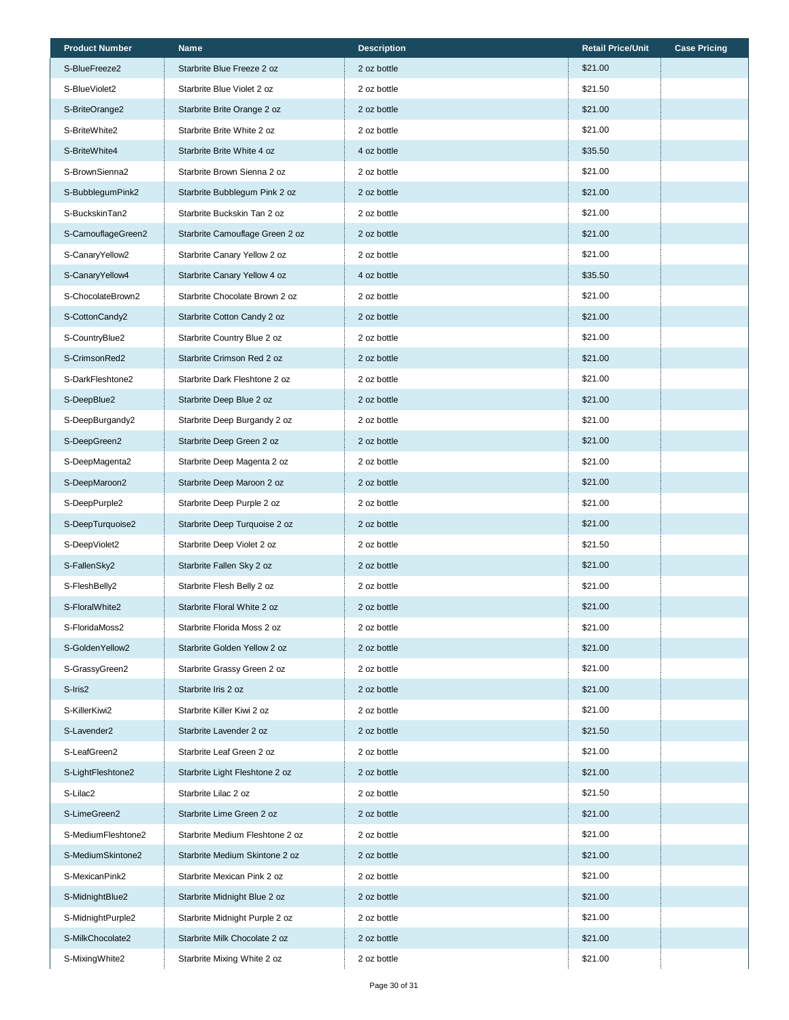| <b>Product Number</b> | <b>Name</b>                     | <b>Description</b> | <b>Retail Price/Unit</b> | <b>Case Pricing</b> |
|-----------------------|---------------------------------|--------------------|--------------------------|---------------------|
| S-BlueFreeze2         | Starbrite Blue Freeze 2 oz      | 2 oz bottle        | \$21.00                  |                     |
| S-BlueViolet2         | Starbrite Blue Violet 2 oz      | 2 oz bottle        | \$21.50                  |                     |
| S-BriteOrange2        | Starbrite Brite Orange 2 oz     | 2 oz bottle        | \$21.00                  |                     |
| S-BriteWhite2         | Starbrite Brite White 2 oz      | 2 oz bottle        | \$21.00                  |                     |
| S-BriteWhite4         | Starbrite Brite White 4 oz      | 4 oz bottle        | \$35.50                  |                     |
| S-BrownSienna2        | Starbrite Brown Sienna 2 oz     | 2 oz bottle        | \$21.00                  |                     |
| S-BubblegumPink2      | Starbrite Bubblegum Pink 2 oz   | 2 oz bottle        | \$21.00                  |                     |
| S-BuckskinTan2        | Starbrite Buckskin Tan 2 oz     | 2 oz bottle        | \$21.00                  |                     |
| S-CamouflageGreen2    | Starbrite Camouflage Green 2 oz | 2 oz bottle        | \$21.00                  |                     |
| S-CanaryYellow2       | Starbrite Canary Yellow 2 oz    | 2 oz bottle        | \$21.00                  |                     |
| S-CanaryYellow4       | Starbrite Canary Yellow 4 oz    | 4 oz bottle        | \$35.50                  |                     |
| S-ChocolateBrown2     | Starbrite Chocolate Brown 2 oz  | 2 oz bottle        | \$21.00                  |                     |
| S-CottonCandy2        | Starbrite Cotton Candy 2 oz     | 2 oz bottle        | \$21.00                  |                     |
| S-CountryBlue2        | Starbrite Country Blue 2 oz     | 2 oz bottle        | \$21.00                  |                     |
| S-CrimsonRed2         | Starbrite Crimson Red 2 oz      | 2 oz bottle        | \$21.00                  |                     |
| S-DarkFleshtone2      | Starbrite Dark Fleshtone 2 oz   | 2 oz bottle        | \$21.00                  |                     |
| S-DeepBlue2           | Starbrite Deep Blue 2 oz        | 2 oz bottle        | \$21.00                  |                     |
| S-DeepBurgandy2       | Starbrite Deep Burgandy 2 oz    | 2 oz bottle        | \$21.00                  |                     |
| S-DeepGreen2          | Starbrite Deep Green 2 oz       | 2 oz bottle        | \$21.00                  |                     |
| S-DeepMagenta2        | Starbrite Deep Magenta 2 oz     | 2 oz bottle        | \$21.00                  |                     |
| S-DeepMaroon2         | Starbrite Deep Maroon 2 oz      | 2 oz bottle        | \$21.00                  |                     |
| S-DeepPurple2         | Starbrite Deep Purple 2 oz      | 2 oz bottle        | \$21.00                  |                     |
| S-DeepTurquoise2      | Starbrite Deep Turquoise 2 oz   | 2 oz bottle        | \$21.00                  |                     |
| S-DeepViolet2         | Starbrite Deep Violet 2 oz      | 2 oz bottle        | \$21.50                  |                     |
| S-FallenSky2          | Starbrite Fallen Sky 2 oz       | 2 oz bottle        | \$21.00                  |                     |
| S-FleshBelly2         | Starbrite Flesh Belly 2 oz      | 2 oz bottle        | \$21.00                  |                     |
| S-FloralWhite2        | Starbrite Floral White 2 oz     | 2 oz bottle        | \$21.00                  |                     |
| S-FloridaMoss2        | Starbrite Florida Moss 2 oz     | 2 oz bottle        | \$21.00                  |                     |
| S-GoldenYellow2       | Starbrite Golden Yellow 2 oz    | 2 oz bottle        | \$21.00                  |                     |
| S-GrassyGreen2        | Starbrite Grassy Green 2 oz     | 2 oz bottle        | \$21.00                  |                     |
| S-Iris2               | Starbrite Iris 2 oz             | 2 oz bottle        | \$21.00                  |                     |
| S-KillerKiwi2         | Starbrite Killer Kiwi 2 oz      | 2 oz bottle        | \$21.00                  |                     |
| S-Lavender2           | Starbrite Lavender 2 oz         | 2 oz bottle        | \$21.50                  |                     |
| S-LeafGreen2          | Starbrite Leaf Green 2 oz       | 2 oz bottle        | \$21.00                  |                     |
| S-LightFleshtone2     | Starbrite Light Fleshtone 2 oz  | 2 oz bottle        | \$21.00                  |                     |
| S-Lilac2              | Starbrite Lilac 2 oz            | 2 oz bottle        | \$21.50                  |                     |
| S-LimeGreen2          | Starbrite Lime Green 2 oz       | 2 oz bottle        | \$21.00                  |                     |
| S-MediumFleshtone2    | Starbrite Medium Fleshtone 2 oz | 2 oz bottle        | \$21.00                  |                     |
| S-MediumSkintone2     | Starbrite Medium Skintone 2 oz  | 2 oz bottle        | \$21.00                  |                     |
| S-MexicanPink2        | Starbrite Mexican Pink 2 oz     | 2 oz bottle        | \$21.00                  |                     |
| S-MidnightBlue2       | Starbrite Midnight Blue 2 oz    | 2 oz bottle        | \$21.00                  |                     |
| S-MidnightPurple2     | Starbrite Midnight Purple 2 oz  | 2 oz bottle        | \$21.00                  |                     |
| S-MilkChocolate2      | Starbrite Milk Chocolate 2 oz   | 2 oz bottle        | \$21.00                  |                     |
| S-MixingWhite2        | Starbrite Mixing White 2 oz     | 2 oz bottle        | \$21.00                  |                     |